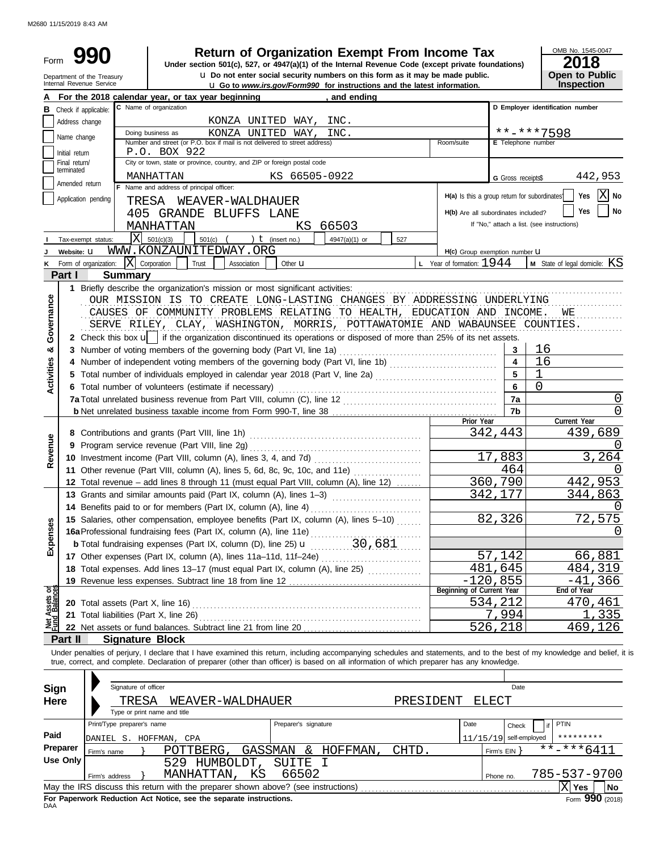M2680 11/15/2019 8:43 AM

| Form           |                               |                                                                            | <b>Return of Organization Exempt From Income Tax</b>                                                                                                                                                                                                                                                                     |                                               |                          | OMB No. 1545-0047                          |
|----------------|-------------------------------|----------------------------------------------------------------------------|--------------------------------------------------------------------------------------------------------------------------------------------------------------------------------------------------------------------------------------------------------------------------------------------------------------------------|-----------------------------------------------|--------------------------|--------------------------------------------|
|                |                               | Department of the Treasury<br>Internal Revenue Service                     | Under section 501(c), 527, or 4947(a)(1) of the Internal Revenue Code (except private foundations)<br>u Do not enter social security numbers on this form as it may be made public.                                                                                                                                      |                                               |                          | 2018<br>Open to Public                     |
|                |                               |                                                                            | <b>u</b> Go to www.irs.gov/Form990 for instructions and the latest information.                                                                                                                                                                                                                                          |                                               |                          | Inspection                                 |
|                | <b>B</b> Check if applicable: |                                                                            | For the 2018 calendar year, or tax year beginning<br>, and ending<br>C Name of organization                                                                                                                                                                                                                              |                                               |                          | D Employer identification number           |
|                |                               |                                                                            | INC.                                                                                                                                                                                                                                                                                                                     |                                               |                          |                                            |
|                | Address change                |                                                                            | KONZA UNITED WAY,<br>Doing business as<br>KONZA UNITED WAY,<br>INC.                                                                                                                                                                                                                                                      |                                               |                          | **-***7598                                 |
|                | Name change                   | Number and street (or P.O. box if mail is not delivered to street address) | Room/suite                                                                                                                                                                                                                                                                                                               | E Telephone number                            |                          |                                            |
|                | Initial return                |                                                                            | P.O. BOX 922                                                                                                                                                                                                                                                                                                             |                                               |                          |                                            |
|                | Final return/                 |                                                                            | City or town, state or province, country, and ZIP or foreign postal code                                                                                                                                                                                                                                                 |                                               |                          |                                            |
|                | terminated                    |                                                                            | KS 66505-0922<br>MANHATTAN                                                                                                                                                                                                                                                                                               |                                               | G Gross receipts\$       | 442,953                                    |
|                | Amended return                |                                                                            | F Name and address of principal officer:                                                                                                                                                                                                                                                                                 |                                               |                          |                                            |
|                |                               | Application pending                                                        | TRESA WEAVER-WALDHAUER                                                                                                                                                                                                                                                                                                   | H(a) Is this a group return for subordinates' |                          | X No<br>Yes                                |
|                |                               |                                                                            | 405 GRANDE BLUFFS LANE                                                                                                                                                                                                                                                                                                   | H(b) Are all subordinates included?           |                          | No<br>Yes                                  |
|                |                               |                                                                            | 66503<br>MANHATTAN<br>KS.                                                                                                                                                                                                                                                                                                |                                               |                          | If "No," attach a list. (see instructions) |
|                |                               | Tax-exempt status:                                                         | $ X $ 501(c)(3)<br>$501(c)$ (<br>) $t$ (insert no.)<br>527<br>4947(a)(1) or                                                                                                                                                                                                                                              |                                               |                          |                                            |
|                | Website: U                    |                                                                            | WWW.KONZAUNITEDWAY.ORG                                                                                                                                                                                                                                                                                                   | H(c) Group exemption number <b>U</b>          |                          |                                            |
|                |                               | K Form of organization:                                                    | $ X $ Corporation<br>Trust<br>Association<br>Other <b>u</b>                                                                                                                                                                                                                                                              | <b>L</b> Year of formation: $1944$            |                          | M State of legal domicile: KS              |
|                | <b>Part I</b>                 | <b>Summary</b>                                                             |                                                                                                                                                                                                                                                                                                                          |                                               |                          |                                            |
|                |                               |                                                                            | 1 Briefly describe the organization's mission or most significant activities:                                                                                                                                                                                                                                            |                                               |                          |                                            |
|                |                               |                                                                            | OUR MISSION IS TO CREATE LONG-LASTING CHANGES BY ADDRESSING UNDERLYING                                                                                                                                                                                                                                                   |                                               |                          |                                            |
| Governance     |                               |                                                                            | CAUSES OF COMMUNITY PROBLEMS RELATING TO HEALTH, EDUCATION AND INCOME.                                                                                                                                                                                                                                                   |                                               |                          | WЕ                                         |
|                |                               |                                                                            | SERVE RILEY, CLAY, WASHINGTON, MORRIS, POTTAWATOMIE AND WABAUNSEE COUNTIES.                                                                                                                                                                                                                                              |                                               |                          |                                            |
|                |                               |                                                                            | 2 Check this box $\mathbf{u}$ if the organization discontinued its operations or disposed of more than 25% of its net assets.                                                                                                                                                                                            |                                               |                          |                                            |
| න්             |                               |                                                                            | 3 Number of voting members of the governing body (Part VI, line 1a)                                                                                                                                                                                                                                                      |                                               | 3                        | 16                                         |
|                |                               |                                                                            | 4 Number of independent voting members of the governing body (Part VI, line 1b)                                                                                                                                                                                                                                          |                                               | $\overline{\mathbf{4}}$  | 16                                         |
| Activities     |                               |                                                                            |                                                                                                                                                                                                                                                                                                                          |                                               | 5                        |                                            |
|                |                               |                                                                            |                                                                                                                                                                                                                                                                                                                          | 6                                             |                          |                                            |
|                |                               |                                                                            | 6 Total number of volunteers (estimate if necessary)                                                                                                                                                                                                                                                                     |                                               |                          |                                            |
|                |                               |                                                                            |                                                                                                                                                                                                                                                                                                                          |                                               | 7a                       | $\Omega$                                   |
|                |                               |                                                                            |                                                                                                                                                                                                                                                                                                                          | Prior Year                                    | 7b                       | 0<br>Current Year                          |
|                |                               |                                                                            |                                                                                                                                                                                                                                                                                                                          |                                               | 342,443                  | 439,689                                    |
|                |                               |                                                                            |                                                                                                                                                                                                                                                                                                                          |                                               |                          |                                            |
| Revenue        |                               |                                                                            |                                                                                                                                                                                                                                                                                                                          |                                               | 17,883                   | 3,264                                      |
|                |                               |                                                                            |                                                                                                                                                                                                                                                                                                                          |                                               | 464                      | $\left( \right)$                           |
|                |                               |                                                                            | 11 Other revenue (Part VIII, column (A), lines 5, 6d, 8c, 9c, 10c, and 11e)<br>12 Total revenue - add lines 8 through 11 (must equal Part VIII, column (A), line 12)                                                                                                                                                     |                                               | 360,790                  | 442,953                                    |
|                |                               |                                                                            |                                                                                                                                                                                                                                                                                                                          |                                               | 342,177                  | 344,863                                    |
|                |                               |                                                                            | 13 Grants and similar amounts paid (Part IX, column (A), lines 1-3)                                                                                                                                                                                                                                                      |                                               |                          |                                            |
|                |                               |                                                                            | 14 Benefits paid to or for members (Part IX, column (A), line 4)                                                                                                                                                                                                                                                         |                                               |                          | $\left( \right)$                           |
| Expenses       |                               |                                                                            | 15 Salaries, other compensation, employee benefits (Part IX, column (A), lines 5-10)                                                                                                                                                                                                                                     |                                               | 82,326                   | 72,575                                     |
|                |                               |                                                                            |                                                                                                                                                                                                                                                                                                                          |                                               |                          | $\left( \right)$                           |
|                |                               |                                                                            | <b>b</b> Total fundraising expenses (Part IX, column (D), line 25) $\mu$ 30, 681                                                                                                                                                                                                                                         |                                               |                          |                                            |
|                |                               |                                                                            |                                                                                                                                                                                                                                                                                                                          |                                               | 57,142                   | <u>66,881</u>                              |
|                |                               |                                                                            | 18 Total expenses. Add lines 13-17 (must equal Part IX, column (A), line 25)                                                                                                                                                                                                                                             |                                               | 481,645                  | 484,319                                    |
|                |                               |                                                                            |                                                                                                                                                                                                                                                                                                                          |                                               | $-120,855$               | -41,366                                    |
| ಕ್ಷ            |                               |                                                                            |                                                                                                                                                                                                                                                                                                                          | Beginning of Current Year                     |                          | End of Year                                |
| Ssets<br>Raler |                               |                                                                            |                                                                                                                                                                                                                                                                                                                          |                                               | 534,212                  | 470,461                                    |
|                |                               |                                                                            | 21 Total liabilities (Part X, line 26)                                                                                                                                                                                                                                                                                   |                                               | 7,994                    | 335                                        |
|                |                               |                                                                            |                                                                                                                                                                                                                                                                                                                          |                                               | 526,218                  | 469,126                                    |
|                | Part II                       |                                                                            | <b>Signature Block</b>                                                                                                                                                                                                                                                                                                   |                                               |                          |                                            |
|                |                               |                                                                            | Under penalties of perjury, I declare that I have examined this return, including accompanying schedules and statements, and to the best of my knowledge and belief, it is<br>true, correct, and complete. Declaration of preparer (other than officer) is based on all information of which preparer has any knowledge. |                                               |                          |                                            |
|                |                               | Signature of officer                                                       |                                                                                                                                                                                                                                                                                                                          |                                               | Date                     |                                            |
| <b>Sign</b>    |                               |                                                                            |                                                                                                                                                                                                                                                                                                                          |                                               |                          |                                            |
| Here           |                               | TRESA                                                                      | PRESIDENT<br>WEAVER-WALDHAUER                                                                                                                                                                                                                                                                                            |                                               | ELECT                    |                                            |
|                |                               |                                                                            | Type or print name and title                                                                                                                                                                                                                                                                                             |                                               |                          |                                            |
|                |                               | Print/Type preparer's name                                                 | Preparer's signature                                                                                                                                                                                                                                                                                                     | Date                                          | Check                    | PTIN                                       |
| Paid           |                               |                                                                            | DANIEL S. HOFFMAN, CPA                                                                                                                                                                                                                                                                                                   |                                               | $11/15/19$ self-employed | *********                                  |
|                | Preparer                      | Firm's name                                                                | GASSMAN & HOFFMAN,<br>CHTD.<br>POTTBERG,                                                                                                                                                                                                                                                                                 |                                               | Firm's EIN               | **-***641                                  |
|                | <b>Use Only</b>               |                                                                            | SUITE<br>529 HUMBOLDT,<br>工                                                                                                                                                                                                                                                                                              |                                               |                          |                                            |
|                |                               | Firm's address                                                             | MANHATTAN,<br>66502<br>ΚS                                                                                                                                                                                                                                                                                                |                                               | Phone no.                | 785-537-9700                               |
|                |                               |                                                                            |                                                                                                                                                                                                                                                                                                                          |                                               |                          | $ \mathrm{X} $ Yes<br>No                   |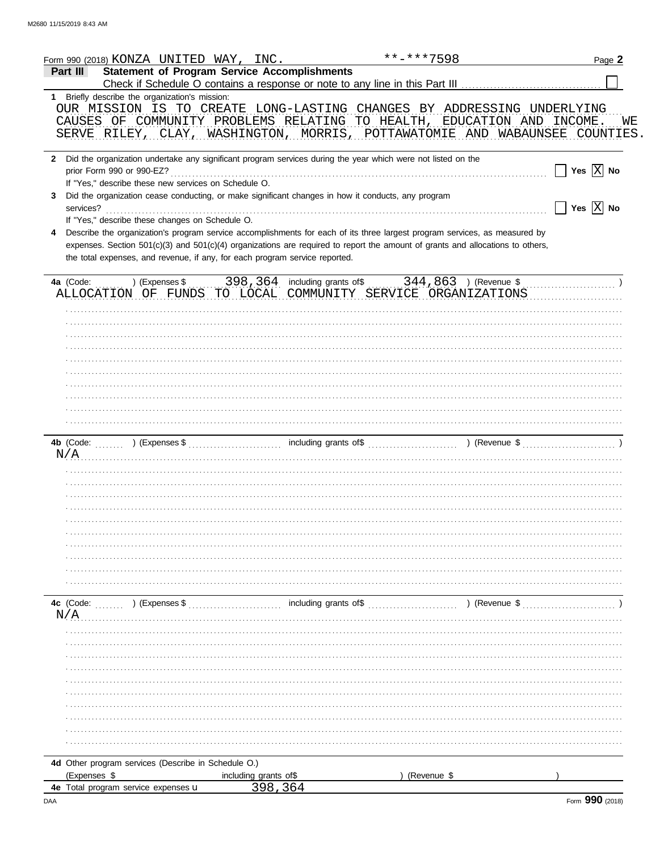| Form 990 (2018) KONZA UNITED WAY, INC.                                                                                         |                       | **-***7598  | Page 2                |
|--------------------------------------------------------------------------------------------------------------------------------|-----------------------|-------------|-----------------------|
| <b>Statement of Program Service Accomplishments</b><br>Part III                                                                |                       |             |                       |
| 1 Briefly describe the organization's mission:                                                                                 |                       |             |                       |
| OUR MISSION IS TO CREATE LONG-LASTING CHANGES BY ADDRESSING UNDERLYING                                                         |                       |             |                       |
| CAUSES OF COMMUNITY PROBLEMS RELATING TO HEALTH, EDUCATION AND INCOME                                                          |                       |             | WЕ                    |
| SERVE RILEY, CLAY, WASHINGTON, MORRIS, POTTAWATOMIE AND WABAUNSEE COUNTIES                                                     |                       |             |                       |
| 2 Did the organization undertake any significant program services during the year which were not listed on the                 |                       |             |                       |
|                                                                                                                                |                       |             | Yes $\overline{X}$ No |
| If "Yes," describe these new services on Schedule O.                                                                           |                       |             |                       |
| Did the organization cease conducting, or make significant changes in how it conducts, any program<br>3                        |                       |             |                       |
| services?                                                                                                                      |                       |             | Yes $X$ No            |
| If "Yes," describe these changes on Schedule O.                                                                                |                       |             |                       |
| Describe the organization's program service accomplishments for each of its three largest program services, as measured by     |                       |             |                       |
| expenses. Section 501(c)(3) and 501(c)(4) organizations are required to report the amount of grants and allocations to others, |                       |             |                       |
| the total expenses, and revenue, if any, for each program service reported.                                                    |                       |             |                       |
|                                                                                                                                |                       |             |                       |
| ALLOCATION OF FUNDS TO LOCAL COMMUNITY SERVICE ORGANIZATIONS                                                                   |                       |             |                       |
|                                                                                                                                |                       |             |                       |
|                                                                                                                                |                       |             |                       |
|                                                                                                                                |                       |             |                       |
|                                                                                                                                |                       |             |                       |
|                                                                                                                                |                       |             |                       |
|                                                                                                                                |                       |             |                       |
|                                                                                                                                |                       |             |                       |
|                                                                                                                                |                       |             |                       |
|                                                                                                                                |                       |             |                       |
|                                                                                                                                |                       |             |                       |
|                                                                                                                                |                       |             |                       |
|                                                                                                                                |                       |             |                       |
| N/A                                                                                                                            |                       |             |                       |
|                                                                                                                                |                       |             |                       |
|                                                                                                                                |                       |             |                       |
|                                                                                                                                |                       |             |                       |
|                                                                                                                                |                       |             |                       |
|                                                                                                                                |                       |             |                       |
|                                                                                                                                |                       |             |                       |
|                                                                                                                                |                       |             |                       |
|                                                                                                                                |                       |             |                       |
|                                                                                                                                |                       |             |                       |
|                                                                                                                                |                       |             |                       |
|                                                                                                                                |                       |             |                       |
|                                                                                                                                |                       |             |                       |
| N/A                                                                                                                            |                       |             |                       |
|                                                                                                                                |                       |             |                       |
|                                                                                                                                |                       |             |                       |
|                                                                                                                                |                       |             |                       |
|                                                                                                                                |                       |             |                       |
|                                                                                                                                |                       |             |                       |
|                                                                                                                                |                       |             |                       |
|                                                                                                                                |                       |             |                       |
|                                                                                                                                |                       |             |                       |
|                                                                                                                                |                       |             |                       |
|                                                                                                                                |                       |             |                       |
|                                                                                                                                |                       |             |                       |
|                                                                                                                                |                       |             |                       |
| 4d Other program services (Describe in Schedule O.)                                                                            |                       |             |                       |
| (Expenses \$                                                                                                                   | including grants of\$ | (Revenue \$ |                       |
| 4e Total program service expenses u                                                                                            | 398.364               |             |                       |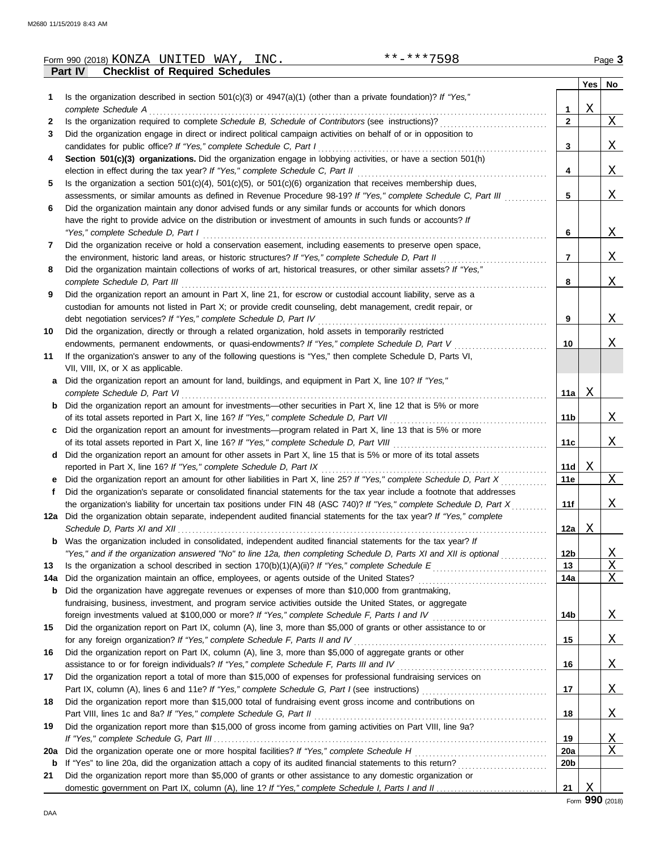|     | **-***7598<br>Form 990 (2018) KONZA UNITED WAY, INC.                                                                    |                 |             | Page 3       |
|-----|-------------------------------------------------------------------------------------------------------------------------|-----------------|-------------|--------------|
|     | <b>Checklist of Required Schedules</b><br><b>Part IV</b>                                                                |                 |             |              |
|     |                                                                                                                         |                 |             | Yes   No     |
| 1   | Is the organization described in section $501(c)(3)$ or $4947(a)(1)$ (other than a private foundation)? If "Yes,"       |                 |             |              |
|     | complete Schedule A                                                                                                     | 1               | Χ           |              |
| 2   | Is the organization required to complete Schedule B, Schedule of Contributors (see instructions)?                       | $\mathbf{2}$    |             | $X_{-}$      |
| 3   | Did the organization engage in direct or indirect political campaign activities on behalf of or in opposition to        |                 |             |              |
|     | candidates for public office? If "Yes," complete Schedule C, Part I                                                     | 3               |             | <u>X</u>     |
| 4   | Section 501(c)(3) organizations. Did the organization engage in lobbying activities, or have a section 501(h)           |                 |             |              |
|     |                                                                                                                         | 4               |             | <u>X</u>     |
| 5   | Is the organization a section $501(c)(4)$ , $501(c)(5)$ , or $501(c)(6)$ organization that receives membership dues,    |                 |             |              |
|     | assessments, or similar amounts as defined in Revenue Procedure 98-19? If "Yes," complete Schedule C, Part III          | 5               |             | <u>X</u>     |
| 6   | Did the organization maintain any donor advised funds or any similar funds or accounts for which donors                 |                 |             |              |
|     | have the right to provide advice on the distribution or investment of amounts in such funds or accounts? If             |                 |             |              |
|     |                                                                                                                         |                 |             |              |
|     | "Yes," complete Schedule D, Part I                                                                                      | 6               |             | $X_{-}$      |
| 7   | Did the organization receive or hold a conservation easement, including easements to preserve open space,               |                 |             |              |
|     | the environment, historic land areas, or historic structures? If "Yes," complete Schedule D, Part II                    | $\overline{7}$  |             | X            |
| 8   | Did the organization maintain collections of works of art, historical treasures, or other similar assets? If "Yes,"     |                 |             |              |
|     | complete Schedule D, Part III                                                                                           | 8               |             | X            |
| 9   | Did the organization report an amount in Part X, line 21, for escrow or custodial account liability, serve as a         |                 |             |              |
|     | custodian for amounts not listed in Part X; or provide credit counseling, debt management, credit repair, or            |                 |             |              |
|     | debt negotiation services? If "Yes," complete Schedule D, Part IV                                                       | 9               |             | X            |
| 10  | Did the organization, directly or through a related organization, hold assets in temporarily restricted                 |                 |             |              |
|     | endowments, permanent endowments, or quasi-endowments? If "Yes," complete Schedule D, Part V                            | 10              |             | X            |
| 11  | If the organization's answer to any of the following questions is "Yes," then complete Schedule D, Parts VI,            |                 |             |              |
|     | VII, VIII, IX, or X as applicable.                                                                                      |                 |             |              |
| а   | Did the organization report an amount for land, buildings, and equipment in Part X, line 10? If "Yes,"                  |                 |             |              |
|     | complete Schedule D, Part VI                                                                                            | 11a             | X           |              |
| b   | Did the organization report an amount for investments—other securities in Part X, line 12 that is 5% or more            |                 |             |              |
|     | of its total assets reported in Part X, line 16? If "Yes," complete Schedule D, Part VII                                | 11 b            |             | X            |
| c   | Did the organization report an amount for investments—program related in Part X, line 13 that is 5% or more             |                 |             |              |
|     | of its total assets reported in Part X, line 16? If "Yes," complete Schedule D, Part VIII                               | 11c             |             | X            |
| d   | Did the organization report an amount for other assets in Part X, line 15 that is 5% or more of its total assets        |                 |             |              |
|     | reported in Part X, line 16? If "Yes," complete Schedule D, Part IX                                                     | 11d             | Χ           |              |
| е   | Did the organization report an amount for other liabilities in Part X, line 25? If "Yes," complete Schedule D, Part X   | 11e             |             | X            |
|     | Did the organization's separate or consolidated financial statements for the tax year include a footnote that addresses |                 |             |              |
|     | the organization's liability for uncertain tax positions under FIN 48 (ASC 740)? If "Yes," complete Schedule D, Part X  | 11f             |             | <u>X</u>     |
|     | 12a Did the organization obtain separate, independent audited financial statements for the tax year? If "Yes," complete |                 |             |              |
|     |                                                                                                                         |                 |             |              |
|     | Was the organization included in consolidated, independent audited financial statements for the tax year? If            | 12a             | Χ           |              |
| b   |                                                                                                                         |                 |             |              |
|     | "Yes," and if the organization answered "No" to line 12a, then completing Schedule D, Parts XI and XII is optional      | 12b             |             | <u>X</u>     |
| 13  |                                                                                                                         | 13              |             | $\mathbf X$  |
| 14a | Did the organization maintain an office, employees, or agents outside of the United States?                             | 14a             |             | X            |
| b   | Did the organization have aggregate revenues or expenses of more than \$10,000 from grantmaking,                        |                 |             |              |
|     | fundraising, business, investment, and program service activities outside the United States, or aggregate               |                 |             |              |
|     | foreign investments valued at \$100,000 or more? If "Yes," complete Schedule F, Parts I and IV                          | 14b             |             | <u>X</u>     |
| 15  | Did the organization report on Part IX, column (A), line 3, more than \$5,000 of grants or other assistance to or       |                 |             |              |
|     | for any foreign organization? If "Yes," complete Schedule F, Parts II and IV                                            | 15              |             | $\mathbf{X}$ |
| 16  | Did the organization report on Part IX, column (A), line 3, more than \$5,000 of aggregate grants or other              |                 |             |              |
|     | assistance to or for foreign individuals? If "Yes," complete Schedule F, Parts III and IV                               | 16              |             | <u>X</u>     |
| 17  | Did the organization report a total of more than \$15,000 of expenses for professional fundraising services on          |                 |             |              |
|     |                                                                                                                         | 17              |             | $\mathbf{X}$ |
| 18  | Did the organization report more than \$15,000 total of fundraising event gross income and contributions on             |                 |             |              |
|     | Part VIII, lines 1c and 8a? If "Yes," complete Schedule G, Part II                                                      | 18              |             | <u>X</u>     |
| 19  | Did the organization report more than \$15,000 of gross income from gaming activities on Part VIII, line 9a?            |                 |             |              |
|     |                                                                                                                         | 19              |             | <u>X</u>     |
| 20a | Did the organization operate one or more hospital facilities? If "Yes," complete Schedule H                             | 20a             |             | $\mathbf X$  |
| b   |                                                                                                                         | 20 <sub>b</sub> |             |              |
| 21  | Did the organization report more than \$5,000 of grants or other assistance to any domestic organization or             |                 |             |              |
|     |                                                                                                                         | 21              | $\mathbf X$ |              |
|     |                                                                                                                         |                 |             |              |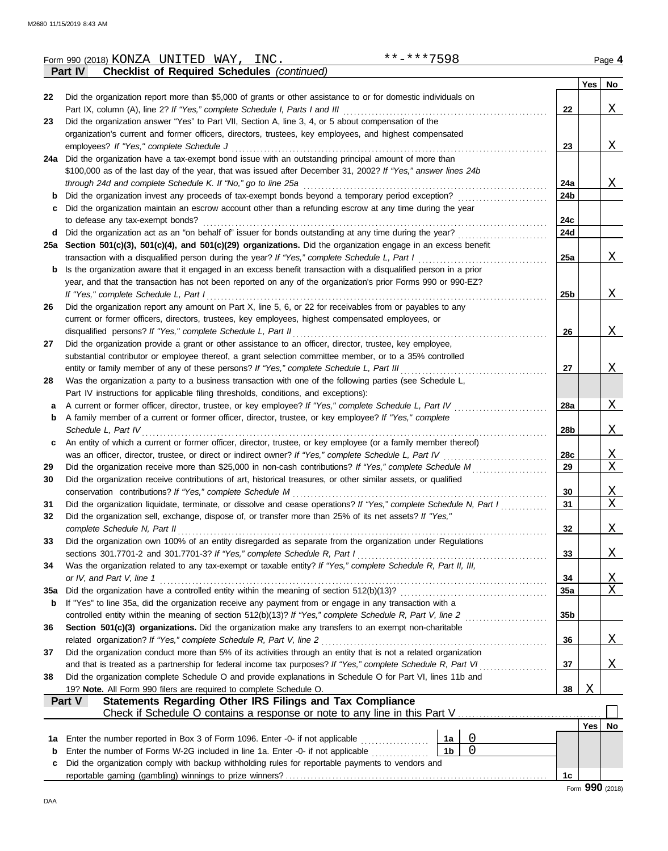|        | **-***7598<br>Form 990 (2018) KONZA UNITED WAY,<br>INC.                                                                                                                                             |                 |     | Page 4                  |
|--------|-----------------------------------------------------------------------------------------------------------------------------------------------------------------------------------------------------|-----------------|-----|-------------------------|
|        | <b>Checklist of Required Schedules (continued)</b><br>Part IV                                                                                                                                       |                 |     |                         |
|        |                                                                                                                                                                                                     |                 | Yes | No                      |
| 22     | Did the organization report more than \$5,000 of grants or other assistance to or for domestic individuals on                                                                                       |                 |     |                         |
|        | Part IX, column (A), line 2? If "Yes," complete Schedule I, Parts I and III                                                                                                                         | 22              |     | Χ                       |
| 23     | Did the organization answer "Yes" to Part VII, Section A, line 3, 4, or 5 about compensation of the                                                                                                 |                 |     |                         |
|        | organization's current and former officers, directors, trustees, key employees, and highest compensated                                                                                             |                 |     |                         |
|        | employees? If "Yes," complete Schedule J                                                                                                                                                            | 23              |     | X                       |
|        | 24a Did the organization have a tax-exempt bond issue with an outstanding principal amount of more than                                                                                             |                 |     |                         |
|        | \$100,000 as of the last day of the year, that was issued after December 31, 2002? If "Yes," answer lines 24b                                                                                       |                 |     |                         |
|        | through 24d and complete Schedule K. If "No," go to line 25a                                                                                                                                        | 24a             |     | <u>x</u>                |
| b      | Did the organization invest any proceeds of tax-exempt bonds beyond a temporary period exception?                                                                                                   | 24b             |     |                         |
| c      | Did the organization maintain an escrow account other than a refunding escrow at any time during the year                                                                                           |                 |     |                         |
|        | to defease any tax-exempt bonds?                                                                                                                                                                    | 24c             |     |                         |
| d      | Did the organization act as an "on behalf of" issuer for bonds outstanding at any time during the year?                                                                                             | 24d             |     |                         |
|        | 25a Section 501(c)(3), 501(c)(4), and 501(c)(29) organizations. Did the organization engage in an excess benefit                                                                                    |                 |     |                         |
|        | transaction with a disqualified person during the year? If "Yes," complete Schedule L, Part I                                                                                                       | 25a             |     | X                       |
| b      | Is the organization aware that it engaged in an excess benefit transaction with a disqualified person in a prior                                                                                    |                 |     |                         |
|        | year, and that the transaction has not been reported on any of the organization's prior Forms 990 or 990-EZ?                                                                                        |                 |     |                         |
|        | If "Yes," complete Schedule L, Part I                                                                                                                                                               | 25 <sub>b</sub> |     | X                       |
| 26     | Did the organization report any amount on Part X, line 5, 6, or 22 for receivables from or payables to any                                                                                          |                 |     |                         |
|        | current or former officers, directors, trustees, key employees, highest compensated employees, or                                                                                                   |                 |     | X                       |
|        | disqualified persons? If "Yes," complete Schedule L, Part II<br>Did the organization provide a grant or other assistance to an officer, director, trustee, key employee,                            | 26              |     |                         |
| 27     |                                                                                                                                                                                                     |                 |     |                         |
|        | substantial contributor or employee thereof, a grant selection committee member, or to a 35% controlled<br>entity or family member of any of these persons? If "Yes," complete Schedule L, Part III | 27              |     | X                       |
| 28     | Was the organization a party to a business transaction with one of the following parties (see Schedule L,                                                                                           |                 |     |                         |
|        |                                                                                                                                                                                                     |                 |     |                         |
|        | Part IV instructions for applicable filing thresholds, conditions, and exceptions):<br>A current or former officer, director, trustee, or key employee? If "Yes," complete Schedule L, Part IV      | 28a             |     | X                       |
| a<br>b | A family member of a current or former officer, director, trustee, or key employee? If "Yes," complete                                                                                              |                 |     |                         |
|        | Schedule L, Part IV                                                                                                                                                                                 | 28b             |     | Χ                       |
| c      | An entity of which a current or former officer, director, trustee, or key employee (or a family member thereof)                                                                                     |                 |     |                         |
|        | was an officer, director, trustee, or direct or indirect owner? If "Yes," complete Schedule L, Part IV                                                                                              | 28c             |     | $\mathbf{X}$            |
| 29     | Did the organization receive more than \$25,000 in non-cash contributions? If "Yes," complete Schedule M                                                                                            | 29              |     | X                       |
| 30     | Did the organization receive contributions of art, historical treasures, or other similar assets, or qualified                                                                                      |                 |     |                         |
|        | conservation contributions? If "Yes," complete Schedule M                                                                                                                                           | 30              |     | $\mathbf{X}$            |
| 31     | Did the organization liquidate, terminate, or dissolve and cease operations? If "Yes," complete Schedule N, Part I                                                                                  | 31              |     | X                       |
| 32     | Did the organization sell, exchange, dispose of, or transfer more than 25% of its net assets? If "Yes,"                                                                                             |                 |     |                         |
|        | complete Schedule N, Part II                                                                                                                                                                        | 32              |     | <u>X</u>                |
| 33     | Did the organization own 100% of an entity disregarded as separate from the organization under Regulations                                                                                          |                 |     |                         |
|        | sections 301.7701-2 and 301.7701-3? If "Yes," complete Schedule R, Part I                                                                                                                           | 33              |     | <u>X</u>                |
| 34     | Was the organization related to any tax-exempt or taxable entity? If "Yes," complete Schedule R, Part II, III,                                                                                      |                 |     |                         |
|        | or IV, and Part V, line 1                                                                                                                                                                           | 34              |     | $\overline{\mathrm{X}}$ |
| 35a    |                                                                                                                                                                                                     | 35a             |     | X                       |
| b      | If "Yes" to line 35a, did the organization receive any payment from or engage in any transaction with a                                                                                             |                 |     |                         |
|        | controlled entity within the meaning of section 512(b)(13)? If "Yes," complete Schedule R, Part V, line 2                                                                                           | 35 <sub>b</sub> |     |                         |
| 36     | Section 501(c)(3) organizations. Did the organization make any transfers to an exempt non-charitable                                                                                                |                 |     |                         |
|        | related organization? If "Yes," complete Schedule R, Part V, line 2                                                                                                                                 | 36              |     | <u>X</u>                |
| 37     | Did the organization conduct more than 5% of its activities through an entity that is not a related organization                                                                                    |                 |     |                         |
|        | and that is treated as a partnership for federal income tax purposes? If "Yes," complete Schedule R, Part VI                                                                                        | 37              |     | <u>X</u>                |
| 38     | Did the organization complete Schedule O and provide explanations in Schedule O for Part VI, lines 11b and                                                                                          |                 |     |                         |
|        | 19? Note. All Form 990 filers are required to complete Schedule O.                                                                                                                                  | 38              | Χ   |                         |
|        | Statements Regarding Other IRS Filings and Tax Compliance<br>Part V                                                                                                                                 |                 |     |                         |
|        |                                                                                                                                                                                                     |                 |     |                         |
|        |                                                                                                                                                                                                     |                 | Yes | No                      |
| 1a     | 0<br>Enter the number reported in Box 3 of Form 1096. Enter -0- if not applicable <i>minimization</i><br>1a                                                                                         |                 |     |                         |
| b      | $\overline{0}$<br>1 <sub>b</sub><br>Enter the number of Forms W-2G included in line 1a. Enter -0- if not applicable                                                                                 |                 |     |                         |
| с      | Did the organization comply with backup withholding rules for reportable payments to vendors and                                                                                                    |                 |     |                         |
|        |                                                                                                                                                                                                     | 1c              |     |                         |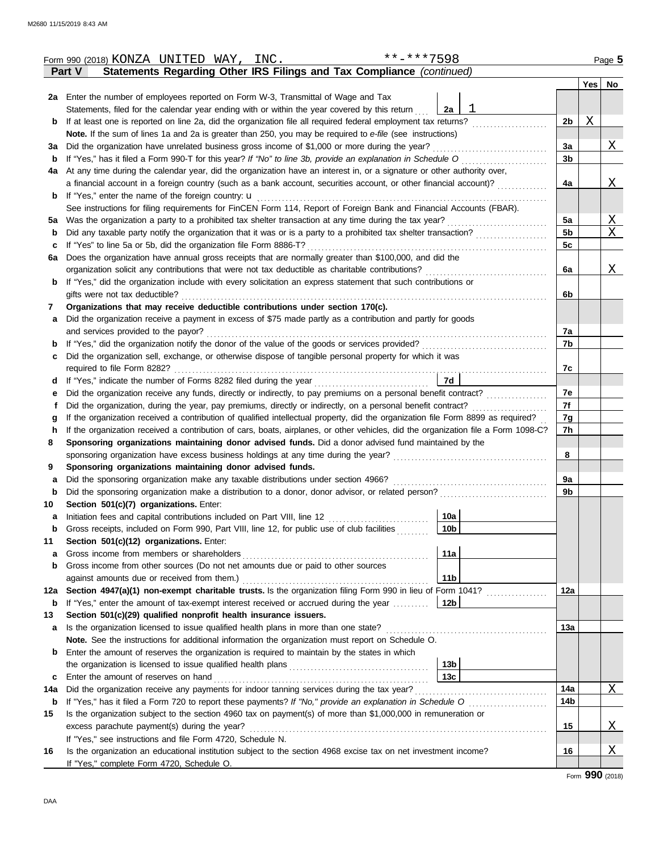|        | Form 990 (2018) KONZA UNITED WAY, INC.                                                                                                          | **-***7598      |                |   | Page 5   |  |  |  |  |  |  |
|--------|-------------------------------------------------------------------------------------------------------------------------------------------------|-----------------|----------------|---|----------|--|--|--|--|--|--|
|        | Statements Regarding Other IRS Filings and Tax Compliance (continued)<br><b>Part V</b>                                                          |                 |                |   |          |  |  |  |  |  |  |
|        |                                                                                                                                                 |                 |                |   | Yes   No |  |  |  |  |  |  |
|        | <b>2a</b> Enter the number of employees reported on Form W-3, Transmittal of Wage and Tax                                                       |                 |                |   |          |  |  |  |  |  |  |
|        | Statements, filed for the calendar year ending with or within the year covered by this return                                                   | 2a              |                |   |          |  |  |  |  |  |  |
| b      | If at least one is reported on line 2a, did the organization file all required federal employment tax returns?                                  |                 | 2 <sub>b</sub> | Χ |          |  |  |  |  |  |  |
|        | Note. If the sum of lines 1a and 2a is greater than 250, you may be required to e-file (see instructions)                                       |                 |                |   |          |  |  |  |  |  |  |
| За     | Did the organization have unrelated business gross income of \$1,000 or more during the year?                                                   |                 |                |   |          |  |  |  |  |  |  |
| b      | If "Yes," has it filed a Form 990-T for this year? If "No" to line 3b, provide an explanation in Schedule O                                     |                 | 3 <sub>b</sub> |   |          |  |  |  |  |  |  |
| 4a     | At any time during the calendar year, did the organization have an interest in, or a signature or other authority over,                         |                 |                |   |          |  |  |  |  |  |  |
|        | a financial account in a foreign country (such as a bank account, securities account, or other financial account)?                              |                 | 4a             |   | <u>X</u> |  |  |  |  |  |  |
| b      | If "Yes," enter the name of the foreign country: $\mathbf{u}$                                                                                   |                 |                |   |          |  |  |  |  |  |  |
|        | See instructions for filing requirements for FinCEN Form 114, Report of Foreign Bank and Financial Accounts (FBAR).                             |                 |                |   |          |  |  |  |  |  |  |
| 5а     | Was the organization a party to a prohibited tax shelter transaction at any time during the tax year?                                           |                 | 5a             |   | <u>X</u> |  |  |  |  |  |  |
| b      |                                                                                                                                                 |                 | 5 <sub>b</sub> |   | Χ        |  |  |  |  |  |  |
| c      | If "Yes" to line 5a or 5b, did the organization file Form 8886-T?                                                                               |                 | 5c             |   |          |  |  |  |  |  |  |
| 6a     | Does the organization have annual gross receipts that are normally greater than \$100,000, and did the                                          |                 |                |   |          |  |  |  |  |  |  |
|        | organization solicit any contributions that were not tax deductible as charitable contributions?                                                |                 | 6a             |   | Χ        |  |  |  |  |  |  |
| b      | If "Yes," did the organization include with every solicitation an express statement that such contributions or                                  |                 |                |   |          |  |  |  |  |  |  |
|        | gifts were not tax deductible?                                                                                                                  |                 | 6b             |   |          |  |  |  |  |  |  |
| 7      | Organizations that may receive deductible contributions under section 170(c).                                                                   |                 |                |   |          |  |  |  |  |  |  |
| а      | Did the organization receive a payment in excess of \$75 made partly as a contribution and partly for goods                                     |                 |                |   |          |  |  |  |  |  |  |
|        | and services provided to the payor?                                                                                                             |                 | 7a             |   |          |  |  |  |  |  |  |
| b      |                                                                                                                                                 |                 | 7b             |   |          |  |  |  |  |  |  |
| c      | Did the organization sell, exchange, or otherwise dispose of tangible personal property for which it was                                        |                 |                |   |          |  |  |  |  |  |  |
|        | required to file Form 8282?                                                                                                                     |                 | 7c             |   |          |  |  |  |  |  |  |
| d      |                                                                                                                                                 | <b>7d</b>       |                |   |          |  |  |  |  |  |  |
| е      | Did the organization receive any funds, directly or indirectly, to pay premiums on a personal benefit contract?                                 |                 | 7e             |   |          |  |  |  |  |  |  |
|        | Did the organization, during the year, pay premiums, directly or indirectly, on a personal benefit contract?                                    |                 | 7f             |   |          |  |  |  |  |  |  |
| g      | If the organization received a contribution of qualified intellectual property, did the organization file Form 8899 as required?                |                 | 7g             |   |          |  |  |  |  |  |  |
| h      | If the organization received a contribution of cars, boats, airplanes, or other vehicles, did the organization file a Form 1098-C?              |                 | 7h             |   |          |  |  |  |  |  |  |
| 8      | Sponsoring organizations maintaining donor advised funds. Did a donor advised fund maintained by the                                            |                 |                |   |          |  |  |  |  |  |  |
|        | sponsoring organization have excess business holdings at any time during the year?                                                              |                 | 8              |   |          |  |  |  |  |  |  |
| 9      | Sponsoring organizations maintaining donor advised funds.<br>Did the sponsoring organization make any taxable distributions under section 4966? |                 | 9a             |   |          |  |  |  |  |  |  |
| а<br>b | Did the sponsoring organization make a distribution to a donor, donor advisor, or related person?                                               |                 | 9b             |   |          |  |  |  |  |  |  |
| 10     | Section 501(c)(7) organizations. Enter:                                                                                                         |                 |                |   |          |  |  |  |  |  |  |
| а      | Initiation fees and capital contributions included on Part VIII, line 12                                                                        | 10a             |                |   |          |  |  |  |  |  |  |
| b      | Gross receipts, included on Form 990, Part VIII, line 12, for public use of club facilities                                                     | 10 <sub>b</sub> |                |   |          |  |  |  |  |  |  |
| 11     | Section 501(c)(12) organizations. Enter:                                                                                                        |                 |                |   |          |  |  |  |  |  |  |
| a      | Gross income from members or shareholders                                                                                                       | 11a             |                |   |          |  |  |  |  |  |  |
| b      | Gross income from other sources (Do not net amounts due or paid to other sources                                                                |                 |                |   |          |  |  |  |  |  |  |
|        | against amounts due or received from them.)                                                                                                     | 11 <sub>b</sub> |                |   |          |  |  |  |  |  |  |
| 12a    | Section 4947(a)(1) non-exempt charitable trusts. Is the organization filing Form 990 in lieu of Form 1041?                                      |                 | 12a            |   |          |  |  |  |  |  |  |
| b      | If "Yes," enter the amount of tax-exempt interest received or accrued during the year                                                           | 12b             |                |   |          |  |  |  |  |  |  |
| 13     | Section 501(c)(29) qualified nonprofit health insurance issuers.                                                                                |                 |                |   |          |  |  |  |  |  |  |
| а      | Is the organization licensed to issue qualified health plans in more than one state?                                                            |                 | 13а            |   |          |  |  |  |  |  |  |
|        | Note. See the instructions for additional information the organization must report on Schedule O.                                               |                 |                |   |          |  |  |  |  |  |  |
| b      | Enter the amount of reserves the organization is required to maintain by the states in which                                                    |                 |                |   |          |  |  |  |  |  |  |
|        |                                                                                                                                                 | 13 <sub>b</sub> |                |   |          |  |  |  |  |  |  |
| с      | Enter the amount of reserves on hand                                                                                                            | 13 <sub>c</sub> |                |   |          |  |  |  |  |  |  |
| 14a    | Did the organization receive any payments for indoor tanning services during the tax year?                                                      |                 | 14a            |   | Χ        |  |  |  |  |  |  |
| b      |                                                                                                                                                 |                 | 14b            |   |          |  |  |  |  |  |  |
| 15     | Is the organization subject to the section 4960 tax on payment(s) of more than \$1,000,000 in remuneration or                                   |                 |                |   |          |  |  |  |  |  |  |
|        | excess parachute payment(s) during the year?                                                                                                    |                 | 15             |   | Χ        |  |  |  |  |  |  |
|        | If "Yes," see instructions and file Form 4720, Schedule N.                                                                                      |                 |                |   |          |  |  |  |  |  |  |
| 16     | Is the organization an educational institution subject to the section 4968 excise tax on net investment income?                                 |                 | 16             |   | Χ        |  |  |  |  |  |  |
|        | If "Yes," complete Form 4720, Schedule O.                                                                                                       |                 |                |   |          |  |  |  |  |  |  |

Form **990** (2018)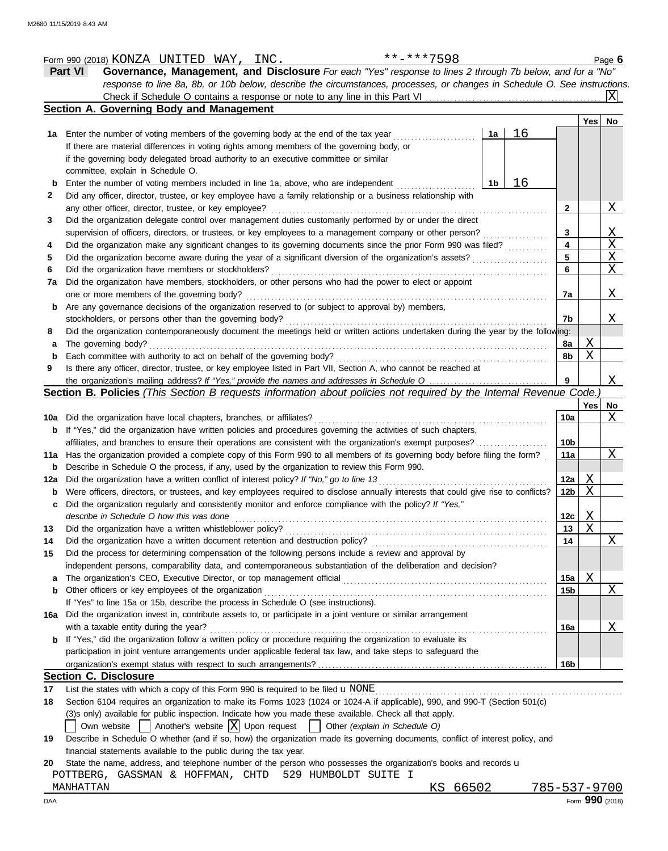|                                                                 | **-***7598<br>Form 990 (2018) KONZA UNITED WAY, INC.<br>Part VI                                                                                                                                                                         |    |    |                         |                         | Page 6         |
|-----------------------------------------------------------------|-----------------------------------------------------------------------------------------------------------------------------------------------------------------------------------------------------------------------------------------|----|----|-------------------------|-------------------------|----------------|
|                                                                 | Governance, Management, and Disclosure For each "Yes" response to lines 2 through 7b below, and for a "No"<br>response to line 8a, 8b, or 10b below, describe the circumstances, processes, or changes in Schedule O. See instructions. |    |    |                         |                         |                |
|                                                                 |                                                                                                                                                                                                                                         |    |    |                         |                         | lxl            |
|                                                                 | Section A. Governing Body and Management                                                                                                                                                                                                |    |    |                         |                         |                |
|                                                                 |                                                                                                                                                                                                                                         |    |    |                         | Yes                     | No             |
|                                                                 |                                                                                                                                                                                                                                         | 1a | 16 |                         |                         |                |
|                                                                 | If there are material differences in voting rights among members of the governing body, or                                                                                                                                              |    |    |                         |                         |                |
|                                                                 | if the governing body delegated broad authority to an executive committee or similar                                                                                                                                                    |    |    |                         |                         |                |
|                                                                 | committee, explain in Schedule O.                                                                                                                                                                                                       |    |    |                         |                         |                |
| b                                                               | Enter the number of voting members included in line 1a, above, who are independent                                                                                                                                                      | 1b | 16 |                         |                         |                |
| 2                                                               | Did any officer, director, trustee, or key employee have a family relationship or a business relationship with                                                                                                                          |    |    |                         |                         |                |
|                                                                 | any other officer, director, trustee, or key employee?                                                                                                                                                                                  |    |    | 2                       |                         | Χ              |
| 3                                                               | Did the organization delegate control over management duties customarily performed by or under the direct                                                                                                                               |    |    |                         |                         |                |
|                                                                 | supervision of officers, directors, or trustees, or key employees to a management company or other person?                                                                                                                              |    |    | 3                       |                         | $\mathbf{X}$   |
| 4                                                               | Did the organization make any significant changes to its governing documents since the prior Form 990 was filed?                                                                                                                        |    |    | $\overline{\mathbf{4}}$ |                         | $\overline{X}$ |
|                                                                 | Did the organization become aware during the year of a significant diversion of the organization's assets?                                                                                                                              |    |    | 5 <sup>5</sup>          |                         | $\overline{X}$ |
|                                                                 |                                                                                                                                                                                                                                         |    |    | 6                       |                         | $\overline{X}$ |
| 7a                                                              | Did the organization have members, stockholders, or other persons who had the power to elect or appoint                                                                                                                                 |    |    |                         |                         |                |
|                                                                 | one or more members of the governing body?                                                                                                                                                                                              |    |    | 7a                      |                         | X              |
| b                                                               | Are any governance decisions of the organization reserved to (or subject to approval by) members,                                                                                                                                       |    |    |                         |                         |                |
|                                                                 | stockholders, or persons other than the governing body?<br>Did the organization contemporaneously document the meetings held or written actions undertaken during the year by the following:                                            |    |    | 7b                      |                         | Χ              |
| 8<br>a                                                          | The governing body?                                                                                                                                                                                                                     |    |    | 8a                      | $\overline{\mathrm{X}}$ |                |
| b                                                               | Each committee with authority to act on behalf of the governing body?                                                                                                                                                                   |    |    | 8b                      | $\mathbf{X}$            |                |
| 9                                                               | Is there any officer, director, trustee, or key employee listed in Part VII, Section A, who cannot be reached at                                                                                                                        |    |    |                         |                         |                |
|                                                                 | the organization's mailing address? If "Yes," provide the names and addresses in Schedule O                                                                                                                                             |    |    | 9                       |                         | Χ              |
|                                                                 | Section B. Policies (This Section B requests information about policies not required by the Internal Revenue Code.)                                                                                                                     |    |    |                         |                         |                |
|                                                                 |                                                                                                                                                                                                                                         |    |    |                         | Yes   No                |                |
| 10a                                                             |                                                                                                                                                                                                                                         |    |    |                         |                         |                |
|                                                                 | Did the organization have local chapters, branches, or affiliates?                                                                                                                                                                      |    |    | 10a                     |                         |                |
|                                                                 | If "Yes," did the organization have written policies and procedures governing the activities of such chapters,                                                                                                                          |    |    |                         |                         |                |
|                                                                 | affiliates, and branches to ensure their operations are consistent with the organization's exempt purposes?                                                                                                                             |    |    | 10 <sub>b</sub>         |                         |                |
|                                                                 | 11a Has the organization provided a complete copy of this Form 990 to all members of its governing body before filing the form?                                                                                                         |    |    | 11a                     |                         |                |
|                                                                 | Describe in Schedule O the process, if any, used by the organization to review this Form 990.                                                                                                                                           |    |    |                         |                         |                |
|                                                                 | 12a Did the organization have a written conflict of interest policy? If "No," go to line 13                                                                                                                                             |    |    | 12a                     | Χ                       | Χ<br>X         |
|                                                                 | Were officers, directors, or trustees, and key employees required to disclose annually interests that could give rise to conflicts?   12b                                                                                               |    |    |                         | $\mathbf X$             |                |
|                                                                 | Did the organization regularly and consistently monitor and enforce compliance with the policy? If "Yes,"                                                                                                                               |    |    |                         |                         |                |
|                                                                 | describe in Schedule O how this was done                                                                                                                                                                                                |    |    | 12c                     | <u>X</u>                |                |
|                                                                 | Did the organization have a written whistleblower policy?                                                                                                                                                                               |    |    | 13                      | $\mathbf X$             |                |
|                                                                 | Did the organization have a written document retention and destruction policy?                                                                                                                                                          |    |    | 14                      |                         |                |
|                                                                 | Did the process for determining compensation of the following persons include a review and approval by                                                                                                                                  |    |    |                         |                         |                |
|                                                                 | independent persons, comparability data, and contemporaneous substantiation of the deliberation and decision?                                                                                                                           |    |    |                         |                         |                |
|                                                                 | The organization's CEO, Executive Director, or top management official                                                                                                                                                                  |    |    | 15a                     | X                       |                |
|                                                                 | Other officers or key employees of the organization                                                                                                                                                                                     |    |    | 15 <sub>b</sub>         |                         |                |
|                                                                 | If "Yes" to line 15a or 15b, describe the process in Schedule O (see instructions).                                                                                                                                                     |    |    |                         |                         |                |
|                                                                 | Did the organization invest in, contribute assets to, or participate in a joint venture or similar arrangement                                                                                                                          |    |    |                         |                         | Χ<br>Χ         |
|                                                                 | with a taxable entity during the year?                                                                                                                                                                                                  |    |    | 16a                     |                         | Χ              |
|                                                                 | If "Yes," did the organization follow a written policy or procedure requiring the organization to evaluate its                                                                                                                          |    |    |                         |                         |                |
|                                                                 | participation in joint venture arrangements under applicable federal tax law, and take steps to safeguard the                                                                                                                           |    |    |                         |                         |                |
|                                                                 |                                                                                                                                                                                                                                         |    |    | 16b                     |                         |                |
|                                                                 | <b>Section C. Disclosure</b>                                                                                                                                                                                                            |    |    |                         |                         |                |
| b<br>b<br>c<br>13<br>14<br>15<br>a<br>b<br>16a<br>b<br>17<br>18 | List the states with which a copy of this Form 990 is required to be filed $\mathbf u$ NONE                                                                                                                                             |    |    |                         |                         |                |
|                                                                 | Section 6104 requires an organization to make its Forms 1023 (1024 or 1024-A if applicable), 990, and 990-T (Section 501(c)<br>(3) sonly) available for public inspection. Indicate how you made these available. Check all that apply. |    |    |                         |                         |                |
|                                                                 | Another's website $ X $ Upon request<br>Other (explain in Schedule O)<br>Own website                                                                                                                                                    |    |    |                         |                         |                |

financial statements available to the public during the tax year.

20 State the name, address, and telephone number of the person who possesses the organization's books and records u

POTTBERG, GASSMAN & HOFFMAN, CHTD 529 HUMBOLDT SUITE I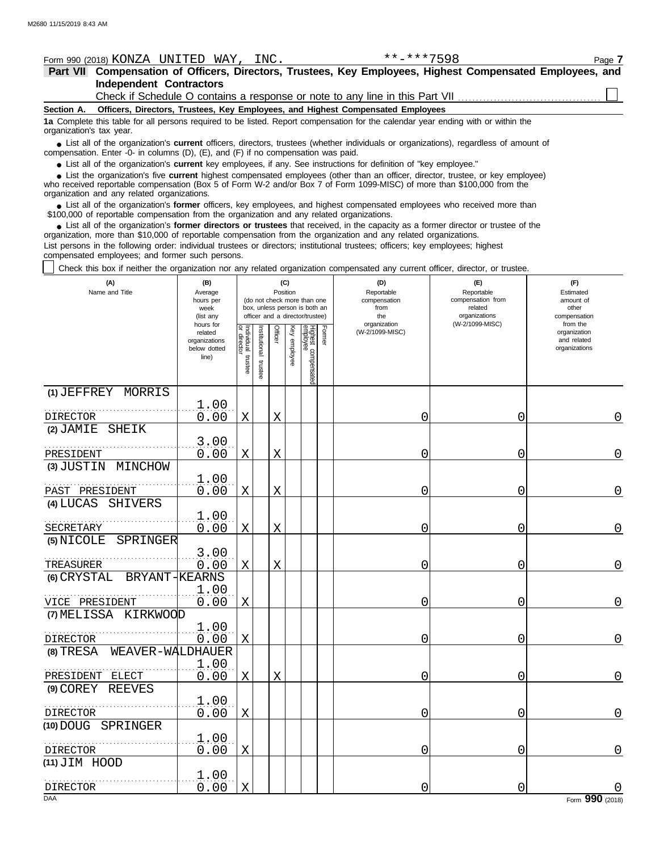## Form 990 (2018) Page **7** KONZA UNITED WAY, INC. \*\*-\*\*\*7598

|                          | Part VII Compensation of Officers, Directors, Trustees, Key Employees, Highest Compensated Employees, and                                                                                                                               |  |
|--------------------------|-----------------------------------------------------------------------------------------------------------------------------------------------------------------------------------------------------------------------------------------|--|
|                          | <b>Independent Contractors</b>                                                                                                                                                                                                          |  |
|                          |                                                                                                                                                                                                                                         |  |
|                          | Section A. Officers, Directors, Trustees, Key Employees, and Highest Compensated Employees                                                                                                                                              |  |
| organization's tax year. | 1a Complete this table for all persons required to be listed. Report compensation for the calendar year ending with or within the                                                                                                       |  |
|                          | • List all of the organization's <b>current</b> officers, directors, trustees (whether individuals or organizations), regardless of amount of<br>compensation. Enter -0- in columns (D), $(E)$ , and $(F)$ if no compensation was paid. |  |

● List all of the organization's **current** key employees, if any. See instructions for definition of "key employee."

who received reportable compensation (Box 5 of Form W-2 and/or Box 7 of Form 1099-MISC) of more than \$100,000 from the organization and any related organizations. ■ List the organization's five **current** highest compensated employees (other than an officer, director, trustee, or key employee)<br>
a received reportable compensation (Box 5 of Form W-2 and/or Box 7 of Form 1099-MISC) of

List all of the organization's **former** officers, key employees, and highest compensated employees who received more than • List all of the organization's **former** officers, key employees, and highest compensate \$100,000 of reportable compensation from the organization and any related organizations.

■ List all of the organization's **former directors or trustees** that received, in the capacity as a former director or trustee of the anization more than \$10,000 of reportable compensation from the organization and any re organization, more than \$10,000 of reportable compensation from the organization and any related organizations.

List persons in the following order: individual trustees or directors; institutional trustees; officers; key employees; highest compensated employees; and former such persons.

Check this box if neither the organization nor any related organization compensated any current officer, director, or trustee.

| (A)<br>Name and Title              | (B)<br>Average<br>hours per<br>week<br>(list any               |                                   |                         | Position    | (C)             | (do not check more than one<br>box, unless person is both an<br>officer and a director/trustee) | (D)<br>Reportable<br>compensation<br>from<br>the | (E)<br>Reportable<br>compensation from<br>related<br>organizations | (F)<br>Estimated<br>amount of<br>other<br>compensation   |
|------------------------------------|----------------------------------------------------------------|-----------------------------------|-------------------------|-------------|-----------------|-------------------------------------------------------------------------------------------------|--------------------------------------------------|--------------------------------------------------------------------|----------------------------------------------------------|
|                                    | hours for<br>related<br>organizations<br>below dotted<br>line) | Individual trustee<br>or director | nstitutional<br>trustee | Officer     | Ķey<br>employee | Former<br>Highest compensated<br><sup>employee</sup>                                            | organization<br>(W-2/1099-MISC)                  | (W-2/1099-MISC)                                                    | from the<br>organization<br>and related<br>organizations |
| (1) JEFFREY MORRIS                 | 1.00                                                           |                                   |                         |             |                 |                                                                                                 |                                                  |                                                                    |                                                          |
| <b>DIRECTOR</b>                    | 0.00                                                           | Χ                                 |                         | X           |                 |                                                                                                 | 0                                                | 0                                                                  | 0                                                        |
| $(2)$ JAMIE<br><b>SHEIK</b>        |                                                                |                                   |                         |             |                 |                                                                                                 |                                                  |                                                                    |                                                          |
|                                    | 3.00                                                           |                                   |                         |             |                 |                                                                                                 |                                                  |                                                                    |                                                          |
| PRESIDENT<br>(3) JUSTIN<br>MINCHOW | 0.00                                                           | $\mathbf X$                       |                         | X           |                 |                                                                                                 | 0                                                | 0                                                                  | $\mathbf 0$                                              |
|                                    | 1.00                                                           |                                   |                         |             |                 |                                                                                                 |                                                  |                                                                    |                                                          |
| PAST PRESIDENT                     | 0.00                                                           | $\mathbf X$                       |                         | X           |                 |                                                                                                 | Ω                                                | 0                                                                  | $\Omega$                                                 |
| $(4)$ LUCAS<br>SHIVERS             |                                                                |                                   |                         |             |                 |                                                                                                 |                                                  |                                                                    |                                                          |
| SECRETARY                          | 1.00<br>0.00                                                   | $\mathbf X$                       |                         | $\mathbf X$ |                 |                                                                                                 | 0                                                | 0                                                                  | $\mathbf 0$                                              |
| (5) NICOLE<br>SPRINGER             |                                                                |                                   |                         |             |                 |                                                                                                 |                                                  |                                                                    |                                                          |
| TREASURER                          | 3.00<br>0.00                                                   | X                                 |                         | X           |                 |                                                                                                 | Λ                                                | 0                                                                  | 0                                                        |
| BRYANT-KEARNS<br>(6) CRYSTAL       |                                                                |                                   |                         |             |                 |                                                                                                 |                                                  |                                                                    |                                                          |
| VICE PRESIDENT                     | 1.00<br>0.00                                                   | $\mathbf X$                       |                         |             |                 |                                                                                                 | 0                                                | 0                                                                  | $\overline{0}$                                           |
| (7) MELISSA<br>KIRKWOOD            |                                                                |                                   |                         |             |                 |                                                                                                 |                                                  |                                                                    |                                                          |
|                                    | 1.00                                                           |                                   |                         |             |                 |                                                                                                 |                                                  |                                                                    |                                                          |
| <b>DIRECTOR</b>                    | 0.00                                                           | $\mathbf X$                       |                         |             |                 |                                                                                                 | 0                                                | 0                                                                  | $\overline{0}$                                           |
| $(8)$ TRESA<br>WEAVER-WALDHAUER    |                                                                |                                   |                         |             |                 |                                                                                                 |                                                  |                                                                    |                                                          |
| PRESIDENT<br>ELECT                 | 1.00<br>0.00                                                   | $\mathbf X$                       |                         | X           |                 |                                                                                                 | Ⴖ                                                | 0                                                                  | $\Omega$                                                 |
| (9) COREY REEVES                   |                                                                |                                   |                         |             |                 |                                                                                                 |                                                  |                                                                    |                                                          |
|                                    | 1.00                                                           |                                   |                         |             |                 |                                                                                                 |                                                  |                                                                    |                                                          |
| <b>DIRECTOR</b>                    | 0.00                                                           | X                                 |                         |             |                 |                                                                                                 | Ω                                                | 0                                                                  | $\overline{0}$                                           |
| (10) DOUG SPRINGER                 |                                                                |                                   |                         |             |                 |                                                                                                 |                                                  |                                                                    |                                                          |
| DIRECTOR                           | 1.00<br>0.00                                                   | Χ                                 |                         |             |                 |                                                                                                 | Ω                                                | 0                                                                  | 0                                                        |
| (11) JIM HOOD                      |                                                                |                                   |                         |             |                 |                                                                                                 |                                                  |                                                                    |                                                          |
|                                    | 1.00                                                           |                                   |                         |             |                 |                                                                                                 |                                                  |                                                                    |                                                          |
| DIRECTOR<br><b>DAA</b>             | 0.00                                                           | X                                 |                         |             |                 |                                                                                                 | 0                                                | 0                                                                  | Form 990 (2018)                                          |
|                                    |                                                                |                                   |                         |             |                 |                                                                                                 |                                                  |                                                                    |                                                          |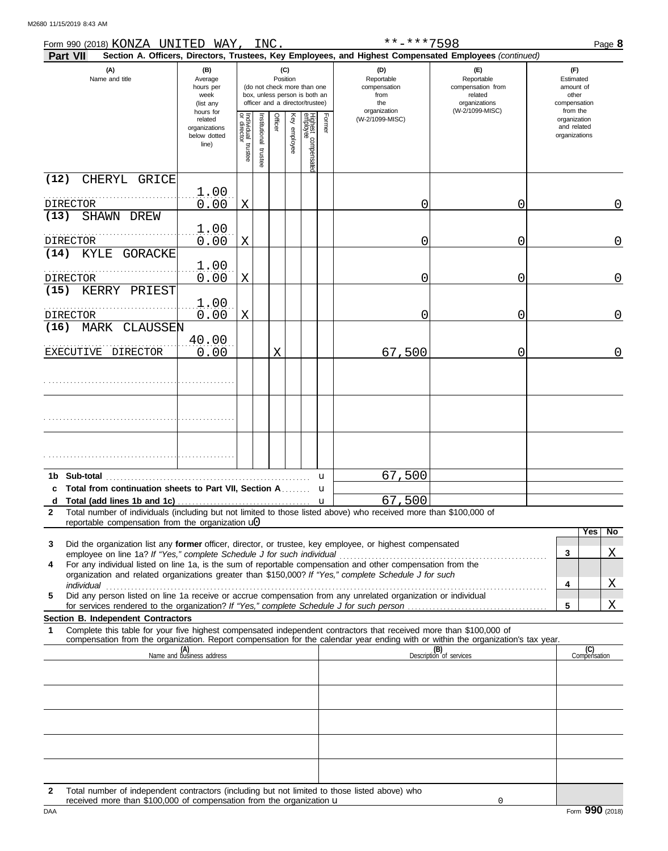M2680 11/15/2019 8:43 AM

| Form 990 (2018) KONZA UNITED WAY,<br>Part VII                                                                                                                                                                             |                                                                |                                                                                                                    | INC.                    |         |              |                                 |        | **-***7598<br>Section A. Officers, Directors, Trustees, Key Employees, and Highest Compensated Employees (continued) |                                                                    |                                                          | Page 8              |
|---------------------------------------------------------------------------------------------------------------------------------------------------------------------------------------------------------------------------|----------------------------------------------------------------|--------------------------------------------------------------------------------------------------------------------|-------------------------|---------|--------------|---------------------------------|--------|----------------------------------------------------------------------------------------------------------------------|--------------------------------------------------------------------|----------------------------------------------------------|---------------------|
| (A)<br>Name and title                                                                                                                                                                                                     | (B)<br>Average<br>hours per<br>week<br>(list any               | (C)<br>Position<br>(do not check more than one<br>box, unless person is both an<br>officer and a director/trustee) |                         |         |              |                                 |        | (D)<br>Reportable<br>compensation<br>from<br>the                                                                     | (E)<br>Reportable<br>compensation from<br>related<br>organizations | (F)<br>Estimated<br>amount of<br>other<br>compensation   |                     |
|                                                                                                                                                                                                                           | hours for<br>related<br>organizations<br>below dotted<br>line) | Individual<br>or director<br>trustee                                                                               | nstitutional<br>trustee | Officer | Key employee | Highest compensatec<br>employee | Former | organization<br>(W-2/1099-MISC)                                                                                      | (W-2/1099-MISC)                                                    | from the<br>organization<br>and related<br>organizations |                     |
| (12)<br>CHERYL GRICE                                                                                                                                                                                                      |                                                                |                                                                                                                    |                         |         |              |                                 |        |                                                                                                                      |                                                                    |                                                          |                     |
| DIRECTOR                                                                                                                                                                                                                  | 1.00<br>0.00                                                   | X                                                                                                                  |                         |         |              |                                 |        | $\left( \right)$                                                                                                     | 0                                                                  |                                                          | 0                   |
| (13)<br>SHAWN DREW                                                                                                                                                                                                        | 1.00<br>0.00                                                   | X                                                                                                                  |                         |         |              |                                 |        | $\left( \right)$                                                                                                     | 0                                                                  |                                                          | 0                   |
| DIRECTOR<br>(14)<br>KYLE<br>GORACKE                                                                                                                                                                                       |                                                                |                                                                                                                    |                         |         |              |                                 |        |                                                                                                                      |                                                                    |                                                          |                     |
| DIRECTOR<br>(15)<br>KERRY PRIEST                                                                                                                                                                                          | 1.00<br>0.00                                                   | X                                                                                                                  |                         |         |              |                                 |        | $\left( \right)$                                                                                                     | 0                                                                  |                                                          | 0                   |
| <b>DIRECTOR</b>                                                                                                                                                                                                           | 1.00<br>0.00                                                   | X                                                                                                                  |                         |         |              |                                 |        | $\left( \right)$                                                                                                     | 0                                                                  |                                                          | 0                   |
| (16)<br>MARK CLAUSSEN                                                                                                                                                                                                     | 40.00                                                          |                                                                                                                    |                         |         |              |                                 |        |                                                                                                                      |                                                                    |                                                          |                     |
| EXECUTIVE DIRECTOR                                                                                                                                                                                                        | 0.00                                                           |                                                                                                                    |                         | Χ       |              |                                 |        | 67,500                                                                                                               | 0                                                                  |                                                          | 0                   |
|                                                                                                                                                                                                                           |                                                                |                                                                                                                    |                         |         |              |                                 |        |                                                                                                                      |                                                                    |                                                          |                     |
|                                                                                                                                                                                                                           |                                                                |                                                                                                                    |                         |         |              |                                 |        |                                                                                                                      |                                                                    |                                                          |                     |
|                                                                                                                                                                                                                           |                                                                |                                                                                                                    |                         |         |              |                                 |        |                                                                                                                      |                                                                    |                                                          |                     |
|                                                                                                                                                                                                                           |                                                                |                                                                                                                    |                         |         |              |                                 |        |                                                                                                                      |                                                                    |                                                          |                     |
| 1b Sub-total<br>c Total from continuation sheets to Part VII, Section A                                                                                                                                                   |                                                                |                                                                                                                    |                         |         |              |                                 | u      | 67,500                                                                                                               |                                                                    |                                                          |                     |
| d                                                                                                                                                                                                                         |                                                                |                                                                                                                    |                         |         |              |                                 | u      | 67,500                                                                                                               |                                                                    |                                                          |                     |
| Total number of individuals (including but not limited to those listed above) who received more than \$100,000 of<br>2<br>reportable compensation from the organization $\mathbf{u}$                                      |                                                                |                                                                                                                    |                         |         |              |                                 |        |                                                                                                                      |                                                                    |                                                          |                     |
| Did the organization list any former officer, director, or trustee, key employee, or highest compensated<br>3                                                                                                             |                                                                |                                                                                                                    |                         |         |              |                                 |        |                                                                                                                      |                                                                    |                                                          | Yes<br>No.          |
|                                                                                                                                                                                                                           |                                                                |                                                                                                                    |                         |         |              |                                 |        |                                                                                                                      |                                                                    | 3                                                        | Χ                   |
| For any individual listed on line 1a, is the sum of reportable compensation and other compensation from the<br>4<br>organization and related organizations greater than \$150,000? If "Yes," complete Schedule J for such |                                                                |                                                                                                                    |                         |         |              |                                 |        |                                                                                                                      |                                                                    |                                                          |                     |
| individual<br>Did any person listed on line 1a receive or accrue compensation from any unrelated organization or individual<br>5                                                                                          |                                                                |                                                                                                                    |                         |         |              |                                 |        |                                                                                                                      |                                                                    | 4                                                        | X                   |
| for services rendered to the organization? If "Yes," complete Schedule J for such person                                                                                                                                  |                                                                |                                                                                                                    |                         |         |              |                                 |        |                                                                                                                      |                                                                    | 5                                                        | Χ                   |
| Section B. Independent Contractors<br>Complete this table for your five highest compensated independent contractors that received more than \$100,000 of<br>1                                                             |                                                                |                                                                                                                    |                         |         |              |                                 |        |                                                                                                                      |                                                                    |                                                          |                     |
| compensation from the organization. Report compensation for the calendar year ending with or within the organization's tax year.                                                                                          | (A)<br>Name and business address                               |                                                                                                                    |                         |         |              |                                 |        |                                                                                                                      | (B)<br>Description of services                                     |                                                          | (C)<br>Compensation |
|                                                                                                                                                                                                                           |                                                                |                                                                                                                    |                         |         |              |                                 |        |                                                                                                                      |                                                                    |                                                          |                     |
|                                                                                                                                                                                                                           |                                                                |                                                                                                                    |                         |         |              |                                 |        |                                                                                                                      |                                                                    |                                                          |                     |
|                                                                                                                                                                                                                           |                                                                |                                                                                                                    |                         |         |              |                                 |        |                                                                                                                      |                                                                    |                                                          |                     |
|                                                                                                                                                                                                                           |                                                                |                                                                                                                    |                         |         |              |                                 |        |                                                                                                                      |                                                                    |                                                          |                     |
|                                                                                                                                                                                                                           |                                                                |                                                                                                                    |                         |         |              |                                 |        |                                                                                                                      |                                                                    |                                                          |                     |
| Total number of independent contractors (including but not limited to those listed above) who<br>$\mathbf{2}$                                                                                                             |                                                                |                                                                                                                    |                         |         |              |                                 |        |                                                                                                                      |                                                                    |                                                          |                     |
| received more than \$100,000 of compensation from the organization u                                                                                                                                                      |                                                                |                                                                                                                    |                         |         |              |                                 |        |                                                                                                                      | 0                                                                  |                                                          |                     |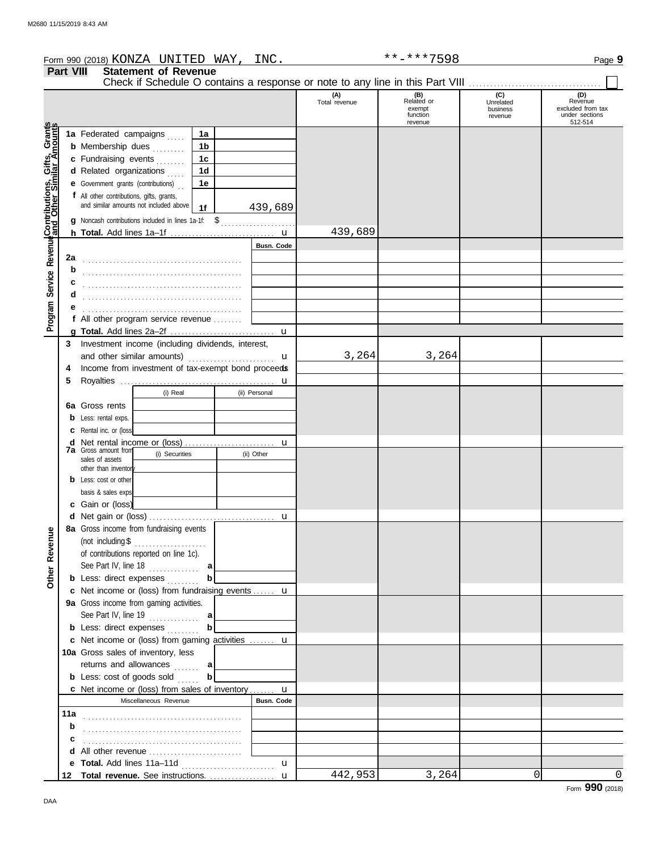|                                                             |                  | Form 990 (2018) KONZA UNITED WAY,                                             |                | INC.          |                      | **-***7598                                         |                                         | Page 9                                                           |
|-------------------------------------------------------------|------------------|-------------------------------------------------------------------------------|----------------|---------------|----------------------|----------------------------------------------------|-----------------------------------------|------------------------------------------------------------------|
|                                                             | <b>Part VIII</b> | <b>Statement of Revenue</b>                                                   |                |               |                      |                                                    |                                         |                                                                  |
|                                                             |                  | Check if Schedule O contains a response or note to any line in this Part VIII |                |               | (A)<br>Total revenue | (B)<br>Related or<br>exempt<br>function<br>revenue | (C)<br>Unrelated<br>business<br>revenue | (D)<br>Revenue<br>excluded from tax<br>under sections<br>512-514 |
|                                                             |                  | 1a Federated campaigns                                                        | 1a             |               |                      |                                                    |                                         |                                                                  |
|                                                             |                  | <b>b</b> Membership dues                                                      | 1 <sub>b</sub> |               |                      |                                                    |                                         |                                                                  |
|                                                             |                  | c Fundraising events                                                          | 1 <sub>c</sub> |               |                      |                                                    |                                         |                                                                  |
|                                                             |                  | d Related organizations                                                       | 1 <sub>d</sub> |               |                      |                                                    |                                         |                                                                  |
|                                                             |                  | <b>e</b> Government grants (contributions)                                    | 1e             |               |                      |                                                    |                                         |                                                                  |
|                                                             |                  | f All other contributions, gifts, grants,                                     |                |               |                      |                                                    |                                         |                                                                  |
|                                                             |                  | and similar amounts not included above $1f$                                   |                | 439,689       |                      |                                                    |                                         |                                                                  |
|                                                             |                  | g Noncash contributions included in lines 1a-1f: \$                           |                |               |                      |                                                    |                                         |                                                                  |
|                                                             |                  |                                                                               |                |               | 439,689              |                                                    |                                         |                                                                  |
| Program Service Revenue <b>Contributions, Gifts, Grants</b> |                  |                                                                               |                | Busn. Code    |                      |                                                    |                                         |                                                                  |
|                                                             | 2a               |                                                                               |                |               |                      |                                                    |                                         |                                                                  |
|                                                             | b                |                                                                               |                |               |                      |                                                    |                                         |                                                                  |
|                                                             |                  |                                                                               |                |               |                      |                                                    |                                         |                                                                  |
|                                                             | d                |                                                                               |                |               |                      |                                                    |                                         |                                                                  |
|                                                             |                  |                                                                               |                |               |                      |                                                    |                                         |                                                                  |
|                                                             |                  | f All other program service revenue                                           |                |               |                      |                                                    |                                         |                                                                  |
|                                                             |                  |                                                                               |                | $\mathbf u$   |                      |                                                    |                                         |                                                                  |
|                                                             | 3                | Investment income (including dividends, interest,                             |                |               |                      |                                                    |                                         |                                                                  |
|                                                             |                  | and other similar amounts)                                                    |                | u             | 3,264                | 3,264                                              |                                         |                                                                  |
|                                                             | 4                | Income from investment of tax-exempt bond proceeds                            |                |               |                      |                                                    |                                         |                                                                  |
|                                                             | 5                |                                                                               |                |               |                      |                                                    |                                         |                                                                  |
|                                                             |                  | (i) Real                                                                      |                | (ii) Personal |                      |                                                    |                                         |                                                                  |
|                                                             |                  | 6a Gross rents                                                                |                |               |                      |                                                    |                                         |                                                                  |
|                                                             | b                | Less: rental exps.                                                            |                |               |                      |                                                    |                                         |                                                                  |
|                                                             |                  | Rental inc. or (loss)                                                         |                |               |                      |                                                    |                                         |                                                                  |
|                                                             | d                |                                                                               |                | u             |                      |                                                    |                                         |                                                                  |
|                                                             |                  | <b>7a</b> Gross amount from<br>(i) Securities<br>sales of assets              |                | (ii) Other    |                      |                                                    |                                         |                                                                  |
|                                                             |                  | other than inventor                                                           |                |               |                      |                                                    |                                         |                                                                  |
|                                                             |                  | Less: cost or other                                                           |                |               |                      |                                                    |                                         |                                                                  |
|                                                             |                  | basis & sales exps                                                            |                |               |                      |                                                    |                                         |                                                                  |
|                                                             |                  | c Gain or (loss)                                                              |                |               |                      |                                                    |                                         |                                                                  |
|                                                             |                  | d Net gain or (loss)                                                          |                |               |                      |                                                    |                                         |                                                                  |
|                                                             |                  | 8a Gross income from fundraising events                                       |                |               |                      |                                                    |                                         |                                                                  |
|                                                             |                  | (not including $$$<br>.                                                       |                |               |                      |                                                    |                                         |                                                                  |
|                                                             |                  | of contributions reported on line 1c).                                        |                |               |                      |                                                    |                                         |                                                                  |
|                                                             |                  | See Part IV, line $18$                                                        | a              |               |                      |                                                    |                                         |                                                                  |
| Other Revenue                                               |                  | <b>b</b> Less: direct expenses                                                | b              |               |                      |                                                    |                                         |                                                                  |
|                                                             |                  | c Net income or (loss) from fundraising events  u                             |                |               |                      |                                                    |                                         |                                                                  |
|                                                             |                  | 9a Gross income from gaming activities.                                       |                |               |                      |                                                    |                                         |                                                                  |
|                                                             |                  |                                                                               |                |               |                      |                                                    |                                         |                                                                  |
|                                                             |                  | <b>b</b> Less: direct expenses                                                |                |               |                      |                                                    |                                         |                                                                  |
|                                                             |                  | c Net income or (loss) from gaming activities  u                              |                |               |                      |                                                    |                                         |                                                                  |
|                                                             |                  | 10a Gross sales of inventory, less                                            |                |               |                      |                                                    |                                         |                                                                  |
|                                                             |                  | returns and allowances  a                                                     |                |               |                      |                                                    |                                         |                                                                  |
|                                                             |                  | <b>b</b> Less: cost of goods sold                                             | $\mathbf{b}$   |               |                      |                                                    |                                         |                                                                  |
|                                                             |                  | c Net income or (loss) from sales of inventory u                              |                |               |                      |                                                    |                                         |                                                                  |
|                                                             |                  | Miscellaneous Revenue                                                         |                | Busn. Code    |                      |                                                    |                                         |                                                                  |
|                                                             |                  |                                                                               |                |               |                      |                                                    |                                         |                                                                  |
|                                                             | b                |                                                                               |                |               |                      |                                                    |                                         |                                                                  |
|                                                             |                  |                                                                               |                |               |                      |                                                    |                                         |                                                                  |
|                                                             |                  | d All other revenue                                                           |                |               |                      |                                                    |                                         |                                                                  |
|                                                             |                  |                                                                               |                | $\mathbf{u}$  |                      |                                                    |                                         |                                                                  |
|                                                             |                  |                                                                               |                |               | 442,953              | 3,264                                              | $\overline{0}$                          | $\Omega$                                                         |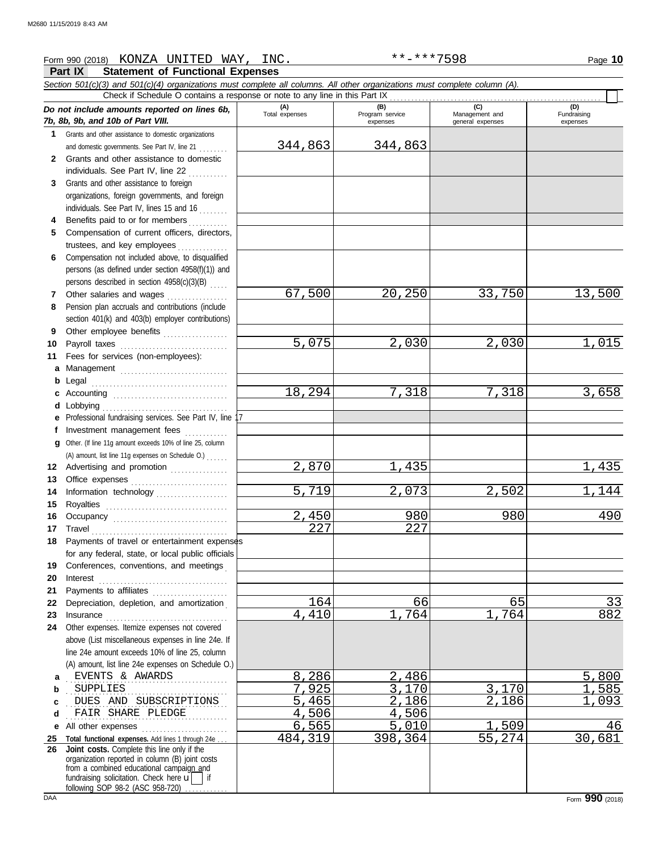## Form 990 (2018) Page **10** KONZA UNITED WAY, INC. \*\*-\*\*\*7598

**Part IX Statement of Functional Expenses**

|          | ган и<br>Statement Of Functional Expenses                                                                                  |                      |                        |                      |             |
|----------|----------------------------------------------------------------------------------------------------------------------------|----------------------|------------------------|----------------------|-------------|
|          | Section 501(c)(3) and 501(c)(4) organizations must complete all columns. All other organizations must complete column (A). |                      |                        |                      |             |
|          | Check if Schedule O contains a response or note to any line in this Part IX                                                | (A)                  |                        | (C)                  | (D)         |
|          | Do not include amounts reported on lines 6b,<br>7b, 8b, 9b, and 10b of Part VIII.                                          | Total expenses       | (B)<br>Program service | Management and       | Fundraising |
|          | 1 Grants and other assistance to domestic organizations                                                                    |                      | expenses               | general expenses     | expenses    |
|          | and domestic governments. See Part IV, line 21                                                                             | 344,863              | 344,863                |                      |             |
| 2        | Grants and other assistance to domestic                                                                                    |                      |                        |                      |             |
|          | individuals. See Part IV, line 22                                                                                          |                      |                        |                      |             |
| 3.       | <u>.</u><br>.<br>Grants and other assistance to foreign                                                                    |                      |                        |                      |             |
|          | organizations, foreign governments, and foreign                                                                            |                      |                        |                      |             |
|          | individuals. See Part IV, lines 15 and 16                                                                                  |                      |                        |                      |             |
| 4        | Benefits paid to or for members                                                                                            |                      |                        |                      |             |
| 5        | Compensation of current officers, directors,                                                                               |                      |                        |                      |             |
|          | trustees, and key employees                                                                                                |                      |                        |                      |             |
| 6        | Compensation not included above, to disqualified                                                                           |                      |                        |                      |             |
|          | persons (as defined under section 4958(f)(1)) and                                                                          |                      |                        |                      |             |
|          | persons described in section 4958(c)(3)(B)                                                                                 |                      |                        |                      |             |
| 7        | Other salaries and wages                                                                                                   | 67,500               | 20,250                 | 33,750               | 13,500      |
| 8        | Pension plan accruals and contributions (include                                                                           |                      |                        |                      |             |
|          | section 401(k) and 403(b) employer contributions)                                                                          |                      |                        |                      |             |
| 9        | Other employee benefits                                                                                                    |                      |                        |                      |             |
| 10       | Payroll taxes                                                                                                              | 5,075                | 2,030                  | 2,030                | 1,015       |
| 11       | Fees for services (non-employees):                                                                                         |                      |                        |                      |             |
| a        | Management                                                                                                                 |                      |                        |                      |             |
| b        |                                                                                                                            |                      |                        |                      |             |
| c        | Accounting                                                                                                                 | 18,294               | 7,318                  | 7,318                | 3,658       |
| d        |                                                                                                                            |                      |                        |                      |             |
|          | Professional fundraising services. See Part IV, line 17                                                                    |                      |                        |                      |             |
| f        | Investment management fees<br>. <b>.</b>                                                                                   |                      |                        |                      |             |
| a        | Other. (If line 11g amount exceeds 10% of line 25, column                                                                  |                      |                        |                      |             |
|          | (A) amount, list line 11g expenses on Schedule O.)                                                                         |                      |                        |                      |             |
|          | 12 Advertising and promotion                                                                                               | $\overline{2,870}$   | 435                    |                      | 1,435       |
| 13       |                                                                                                                            |                      |                        |                      |             |
| 14       | Information technology                                                                                                     | 5,719                | $\overline{2}$ , 073   | $\overline{2}$ , 502 | 1,144       |
| 15       | Royalties                                                                                                                  |                      |                        |                      |             |
| 16       |                                                                                                                            | 2,450                | 980                    | 980                  | 490         |
| 17       | Travel                                                                                                                     | 227                  | 227                    |                      |             |
|          | 18 Payments of travel or entertainment expenses                                                                            |                      |                        |                      |             |
|          | for any federal, state, or local public officials                                                                          |                      |                        |                      |             |
| 19       | Conferences, conventions, and meetings                                                                                     |                      |                        |                      |             |
| 20       | Interest                                                                                                                   |                      |                        |                      |             |
| 21<br>22 | Payments to affiliates<br>Depreciation, depletion, and amortization                                                        | 164                  | 66                     | 65                   | 33          |
| 23       |                                                                                                                            | 4,410                | 764                    | 764                  | 882         |
| 24       | Other expenses. Itemize expenses not covered                                                                               |                      |                        |                      |             |
|          | above (List miscellaneous expenses in line 24e. If                                                                         |                      |                        |                      |             |
|          | line 24e amount exceeds 10% of line 25, column                                                                             |                      |                        |                      |             |
|          | (A) amount, list line 24e expenses on Schedule O.)                                                                         |                      |                        |                      |             |
| a        | EVENTS & AWARDS                                                                                                            | 8,286                | 2,486                  |                      | 5,800       |
| b        | <b>SUPPLIES</b>                                                                                                            | $\overline{7}$ , 925 | 3,170                  | 3,170                | ,585        |
| c        | DUES AND SUBSCRIPTIONS                                                                                                     | 5,465                | 2,186                  | 2,186                | 093         |
| d        | FAIR SHARE PLEDGE                                                                                                          | 4,506                | 4,506                  |                      |             |
| е        | All other expenses                                                                                                         | 6,565                | 5,010                  | ,509                 | 46          |
| 25       | Total functional expenses. Add lines 1 through 24e                                                                         | 484,319              | 398,364                | 55,274               | 30,681      |
| 26       | Joint costs. Complete this line only if the                                                                                |                      |                        |                      |             |
|          | organization reported in column (B) joint costs<br>from a combined educational campaign and                                |                      |                        |                      |             |
|          | fundraising solicitation. Check here $\vec{u}$   if                                                                        |                      |                        |                      |             |
|          | following SOP 98-2 (ASC 958-720)                                                                                           |                      |                        |                      |             |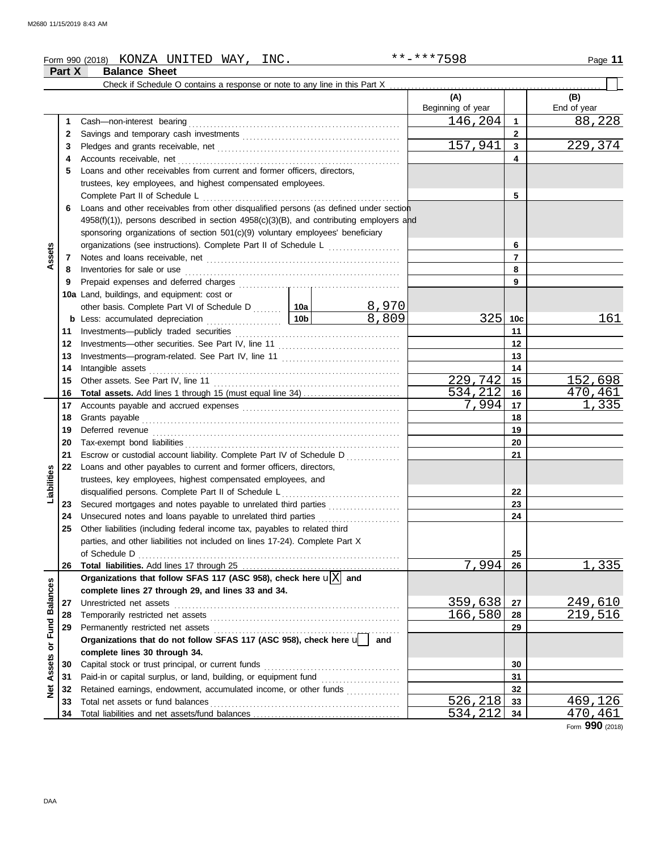### Form 990 (2018) Page **11** KONZA UNITED WAY, INC. \*\*-\*\*\*7598 **Part X Balance Sheet** Check if Schedule O contains a response or note to any line in this Part X **(A) (B)** Beginning of year | | End of year Cash—non-interest bearing . . . . . . . . . . . . . . . . . . . . . . . . . . . . . . . . . . . . . . . . . . . . . . . . . . . . . . . . . . . 146,204 88,228 **1 1 2 2** Savings and temporary cash investments . . . . . . . . . . . . . . . . . . . . . . . . . . . . . . . . . . . . . . . . . . . . 157,941 229,374 **3 3** Pledges and grants receivable, net **chanocologies** contains and server and server and server and server and server and server and server and server and server and server and server and server and server and server and **4 4** Accounts receivable, net . . . . . . . . . . . . . . . . . . . . . . . . . . . . . . . . . . . . . . . . . . . . . . . . . . . . . . . . . . . . . . **5** Loans and other receivables from current and former officers, directors, trustees, key employees, and highest compensated employees. Complete Part II of Schedule L . . . . . . . . . . . . . . . . . . . . . . . . . . . . . . . . . . . . . . . . . . . . . . . . . . . . . . . **5 6** Loans and other receivables from other disqualified persons (as defined under section  $4958(f)(1)$ ), persons described in section  $4958(c)(3)(B)$ , and contributing employers and sponsoring organizations of section 501(c)(9) voluntary employees' beneficiary organizations (see instructions). Complete Part II of Schedule L ...................... **6 Assets 7 7** Notes and loans receivable, net . . . . . . . . . . . . . . . . . . . . . . . . . . . . . . . . . . . . . . . . . . . . . . . . . . . . . . Inventories for sale or use . . . . . . . . . . . . . . . . . . . . . . . . . . . . . . . . . . . . . . . . . . . . . . . . . . . . . . . . . . . . **8 8 9 9** Prepaid expenses and deferred charges . . . . . . . . . . . . . . . . . . . . . . . . . . . . . . . . . . . . . . . . . . . . . **10a** Land, buildings, and equipment: cost or 8,970 other basis. Complete Part VI of Schedule D . . . . . . . 10a 8,809 325 10c 161 **10c b** Less: accumulated depreciation . . . . . . . . . . . . . . . . . . . . . **10b 11 11** Investments—publicly traded securities . . . . . . . . . . . . . . . . . . . . . . . . . . . . . . . . . . . . . . . . . . . . . . **12 12** Investments—other securities. See Part IV, line 11 . . . . . . . . . . . . . . . . . . . . . . . . . . . . . . . . . . **13 13** Investments—program-related. See Part IV, line 11 ................................. Intangible assets . . . . . . . . . . . . . . . . . . . . . . . . . . . . . . . . . . . . . . . . . . . . . . . . . . . . . . . . . . . . . . . . . . . . . . **14 14** Other assets. See Part IV, line 11 . . . . . . . . . . . . . . . . . . . . . . . . . . . . . . . . . . . . . . . . . . . . . . . . . . . . 229,742 15<br>534,212 16 470,461 **15 15** <mark>534,212 16 470,461</mark><br>7.994 17 1,335 **Total assets.** Add lines 1 through 15 (must equal line 34) . . . . . . . . . . . . . . . . . . . . . . . . . . . **16 16** Accounts payable and accrued expenses . . . . . . . . . . . . . . . . . . . . . . . . . . . . . . . . . . . . . . . . . . . . 7,994 **17 17 18** Grants payable . . . . . . . . . . . . . . . . . . . . . . . . . . . . . . . . . . . . . . . . . . . . . . . . . . . . . . . . . . . . . . . . . . . . . . . . **18 19** Deferred revenue . . . . . . . . . . . . . . . . . . . . . . . . . . . . . . . . . . . . . . . . . . . . . . . . . . . . . . . . . . . . . . . . . . . . . **19 20** Tax-exempt bond liabilities . . . . . . . . . . . . . . . . . . . . . . . . . . . . . . . . . . . . . . . . . . . . . . . . . . . . . . . . . . . . **20 21 21** Escrow or custodial account liability. Complete Part IV of Schedule D . . . . . . . . . . . . . **22** Loans and other payables to current and former officers, directors, **Liabilities** trustees, key employees, highest compensated employees, and disqualified persons. Complete Part II of Schedule L . . . . . . . . . . . . . . . . . . . . . . . . . . . . . . . . . **22 23** Secured mortgages and notes payable to unrelated third parties . . . . . . . . . . . . . . . . . . . . **23** Unsecured notes and loans payable to unrelated third parties .............. **24 24 25** Other liabilities (including federal income tax, payables to related third parties, and other liabilities not included on lines 17-24). Complete Part X of Schedule D . . . . . . . . . . . . . . . . . . . . . . . . . . . . . . . . . . . . . . . . . . . . . . . . . . . . . . . . . . . . . . . . . . . . . . . . . **25**  $994 \mid 26 \mid 1,335$ **26** Total liabilities. Add lines 17 through 25 ........ **26** Organizations that follow SFAS 117 (ASC 958), check here  $\mathbf{u}[\mathbf{X}]$  and **Balances Net Assets or Fund Balances complete lines 27 through 29, and lines 33 and 34. 27** Unrestricted net assets . . . . . . . . . . . . . . . . . . . . . . . . . . . . . . . . . . . . . . . . . . . . . . . . . . . . . . . . . . . . . . . 359,638 249,610 **27** Temporarily restricted net assets . . . . . . . . . . . . . . . . . . . . . . . . . . . . . . . . . . . . . . . . . . . . . . . . . . . . . 219,516 **28 28** Net Assets or Fund Permanently restricted net assets . . . . . . . . . . . . . . . . . . . . . . . . . . . . . . . . . . . . . . . . . . . . . . . . . . . . **29 29 Organizations that do not follow SFAS 117 (ASC 958), check here** u **and complete lines 30 through 34.** Capital stock or trust principal, or current funds . . . . . . . . . . . . . . . . . . . . . . . . . . . . . . . . . . . . . . **30 30** Paid-in or capital surplus, or land, building, or equipment fund ...................... **31 31** Retained earnings, endowment, accumulated income, or other funds ............... **32 32** Total net assets or fund balances . . . . . . . . . . . . . . . . . . . . . . . . . . . . . . . . . . . . . . . . . . . . . . . . . . . . . <mark>526,218 33</mark> 469,126 **33 33** <u>534,212 34 470,461</u> **34** Total liabilities and net assets/fund balances .. **34**

Form **990** (2018)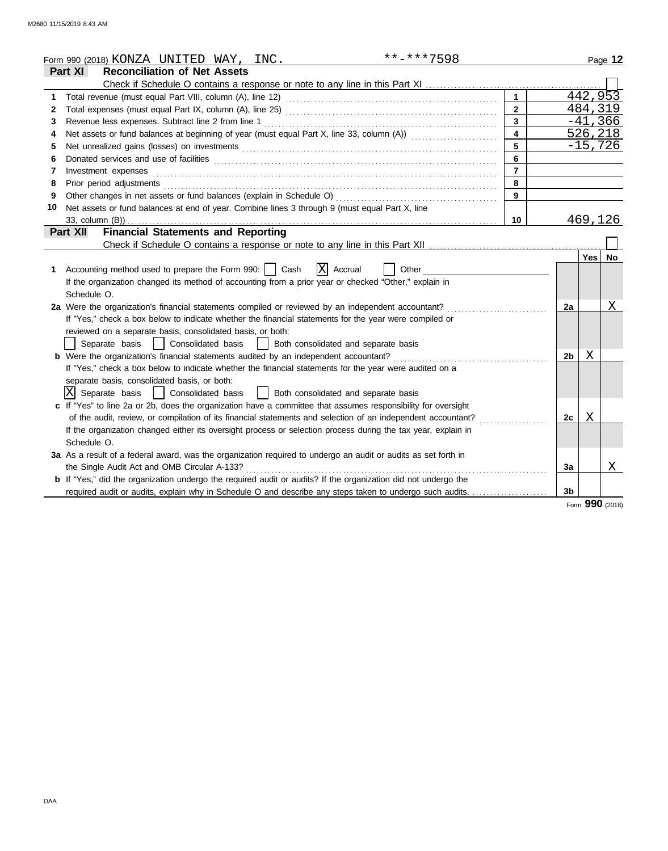|    | **-***7598<br>Form 990 (2018) KONZA UNITED WAY, INC.                                                                                                                                                                           |                         |                |            | Page 12   |
|----|--------------------------------------------------------------------------------------------------------------------------------------------------------------------------------------------------------------------------------|-------------------------|----------------|------------|-----------|
|    | Part XI<br><b>Reconciliation of Net Assets</b>                                                                                                                                                                                 |                         |                |            |           |
|    |                                                                                                                                                                                                                                |                         |                |            |           |
| 1  |                                                                                                                                                                                                                                | $\mathbf{1}$            |                |            | 442, 953  |
| 2  |                                                                                                                                                                                                                                | $\overline{2}$          |                |            | 484,319   |
| 3  |                                                                                                                                                                                                                                | $\overline{\mathbf{3}}$ |                |            | $-41,366$ |
| 4  | Net assets or fund balances at beginning of year (must equal Part X, line 33, column (A))                                                                                                                                      | $\overline{4}$          |                |            | 526,218   |
| 5  | Net unrealized gains (losses) on investments [11] match and the contract of the state of the state of the state of the state of the state of the state of the state of the state of the state of the state of the state of the | $5^{\circ}$             |                |            | $-15,726$ |
| 6  |                                                                                                                                                                                                                                | $6\phantom{a}$          |                |            |           |
| 7  | Investment expenses <b>constant expenses</b>                                                                                                                                                                                   | $\overline{7}$          |                |            |           |
| 8  | Prior period adjustments [11, 12] and the contract of the contract of the contract of the contract of the contract of the contract of the contract of the contract of the contract of the contract of the contract of the cont | 8                       |                |            |           |
| 9  |                                                                                                                                                                                                                                | $\mathbf{9}$            |                |            |           |
| 10 | Net assets or fund balances at end of year. Combine lines 3 through 9 (must equal Part X, line                                                                                                                                 |                         |                |            |           |
|    | 33, column (B))                                                                                                                                                                                                                | 10 <sup>°</sup>         |                |            | 469,126   |
|    | <b>Financial Statements and Reporting</b><br><b>Part XII</b>                                                                                                                                                                   |                         |                |            |           |
|    | Check if Schedule O contains a response or note to any line in this Part XII                                                                                                                                                   |                         |                |            |           |
|    |                                                                                                                                                                                                                                |                         |                | <b>Yes</b> | <b>No</b> |
| 1  | X Accrual<br>Accounting method used to prepare the Form 990:     Cash<br>Other                                                                                                                                                 |                         |                |            |           |
|    | If the organization changed its method of accounting from a prior year or checked "Other," explain in                                                                                                                          |                         |                |            |           |
|    | Schedule O.                                                                                                                                                                                                                    |                         |                |            |           |
|    | 2a Were the organization's financial statements compiled or reviewed by an independent accountant?                                                                                                                             |                         | 2a             |            | Χ         |
|    | If "Yes," check a box below to indicate whether the financial statements for the year were compiled or                                                                                                                         |                         |                |            |           |
|    | reviewed on a separate basis, consolidated basis, or both:                                                                                                                                                                     |                         |                |            |           |
|    | Separate basis   Consolidated basis<br>  Both consolidated and separate basis                                                                                                                                                  |                         |                |            |           |
|    | <b>b</b> Were the organization's financial statements audited by an independent accountant?                                                                                                                                    |                         | 2b             | Χ          |           |
|    | If "Yes," check a box below to indicate whether the financial statements for the year were audited on a                                                                                                                        |                         |                |            |           |
|    | separate basis, consolidated basis, or both:                                                                                                                                                                                   |                         |                |            |           |
|    | IXI<br>Separate basis<br>  Consolidated basis<br>  Both consolidated and separate basis                                                                                                                                        |                         |                |            |           |
|    | c If "Yes" to line 2a or 2b, does the organization have a committee that assumes responsibility for oversight                                                                                                                  |                         |                |            |           |
|    | of the audit, review, or compilation of its financial statements and selection of an independent accountant?                                                                                                                   |                         | 2с             | X          |           |
|    | If the organization changed either its oversight process or selection process during the tax year, explain in                                                                                                                  |                         |                |            |           |
|    | Schedule O.                                                                                                                                                                                                                    |                         |                |            |           |
|    | 3a As a result of a federal award, was the organization required to undergo an audit or audits as set forth in                                                                                                                 |                         |                |            |           |
|    | the Single Audit Act and OMB Circular A-133?                                                                                                                                                                                   |                         | Зa             |            | Χ         |
|    | <b>b</b> If "Yes," did the organization undergo the required audit or audits? If the organization did not undergo the                                                                                                          |                         |                |            |           |
|    | required audit or audits, explain why in Schedule O and describe any steps taken to undergo such audits.                                                                                                                       |                         | 3 <sub>b</sub> |            |           |
|    |                                                                                                                                                                                                                                |                         |                |            |           |

Form **990** (2018)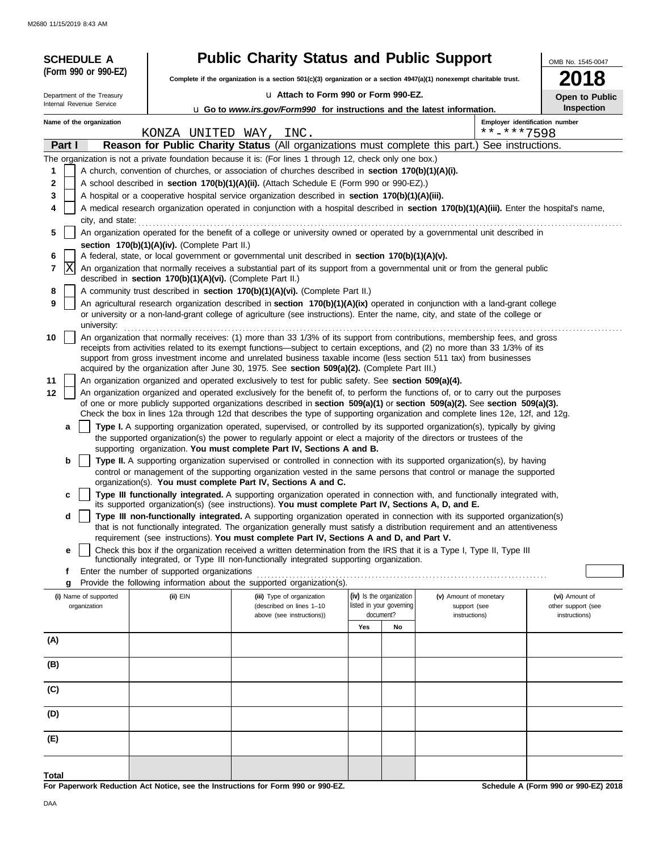| <b>SCHEDULE A</b>          |                                                            | <b>Public Charity Status and Public Support</b>                                                                                                                                                                                                                         |                          |                          |                               |            | OMB No. 1545-0047                    |
|----------------------------|------------------------------------------------------------|-------------------------------------------------------------------------------------------------------------------------------------------------------------------------------------------------------------------------------------------------------------------------|--------------------------|--------------------------|-------------------------------|------------|--------------------------------------|
| (Form 990 or 990-EZ)       |                                                            | Complete if the organization is a section 501(c)(3) organization or a section 4947(a)(1) nonexempt charitable trust.                                                                                                                                                    | 2018                     |                          |                               |            |                                      |
| Department of the Treasury |                                                            | u Attach to Form 990 or Form 990-EZ.                                                                                                                                                                                                                                    | <b>Open to Public</b>    |                          |                               |            |                                      |
| Internal Revenue Service   |                                                            | u Go to www.irs.gov/Form990 for instructions and the latest information.                                                                                                                                                                                                |                          |                          |                               |            | Inspection                           |
| Name of the organization   |                                                            |                                                                                                                                                                                                                                                                         |                          |                          |                               |            | Employer identification number       |
| Part I                     | KONZA UNITED WAY,                                          | INC.                                                                                                                                                                                                                                                                    |                          |                          |                               | **-***7598 |                                      |
|                            |                                                            | Reason for Public Charity Status (All organizations must complete this part.) See instructions.<br>The organization is not a private foundation because it is: (For lines 1 through 12, check only one box.)                                                            |                          |                          |                               |            |                                      |
| 1                          |                                                            | A church, convention of churches, or association of churches described in section 170(b)(1)(A)(i).                                                                                                                                                                      |                          |                          |                               |            |                                      |
| 2                          |                                                            | A school described in section 170(b)(1)(A)(ii). (Attach Schedule E (Form 990 or 990-EZ).)                                                                                                                                                                               |                          |                          |                               |            |                                      |
| 3                          |                                                            | A hospital or a cooperative hospital service organization described in section 170(b)(1)(A)(iii).                                                                                                                                                                       |                          |                          |                               |            |                                      |
|                            |                                                            | A medical research organization operated in conjunction with a hospital described in section 170(b)(1)(A)(iii). Enter the hospital's name,                                                                                                                              |                          |                          |                               |            |                                      |
| city, and state:<br>5      |                                                            | An organization operated for the benefit of a college or university owned or operated by a governmental unit described in                                                                                                                                               |                          |                          |                               |            |                                      |
|                            | section 170(b)(1)(A)(iv). (Complete Part II.)              |                                                                                                                                                                                                                                                                         |                          |                          |                               |            |                                      |
| 6                          |                                                            | A federal, state, or local government or governmental unit described in section 170(b)(1)(A)(v).                                                                                                                                                                        |                          |                          |                               |            |                                      |
| lΧ<br>7                    |                                                            | An organization that normally receives a substantial part of its support from a governmental unit or from the general public                                                                                                                                            |                          |                          |                               |            |                                      |
| 8                          | described in section 170(b)(1)(A)(vi). (Complete Part II.) | A community trust described in section 170(b)(1)(A)(vi). (Complete Part II.)                                                                                                                                                                                            |                          |                          |                               |            |                                      |
| 9                          |                                                            | An agricultural research organization described in section 170(b)(1)(A)(ix) operated in conjunction with a land-grant college                                                                                                                                           |                          |                          |                               |            |                                      |
| university:                |                                                            | or university or a non-land-grant college of agriculture (see instructions). Enter the name, city, and state of the college or                                                                                                                                          |                          |                          |                               |            |                                      |
| 10                         |                                                            | An organization that normally receives: (1) more than 33 1/3% of its support from contributions, membership fees, and gross                                                                                                                                             |                          |                          |                               |            |                                      |
|                            |                                                            | receipts from activities related to its exempt functions—subject to certain exceptions, and (2) no more than 33 1/3% of its<br>support from gross investment income and unrelated business taxable income (less section 511 tax) from businesses                        |                          |                          |                               |            |                                      |
|                            |                                                            | acquired by the organization after June 30, 1975. See section 509(a)(2). (Complete Part III.)                                                                                                                                                                           |                          |                          |                               |            |                                      |
| 11                         |                                                            | An organization organized and operated exclusively to test for public safety. See section 509(a)(4).                                                                                                                                                                    |                          |                          |                               |            |                                      |
| 12                         |                                                            | An organization organized and operated exclusively for the benefit of, to perform the functions of, or to carry out the purposes<br>of one or more publicly supported organizations described in section $509(a)(1)$ or section $509(a)(2)$ . See section $509(a)(3)$ . |                          |                          |                               |            |                                      |
|                            |                                                            | Check the box in lines 12a through 12d that describes the type of supporting organization and complete lines 12e, 12f, and 12g.                                                                                                                                         |                          |                          |                               |            |                                      |
| а                          |                                                            | Type I. A supporting organization operated, supervised, or controlled by its supported organization(s), typically by giving                                                                                                                                             |                          |                          |                               |            |                                      |
|                            |                                                            | the supported organization(s) the power to regularly appoint or elect a majority of the directors or trustees of the<br>supporting organization. You must complete Part IV, Sections A and B.                                                                           |                          |                          |                               |            |                                      |
| b                          |                                                            | Type II. A supporting organization supervised or controlled in connection with its supported organization(s), by having                                                                                                                                                 |                          |                          |                               |            |                                      |
|                            |                                                            | control or management of the supporting organization vested in the same persons that control or manage the supported                                                                                                                                                    |                          |                          |                               |            |                                      |
| c                          |                                                            | organization(s). You must complete Part IV, Sections A and C.<br>Type III functionally integrated. A supporting organization operated in connection with, and functionally integrated with,                                                                             |                          |                          |                               |            |                                      |
|                            |                                                            | its supported organization(s) (see instructions). You must complete Part IV, Sections A, D, and E.                                                                                                                                                                      |                          |                          |                               |            |                                      |
| d                          |                                                            | Type III non-functionally integrated. A supporting organization operated in connection with its supported organization(s)<br>that is not functionally integrated. The organization generally must satisfy a distribution requirement and an attentiveness               |                          |                          |                               |            |                                      |
|                            |                                                            | requirement (see instructions). You must complete Part IV, Sections A and D, and Part V.                                                                                                                                                                                |                          |                          |                               |            |                                      |
| е                          |                                                            | Check this box if the organization received a written determination from the IRS that it is a Type I, Type II, Type III                                                                                                                                                 |                          |                          |                               |            |                                      |
| f                          | Enter the number of supported organizations                | functionally integrated, or Type III non-functionally integrated supporting organization.                                                                                                                                                                               |                          |                          |                               |            |                                      |
| g                          |                                                            | Provide the following information about the supported organization(s).                                                                                                                                                                                                  |                          |                          |                               |            |                                      |
| (i) Name of supported      | (ii) EIN                                                   | (iii) Type of organization                                                                                                                                                                                                                                              | (iv) Is the organization |                          | (v) Amount of monetary        |            | (vi) Amount of                       |
| organization               |                                                            | (described on lines 1-10<br>above (see instructions))                                                                                                                                                                                                                   | document?                | listed in your governing | support (see<br>instructions) |            | other support (see<br>instructions)  |
|                            |                                                            |                                                                                                                                                                                                                                                                         | Yes                      | No                       |                               |            |                                      |
| (A)                        |                                                            |                                                                                                                                                                                                                                                                         |                          |                          |                               |            |                                      |
| (B)                        |                                                            |                                                                                                                                                                                                                                                                         |                          |                          |                               |            |                                      |
|                            |                                                            |                                                                                                                                                                                                                                                                         |                          |                          |                               |            |                                      |
| (C)                        |                                                            |                                                                                                                                                                                                                                                                         |                          |                          |                               |            |                                      |
| (D)                        |                                                            |                                                                                                                                                                                                                                                                         |                          |                          |                               |            |                                      |
| (E)                        |                                                            |                                                                                                                                                                                                                                                                         |                          |                          |                               |            |                                      |
|                            |                                                            |                                                                                                                                                                                                                                                                         |                          |                          |                               |            |                                      |
| Total                      |                                                            |                                                                                                                                                                                                                                                                         |                          |                          |                               |            |                                      |
|                            |                                                            | For Panerwork Reduction Act Notice, see the Instructions for Form 000 or 000-F7                                                                                                                                                                                         |                          |                          |                               |            | Schedule A (Form 990 or 990-F7) 2018 |

**For Paperwork Reduction Act Notice, see the Instructions for Form 990 or 990-EZ.**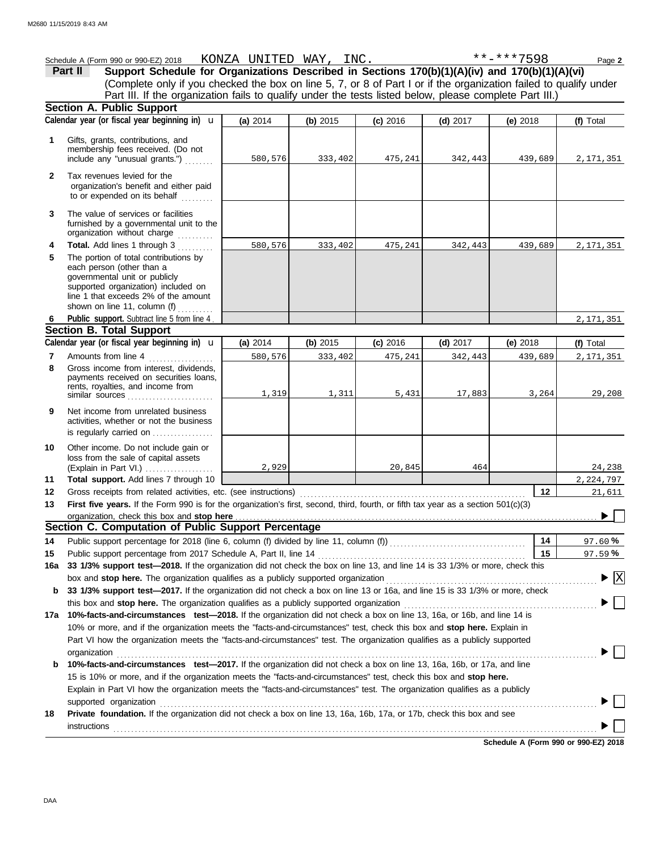|                | Schedule A (Form 990 or 990-EZ) 2018 KONZA UNITED WAY, INC.                                                                                                                                                        |          |          |            |            | **-***7598 | Page 2                          |
|----------------|--------------------------------------------------------------------------------------------------------------------------------------------------------------------------------------------------------------------|----------|----------|------------|------------|------------|---------------------------------|
|                | Support Schedule for Organizations Described in Sections 170(b)(1)(A)(iv) and 170(b)(1)(A)(vi)<br>Part II                                                                                                          |          |          |            |            |            |                                 |
|                | (Complete only if you checked the box on line 5, 7, or 8 of Part I or if the organization failed to qualify under                                                                                                  |          |          |            |            |            |                                 |
|                | Part III. If the organization fails to qualify under the tests listed below, please complete Part III.)                                                                                                            |          |          |            |            |            |                                 |
|                | <b>Section A. Public Support</b>                                                                                                                                                                                   |          |          |            |            |            |                                 |
|                | Calendar year (or fiscal year beginning in) $\mathbf u$                                                                                                                                                            | (a) 2014 | (b) 2015 | $(c)$ 2016 | $(d)$ 2017 | (e) 2018   | (f) Total                       |
| $\mathbf 1$    | Gifts, grants, contributions, and<br>membership fees received. (Do not                                                                                                                                             |          |          |            |            |            |                                 |
|                | include any "unusual grants.")                                                                                                                                                                                     | 580,576  | 333,402  | 475,241    | 342,443    | 439,689    | 2,171,351                       |
| $\mathbf{2}$   | Tax revenues levied for the<br>organization's benefit and either paid<br>to or expended on its behalf                                                                                                              |          |          |            |            |            |                                 |
| 3              | The value of services or facilities<br>furnished by a governmental unit to the<br>organization without charge                                                                                                      |          |          |            |            |            |                                 |
| 4              | <b>Total.</b> Add lines 1 through 3                                                                                                                                                                                | 580,576  | 333,402  | 475,241    | 342,443    | 439,689    | 2, 171, 351                     |
| 5              | The portion of total contributions by<br>each person (other than a<br>governmental unit or publicly<br>supported organization) included on<br>line 1 that exceeds 2% of the amount<br>shown on line 11, column (f) |          |          |            |            |            |                                 |
| 6              | Public support. Subtract line 5 from line 4                                                                                                                                                                        |          |          |            |            |            | 2,171,351                       |
|                | <b>Section B. Total Support</b>                                                                                                                                                                                    |          |          |            |            |            |                                 |
|                | Calendar year (or fiscal year beginning in) $\mathbf u$                                                                                                                                                            | (a) 2014 | (b) 2015 | (c) 2016   | $(d)$ 2017 | (e) 2018   | (f) Total                       |
| $\overline{7}$ | Amounts from line 4                                                                                                                                                                                                | 580,576  | 333,402  | 475,241    | 342,443    | 439,689    | 2,171,351                       |
| 8              | Gross income from interest, dividends,<br>payments received on securities loans,<br>rents, royalties, and income from<br>similar sources $\ldots$ , $\ldots$ , $\ldots$ , $\ldots$ , $\ldots$                      | 1,319    | 1,311    | 5,431      | 17,883     | 3,264      | 29,208                          |
| 9              | Net income from unrelated business<br>activities, whether or not the business<br>is regularly carried on                                                                                                           |          |          |            |            |            |                                 |
| 10             | Other income. Do not include gain or<br>loss from the sale of capital assets<br>(Explain in Part VI.)                                                                                                              | 2,929    |          | 20,845     | 464        |            | 24,238                          |
| 11             | Total support. Add lines 7 through 10                                                                                                                                                                              |          |          |            |            |            | 2, 224, 797                     |
| 12             | Gross receipts from related activities, etc. (see instructions)                                                                                                                                                    |          |          |            |            | 12         | 21,611                          |
| 13             | First five years. If the Form 990 is for the organization's first, second, third, fourth, or fifth tax year as a section 501(c)(3)                                                                                 |          |          |            |            |            |                                 |
|                | organization, check this box and stop here                                                                                                                                                                         |          |          |            |            |            |                                 |
|                | Section C. Computation of Public Support Percentage                                                                                                                                                                |          |          |            |            |            |                                 |
| 14             |                                                                                                                                                                                                                    |          |          |            |            | 14         | 97.60%                          |
| 15             | Public support percentage from 2017 Schedule A, Part II, line 14                                                                                                                                                   |          |          |            |            | 15         | 97.59%                          |
| 16a            | 33 1/3% support test-2018. If the organization did not check the box on line 13, and line 14 is 33 1/3% or more, check this                                                                                        |          |          |            |            |            | $\blacktriangleright$ $\vert$ X |
|                | box and stop here. The organization qualifies as a publicly supported organization<br>33 1/3% support test-2017. If the organization did not check a box on line 13 or 16a, and line 15 is 33 1/3% or more, check  |          |          |            |            |            |                                 |
| b              |                                                                                                                                                                                                                    |          |          |            |            |            |                                 |
| 17а            | this box and stop here. The organization qualifies as a publicly supported organization<br>10%-facts-and-circumstances test-2018. If the organization did not check a box on line 13, 16a, or 16b, and line 14 is  |          |          |            |            |            |                                 |
|                | 10% or more, and if the organization meets the "facts-and-circumstances" test, check this box and stop here. Explain in                                                                                            |          |          |            |            |            |                                 |
|                | Part VI how the organization meets the "facts-and-circumstances" test. The organization qualifies as a publicly supported<br>organization                                                                          |          |          |            |            |            |                                 |
| b              | 10%-facts-and-circumstances test-2017. If the organization did not check a box on line 13, 16a, 16b, or 17a, and line                                                                                              |          |          |            |            |            |                                 |
|                | 15 is 10% or more, and if the organization meets the "facts-and-circumstances" test, check this box and stop here.                                                                                                 |          |          |            |            |            |                                 |
|                | Explain in Part VI how the organization meets the "facts-and-circumstances" test. The organization qualifies as a publicly                                                                                         |          |          |            |            |            |                                 |
|                | supported organization                                                                                                                                                                                             |          |          |            |            |            |                                 |
| 18             | Private foundation. If the organization did not check a box on line 13, 16a, 16b, 17a, or 17b, check this box and see                                                                                              |          |          |            |            |            |                                 |
|                | $instructions$                                                                                                                                                                                                     |          |          |            |            |            |                                 |
|                |                                                                                                                                                                                                                    |          |          |            |            |            |                                 |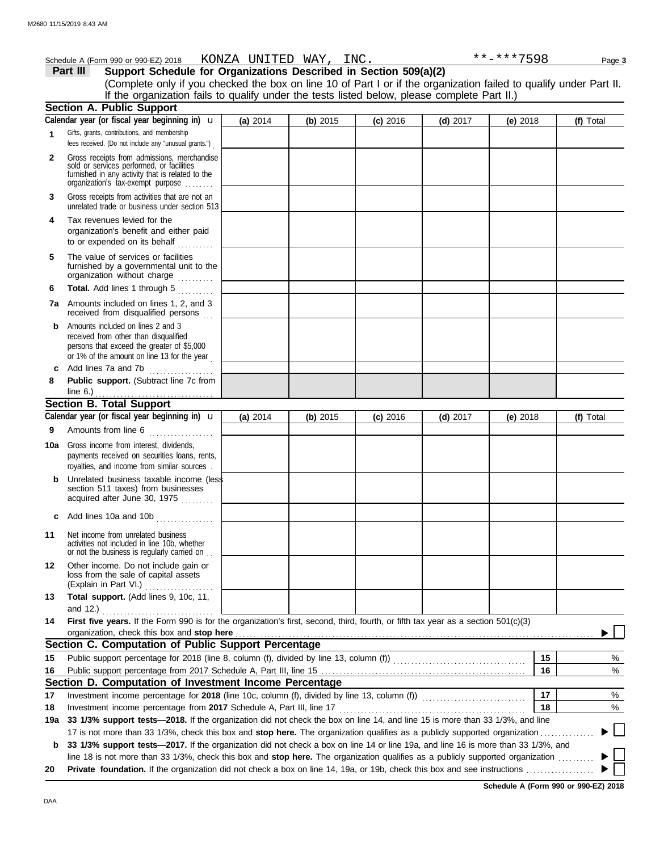|     | Schedule A (Form 990 or 990-EZ) 2018                                                                                                                                                                                                                                                                                                                                       |          |          | KONZA UNITED WAY, INC. |            | **-***7598 | Page 3    |
|-----|----------------------------------------------------------------------------------------------------------------------------------------------------------------------------------------------------------------------------------------------------------------------------------------------------------------------------------------------------------------------------|----------|----------|------------------------|------------|------------|-----------|
|     | Support Schedule for Organizations Described in Section 509(a)(2)<br>Part III                                                                                                                                                                                                                                                                                              |          |          |                        |            |            |           |
|     | (Complete only if you checked the box on line 10 of Part I or if the organization failed to qualify under Part II.                                                                                                                                                                                                                                                         |          |          |                        |            |            |           |
|     | If the organization fails to qualify under the tests listed below, please complete Part II.)                                                                                                                                                                                                                                                                               |          |          |                        |            |            |           |
|     | Section A. Public Support                                                                                                                                                                                                                                                                                                                                                  |          |          |                        |            |            |           |
|     | Calendar year (or fiscal year beginning in) $\mathbf u$                                                                                                                                                                                                                                                                                                                    | (a) 2014 | (b) 2015 | $(c)$ 2016             | $(d)$ 2017 | (e) $2018$ | (f) Total |
| 1   | Gifts, grants, contributions, and membership<br>fees received. (Do not include any "unusual grants.")                                                                                                                                                                                                                                                                      |          |          |                        |            |            |           |
| 2   | Gross receipts from admissions, merchandise<br>sold or services performed, or facilities<br>furnished in any activity that is related to the<br>organization's tax-exempt purpose                                                                                                                                                                                          |          |          |                        |            |            |           |
| 3   | Gross receipts from activities that are not an<br>unrelated trade or business under section 513                                                                                                                                                                                                                                                                            |          |          |                        |            |            |           |
| 4   | Tax revenues levied for the<br>organization's benefit and either paid<br>to or expended on its behalf                                                                                                                                                                                                                                                                      |          |          |                        |            |            |           |
| 5   | The value of services or facilities<br>furnished by a governmental unit to the<br>organization without charge                                                                                                                                                                                                                                                              |          |          |                        |            |            |           |
| 6   | Total. Add lines 1 through 5                                                                                                                                                                                                                                                                                                                                               |          |          |                        |            |            |           |
|     | 7a Amounts included on lines 1, 2, and 3<br>received from disqualified persons                                                                                                                                                                                                                                                                                             |          |          |                        |            |            |           |
| b   | Amounts included on lines 2 and 3<br>received from other than disqualified<br>persons that exceed the greater of \$5,000<br>or 1% of the amount on line 13 for the year                                                                                                                                                                                                    |          |          |                        |            |            |           |
|     | c Add lines 7a and 7b                                                                                                                                                                                                                                                                                                                                                      |          |          |                        |            |            |           |
| 8   | Public support. (Subtract line 7c from                                                                                                                                                                                                                                                                                                                                     |          |          |                        |            |            |           |
|     | <b>Section B. Total Support</b>                                                                                                                                                                                                                                                                                                                                            |          |          |                        |            |            |           |
|     | Calendar year (or fiscal year beginning in) $\mathbf u$                                                                                                                                                                                                                                                                                                                    | (a) 2014 | (b) 2015 | $(c)$ 2016             | $(d)$ 2017 | (e) 2018   | (f) Total |
| 9   | Amounts from line 6                                                                                                                                                                                                                                                                                                                                                        |          |          |                        |            |            |           |
|     | <b>10a</b> Gross income from interest, dividends,<br>payments received on securities loans, rents,                                                                                                                                                                                                                                                                         |          |          |                        |            |            |           |
|     | royalties, and income from similar sources.                                                                                                                                                                                                                                                                                                                                |          |          |                        |            |            |           |
|     | <b>b</b> Unrelated business taxable income (less<br>section 511 taxes) from businesses<br>acquired after June 30, 1975                                                                                                                                                                                                                                                     |          |          |                        |            |            |           |
| c   | Add lines 10a and 10b<br>. <b>.</b> .                                                                                                                                                                                                                                                                                                                                      |          |          |                        |            |            |           |
| 11  | Net income from unrelated business<br>activities not included in line 10b, whether<br>or not the business is regularly carried on                                                                                                                                                                                                                                          |          |          |                        |            |            |           |
| 12  | Other income. Do not include gain or<br>loss from the sale of capital assets<br>(Explain in Part VI.)                                                                                                                                                                                                                                                                      |          |          |                        |            |            |           |
| 13  | Total support. (Add lines 9, 10c, 11,<br>and 12.) $\ldots$ $\ldots$ $\ldots$ $\ldots$                                                                                                                                                                                                                                                                                      |          |          |                        |            |            |           |
| 14  | First five years. If the Form 990 is for the organization's first, second, third, fourth, or fifth tax year as a section 501(c)(3)<br>organization, check this box and stop here <b>constant of the constant of the constant of the constant of the constant of the constant of the constant of the constant of the constant of the constant of the constant of the co</b> |          |          |                        |            |            |           |
|     | Section C. Computation of Public Support Percentage                                                                                                                                                                                                                                                                                                                        |          |          |                        |            |            |           |
| 15  |                                                                                                                                                                                                                                                                                                                                                                            |          |          |                        |            | 15         | %         |
| 16  |                                                                                                                                                                                                                                                                                                                                                                            |          |          |                        |            | 16         | %         |
|     | Section D. Computation of Investment Income Percentage                                                                                                                                                                                                                                                                                                                     |          |          |                        |            |            |           |
| 17  |                                                                                                                                                                                                                                                                                                                                                                            |          |          |                        |            | 17         | %         |
| 18  | Investment income percentage from 2017 Schedule A, Part III, line 17                                                                                                                                                                                                                                                                                                       |          |          |                        |            | 18         | %         |
| 19a | 33 1/3% support tests-2018. If the organization did not check the box on line 14, and line 15 is more than 33 1/3%, and line                                                                                                                                                                                                                                               |          |          |                        |            |            |           |
|     | 17 is not more than 33 1/3%, check this box and stop here. The organization qualifies as a publicly supported organization                                                                                                                                                                                                                                                 |          |          |                        |            |            |           |
| b   | 33 1/3% support tests-2017. If the organization did not check a box on line 14 or line 19a, and line 16 is more than 33 1/3%, and                                                                                                                                                                                                                                          |          |          |                        |            |            |           |
|     | line 18 is not more than 33 1/3%, check this box and stop here. The organization qualifies as a publicly supported organization                                                                                                                                                                                                                                            |          |          |                        |            |            |           |
| 20  |                                                                                                                                                                                                                                                                                                                                                                            |          |          |                        |            |            |           |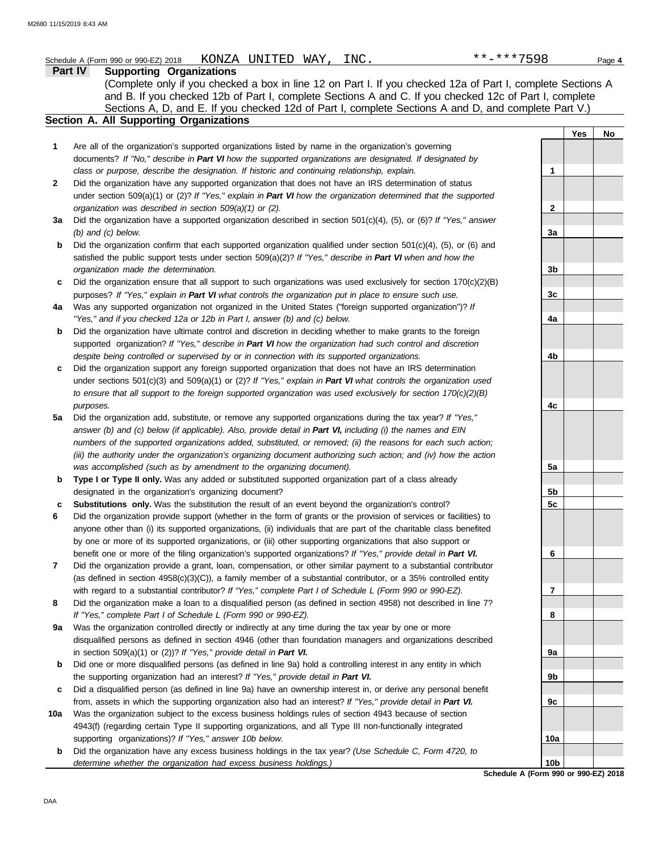|              | **-***7598<br>KONZA UNITED WAY, INC.<br>Schedule A (Form 990 or 990-EZ) 2018                                                                                                                                                                                                                                                                                                                                                                       |                      |            | Page 4 |
|--------------|----------------------------------------------------------------------------------------------------------------------------------------------------------------------------------------------------------------------------------------------------------------------------------------------------------------------------------------------------------------------------------------------------------------------------------------------------|----------------------|------------|--------|
|              | Part IV<br><b>Supporting Organizations</b><br>(Complete only if you checked a box in line 12 on Part I. If you checked 12a of Part I, complete Sections A<br>and B. If you checked 12b of Part I, complete Sections A and C. If you checked 12c of Part I, complete<br>Sections A, D, and E. If you checked 12d of Part I, complete Sections A and D, and complete Part V.)<br>Section A. All Supporting Organizations                             |                      |            |        |
|              |                                                                                                                                                                                                                                                                                                                                                                                                                                                    |                      | <b>Yes</b> | No     |
| 1            | Are all of the organization's supported organizations listed by name in the organization's governing<br>documents? If "No," describe in Part VI how the supported organizations are designated. If designated by<br>class or purpose, describe the designation. If historic and continuing relationship, explain.                                                                                                                                  |                      |            |        |
| $\mathbf{2}$ | Did the organization have any supported organization that does not have an IRS determination of status<br>under section 509(a)(1) or (2)? If "Yes," explain in Part VI how the organization determined that the supported                                                                                                                                                                                                                          | 1                    |            |        |
| За           | organization was described in section 509(a)(1) or (2).<br>Did the organization have a supported organization described in section 501(c)(4), (5), or (6)? If "Yes," answer                                                                                                                                                                                                                                                                        | 2                    |            |        |
| b            | $(b)$ and $(c)$ below.<br>Did the organization confirm that each supported organization qualified under section $501(c)(4)$ , (5), or (6) and<br>satisfied the public support tests under section 509(a)(2)? If "Yes," describe in Part VI when and how the<br>organization made the determination.                                                                                                                                                | За<br>3 <sub>b</sub> |            |        |
| c            | Did the organization ensure that all support to such organizations was used exclusively for section $170(c)(2)(B)$<br>purposes? If "Yes," explain in Part VI what controls the organization put in place to ensure such use.                                                                                                                                                                                                                       | 3c                   |            |        |
| 4a           | Was any supported organization not organized in the United States ("foreign supported organization")? If<br>"Yes," and if you checked 12a or 12b in Part I, answer (b) and (c) below.                                                                                                                                                                                                                                                              | 4a                   |            |        |
| b            | Did the organization have ultimate control and discretion in deciding whether to make grants to the foreign<br>supported organization? If "Yes," describe in Part VI how the organization had such control and discretion                                                                                                                                                                                                                          |                      |            |        |
| c            | despite being controlled or supervised by or in connection with its supported organizations.<br>Did the organization support any foreign supported organization that does not have an IRS determination<br>under sections $501(c)(3)$ and $509(a)(1)$ or (2)? If "Yes," explain in Part VI what controls the organization used<br>to ensure that all support to the foreign supported organization was used exclusively for section $170(c)(2)(B)$ | 4b                   |            |        |
| 5a           | purposes.<br>Did the organization add, substitute, or remove any supported organizations during the tax year? If "Yes,"                                                                                                                                                                                                                                                                                                                            | 4c                   |            |        |
|              | answer (b) and (c) below (if applicable). Also, provide detail in Part VI, including (i) the names and EIN<br>numbers of the supported organizations added, substituted, or removed; (ii) the reasons for each such action;<br>(iii) the authority under the organization's organizing document authorizing such action; and (iv) how the action                                                                                                   |                      |            |        |
| b            | was accomplished (such as by amendment to the organizing document).<br>Type I or Type II only. Was any added or substituted supported organization part of a class already<br>designated in the organization's organizing document?                                                                                                                                                                                                                | 5a<br>5b             |            |        |
| c<br>6       | Substitutions only. Was the substitution the result of an event beyond the organization's control?<br>Did the organization provide support (whether in the form of grants or the provision of services or facilities) to<br>anyone other than (i) its supported organizations, (ii) individuals that are part of the charitable class benefited                                                                                                    | 5c                   |            |        |
| 7            | by one or more of its supported organizations, or (iii) other supporting organizations that also support or<br>benefit one or more of the filing organization's supported organizations? If "Yes," provide detail in Part VI.<br>Did the organization provide a grant, loan, compensation, or other similar payment to a substantial contributor                                                                                                   | 6                    |            |        |
| 8            | (as defined in section $4958(c)(3)(C)$ ), a family member of a substantial contributor, or a 35% controlled entity<br>with regard to a substantial contributor? If "Yes," complete Part I of Schedule L (Form 990 or 990-EZ).<br>Did the organization make a loan to a disqualified person (as defined in section 4958) not described in line 7?                                                                                                   | 7                    |            |        |
| 9a           | If "Yes," complete Part I of Schedule L (Form 990 or 990-EZ).<br>Was the organization controlled directly or indirectly at any time during the tax year by one or more                                                                                                                                                                                                                                                                             | 8                    |            |        |
|              | disqualified persons as defined in section 4946 (other than foundation managers and organizations described<br>in section 509(a)(1) or (2))? If "Yes," provide detail in Part VI.                                                                                                                                                                                                                                                                  | 9а                   |            |        |
| b            | Did one or more disqualified persons (as defined in line 9a) hold a controlling interest in any entity in which<br>the supporting organization had an interest? If "Yes," provide detail in Part VI.                                                                                                                                                                                                                                               | 9b                   |            |        |
| c            | Did a disqualified person (as defined in line 9a) have an ownership interest in, or derive any personal benefit<br>from, assets in which the supporting organization also had an interest? If "Yes," provide detail in Part VI.                                                                                                                                                                                                                    | 9c                   |            |        |
| 10a          | Was the organization subject to the excess business holdings rules of section 4943 because of section<br>4943(f) (regarding certain Type II supporting organizations, and all Type III non-functionally integrated<br>supporting organizations)? If "Yes," answer 10b below.                                                                                                                                                                       | 10a                  |            |        |
|              |                                                                                                                                                                                                                                                                                                                                                                                                                                                    |                      |            |        |

**b** Did the organization have any excess business holdings in the tax year? *(Use Schedule C, Form 4720, to determine whether the organization had excess business holdings.)*

**Schedule A (Form 990 or 990-EZ) 2018 10b**

DAA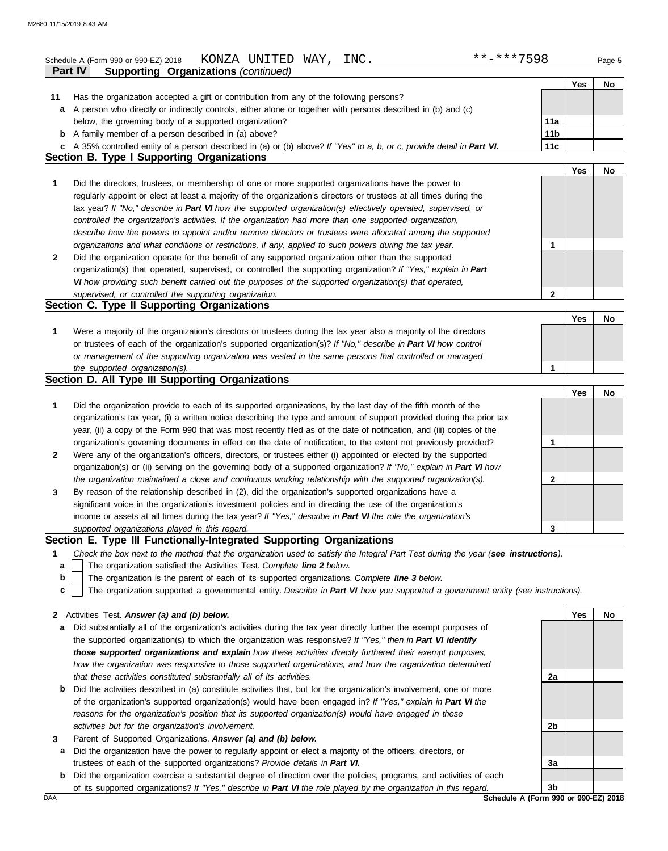|         | KONZA UNITED WAY,<br>INC.<br>Schedule A (Form 990 or 990-EZ) 2018                                                                                                                                                                               | $***$ ** ** 7598 |     | Page 5 |
|---------|-------------------------------------------------------------------------------------------------------------------------------------------------------------------------------------------------------------------------------------------------|------------------|-----|--------|
|         | Part IV<br><b>Supporting Organizations (continued)</b>                                                                                                                                                                                          |                  |     |        |
|         |                                                                                                                                                                                                                                                 |                  | Yes | No     |
| 11<br>a | Has the organization accepted a gift or contribution from any of the following persons?<br>A person who directly or indirectly controls, either alone or together with persons described in (b) and (c)                                         |                  |     |        |
|         | below, the governing body of a supported organization?                                                                                                                                                                                          | 11a              |     |        |
|         | <b>b</b> A family member of a person described in (a) above?                                                                                                                                                                                    | 11 <sub>b</sub>  |     |        |
|         | c A 35% controlled entity of a person described in (a) or (b) above? If "Yes" to a, b, or c, provide detail in Part VI.                                                                                                                         | 11c              |     |        |
|         | <b>Section B. Type I Supporting Organizations</b>                                                                                                                                                                                               |                  |     |        |
|         |                                                                                                                                                                                                                                                 |                  | Yes | No     |
| 1       | Did the directors, trustees, or membership of one or more supported organizations have the power to                                                                                                                                             |                  |     |        |
|         | regularly appoint or elect at least a majority of the organization's directors or trustees at all times during the                                                                                                                              |                  |     |        |
|         | tax year? If "No," describe in Part VI how the supported organization(s) effectively operated, supervised, or                                                                                                                                   |                  |     |        |
|         | controlled the organization's activities. If the organization had more than one supported organization,                                                                                                                                         |                  |     |        |
|         | describe how the powers to appoint and/or remove directors or trustees were allocated among the supported                                                                                                                                       |                  |     |        |
|         | organizations and what conditions or restrictions, if any, applied to such powers during the tax year.                                                                                                                                          | 1                |     |        |
| 2       | Did the organization operate for the benefit of any supported organization other than the supported                                                                                                                                             |                  |     |        |
|         | organization(s) that operated, supervised, or controlled the supporting organization? If "Yes," explain in Part                                                                                                                                 |                  |     |        |
|         | VI how providing such benefit carried out the purposes of the supported organization(s) that operated,                                                                                                                                          |                  |     |        |
|         | supervised, or controlled the supporting organization.                                                                                                                                                                                          | $\mathbf{2}$     |     |        |
|         | Section C. Type II Supporting Organizations                                                                                                                                                                                                     |                  |     |        |
|         |                                                                                                                                                                                                                                                 |                  | Yes | No     |
| 1       | Were a majority of the organization's directors or trustees during the tax year also a majority of the directors                                                                                                                                |                  |     |        |
|         | or trustees of each of the organization's supported organization(s)? If "No," describe in Part VI how control                                                                                                                                   |                  |     |        |
|         | or management of the supporting organization was vested in the same persons that controlled or managed                                                                                                                                          |                  |     |        |
|         | the supported organization(s).                                                                                                                                                                                                                  | 1                |     |        |
|         | <b>Section D. All Type III Supporting Organizations</b>                                                                                                                                                                                         |                  |     |        |
|         |                                                                                                                                                                                                                                                 |                  | Yes | No     |
| 1       | Did the organization provide to each of its supported organizations, by the last day of the fifth month of the                                                                                                                                  |                  |     |        |
|         | organization's tax year, (i) a written notice describing the type and amount of support provided during the prior tax<br>year, (ii) a copy of the Form 990 that was most recently filed as of the date of notification, and (iii) copies of the |                  |     |        |
|         | organization's governing documents in effect on the date of notification, to the extent not previously provided?                                                                                                                                | 1                |     |        |
| 2       | Were any of the organization's officers, directors, or trustees either (i) appointed or elected by the supported                                                                                                                                |                  |     |        |
|         | organization(s) or (ii) serving on the governing body of a supported organization? If "No," explain in Part VI how                                                                                                                              |                  |     |        |
|         | the organization maintained a close and continuous working relationship with the supported organization(s).                                                                                                                                     | 2                |     |        |
| 3       | By reason of the relationship described in (2), did the organization's supported organizations have a                                                                                                                                           |                  |     |        |
|         | significant voice in the organization's investment policies and in directing the use of the organization's                                                                                                                                      |                  |     |        |
|         | income or assets at all times during the tax year? If "Yes," describe in Part VI the role the organization's                                                                                                                                    |                  |     |        |
|         | supported organizations played in this regard.                                                                                                                                                                                                  | 3                |     |        |
|         | Section E. Type III Functionally-Integrated Supporting Organizations                                                                                                                                                                            |                  |     |        |
| 1       | Check the box next to the method that the organization used to satisfy the Integral Part Test during the year (see instructions).                                                                                                               |                  |     |        |
| a       | The organization satisfied the Activities Test. Complete line 2 below.                                                                                                                                                                          |                  |     |        |
| b       | The organization is the parent of each of its supported organizations. Complete line 3 below.                                                                                                                                                   |                  |     |        |
| c       | The organization supported a governmental entity. Describe in Part VI how you supported a government entity (see instructions).                                                                                                                 |                  |     |        |
|         | 2 Activities Test. Answer (a) and (b) below.                                                                                                                                                                                                    |                  | Yes | No     |
| a       | Did substantially all of the organization's activities during the tax year directly further the exempt purposes of                                                                                                                              |                  |     |        |
|         | the supported organization(s) to which the organization was responsive? If "Yes," then in Part VI identify                                                                                                                                      |                  |     |        |
|         | those supported organizations and explain how these activities directly furthered their exempt purposes,                                                                                                                                        |                  |     |        |
|         | how the organization was responsive to those supported organizations, and how the organization determined                                                                                                                                       |                  |     |        |
|         | that these activities constituted substantially all of its activities.                                                                                                                                                                          | 2a               |     |        |

- **b** Did the activities described in (a) constitute activities that, but for the organization's involvement, one or more of the organization's supported organization(s) would have been engaged in? *If "Yes," explain in Part VI the reasons for the organization's position that its supported organization(s) would have engaged in these activities but for the organization's involvement.*
- **3** Parent of Supported Organizations. *Answer (a) and (b) below.*
- **a** Did the organization have the power to regularly appoint or elect a majority of the officers, directors, or trustees of each of the supported organizations? *Provide details in Part VI.*
- **b** Did the organization exercise a substantial degree of direction over the policies, programs, and activities of each of its supported organizations? *If "Yes," describe in Part VI the role played by the organization in this regard.*

**2b 3a 3b**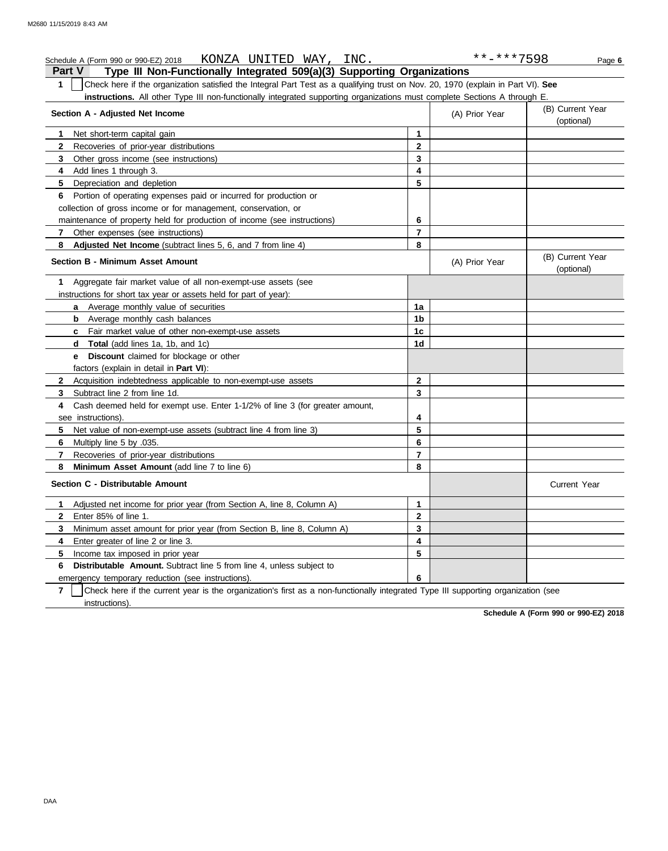## **Part V Type III Non-Functionally Integrated 509(a)(3) Supporting Organizations** Schedule A (Form 990 or 990-EZ) 2018 KONZA UNITED WAY, INC. \*\*\*\*\*7598 Page 6 **1** Check here if the organization satisfied the Integral Part Test as a qualifying trust on Nov. 20, 1970 (explain in Part VI). **See instructions.** All other Type III non-functionally integrated supporting organizations must complete Sections A through E. **1** Net short-term capital gain **2 3 4 5 6** Portion of operating expenses paid or incurred for production or **7 8 Section A - Adjusted Net Income** Recoveries of prior-year distributions Other gross income (see instructions) Add lines 1 through 3. Depreciation and depletion collection of gross income or for management, conservation, or maintenance of property held for production of income (see instructions) Other expenses (see instructions) **Adjusted Net Income** (subtract lines 5, 6, and 7 from line 4) **8 7 6 5 4 3 2 1** (A) Prior Year (B) Current Year (optional) (B) Current Year (A) Prior Year KONZA UNITED WAY,

# **Section B - Minimum Asset Amount**

|                | SECUOILD - MININUUTI ASSEL ANIOUNL                                                                                                |              | (A) PIIOI Teal | (optional)   |
|----------------|-----------------------------------------------------------------------------------------------------------------------------------|--------------|----------------|--------------|
| 1.             | Aggregate fair market value of all non-exempt-use assets (see                                                                     |              |                |              |
|                | instructions for short tax year or assets held for part of year):                                                                 |              |                |              |
|                | a Average monthly value of securities                                                                                             | 1a           |                |              |
|                | <b>b</b> Average monthly cash balances                                                                                            | 1b           |                |              |
|                | Fair market value of other non-exempt-use assets<br>C.                                                                            | 1c           |                |              |
|                | Total (add lines 1a, 1b, and 1c)<br>d                                                                                             | 1d           |                |              |
|                | Discount claimed for blockage or other<br>е                                                                                       |              |                |              |
|                | factors (explain in detail in Part VI):                                                                                           |              |                |              |
| $\mathbf{2}$   | Acquisition indebtedness applicable to non-exempt-use assets                                                                      | $\mathbf{2}$ |                |              |
| 3.             | Subtract line 2 from line 1d.                                                                                                     | 3            |                |              |
| 4              | Cash deemed held for exempt use. Enter 1-1/2% of line 3 (for greater amount,                                                      |              |                |              |
|                | see instructions).                                                                                                                | 4            |                |              |
| 5              | Net value of non-exempt-use assets (subtract line 4 from line 3)                                                                  | 5            |                |              |
| 6.             | Multiply line 5 by .035.                                                                                                          | 6            |                |              |
|                | Recoveries of prior-year distributions                                                                                            | 7            |                |              |
| 8              | Minimum Asset Amount (add line 7 to line 6)                                                                                       | 8            |                |              |
|                | Section C - Distributable Amount                                                                                                  |              |                | Current Year |
|                | Adjusted net income for prior year (from Section A, line 8, Column A)                                                             | 1            |                |              |
| $\mathbf{2}^-$ | Enter 85% of line 1.                                                                                                              | $\mathbf{2}$ |                |              |
| 3              | Minimum asset amount for prior year (from Section B, line 8, Column A)                                                            | 3            |                |              |
| 4              | Enter greater of line 2 or line 3.                                                                                                | 4            |                |              |
| 5              | Income tax imposed in prior year                                                                                                  | 5            |                |              |
| 6              | <b>Distributable Amount.</b> Subtract line 5 from line 4, unless subject to                                                       |              |                |              |
|                | emergency temporary reduction (see instructions).                                                                                 | 6            |                |              |
| $\overline{7}$ | Check here if the current year is the organization's first as a non-functionally integrated Type III supporting organization (see |              |                |              |

instructions).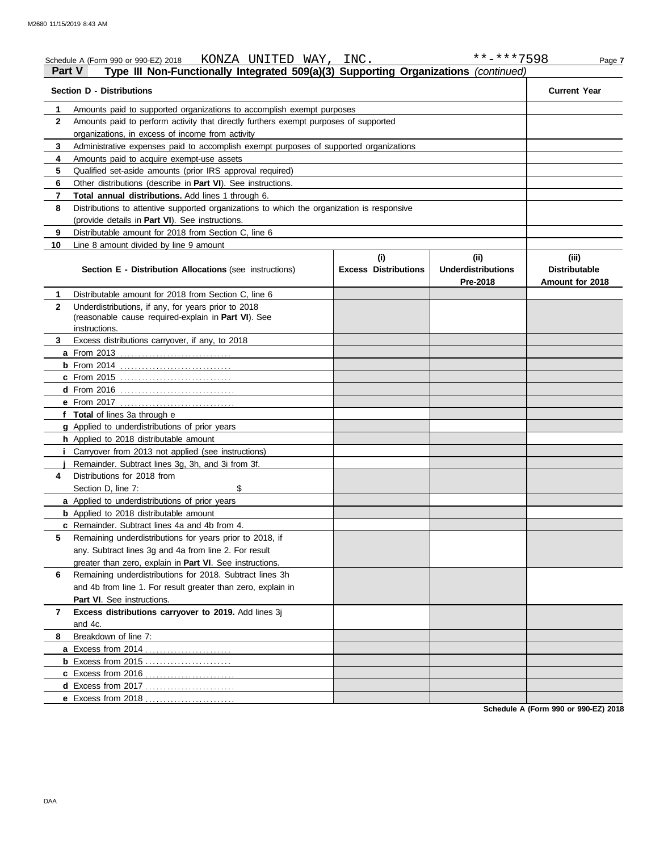|               | KONZA UNITED WAY, INC.<br>Schedule A (Form 990 or 990-EZ) 2018                                                            |                                    | **-***7598                                   | Page 7                                           |
|---------------|---------------------------------------------------------------------------------------------------------------------------|------------------------------------|----------------------------------------------|--------------------------------------------------|
| <b>Part V</b> | Type III Non-Functionally Integrated 509(a)(3) Supporting Organizations (continued)                                       |                                    |                                              |                                                  |
|               | <b>Section D - Distributions</b>                                                                                          |                                    |                                              | <b>Current Year</b>                              |
| 1             | Amounts paid to supported organizations to accomplish exempt purposes                                                     |                                    |                                              |                                                  |
| $\mathbf{2}$  | Amounts paid to perform activity that directly furthers exempt purposes of supported                                      |                                    |                                              |                                                  |
|               | organizations, in excess of income from activity                                                                          |                                    |                                              |                                                  |
| 3             | Administrative expenses paid to accomplish exempt purposes of supported organizations                                     |                                    |                                              |                                                  |
| 4             | Amounts paid to acquire exempt-use assets                                                                                 |                                    |                                              |                                                  |
| 5             | Qualified set-aside amounts (prior IRS approval required)<br>Other distributions (describe in Part VI). See instructions. |                                    |                                              |                                                  |
| 6             |                                                                                                                           |                                    |                                              |                                                  |
| 7             | Total annual distributions. Add lines 1 through 6.                                                                        |                                    |                                              |                                                  |
| 8             | Distributions to attentive supported organizations to which the organization is responsive                                |                                    |                                              |                                                  |
|               | (provide details in Part VI). See instructions.                                                                           |                                    |                                              |                                                  |
| 9             | Distributable amount for 2018 from Section C, line 6                                                                      |                                    |                                              |                                                  |
| 10            | Line 8 amount divided by line 9 amount                                                                                    |                                    |                                              |                                                  |
|               | Section E - Distribution Allocations (see instructions)                                                                   | (i)<br><b>Excess Distributions</b> | (i)<br><b>Underdistributions</b><br>Pre-2018 | (iii)<br><b>Distributable</b><br>Amount for 2018 |
| 1             | Distributable amount for 2018 from Section C, line 6                                                                      |                                    |                                              |                                                  |
| $\mathbf{2}$  | Underdistributions, if any, for years prior to 2018                                                                       |                                    |                                              |                                                  |
|               | (reasonable cause required-explain in Part VI). See                                                                       |                                    |                                              |                                                  |
|               | instructions.                                                                                                             |                                    |                                              |                                                  |
| 3             | Excess distributions carryover, if any, to 2018                                                                           |                                    |                                              |                                                  |
|               | <b>a</b> From 2013                                                                                                        |                                    |                                              |                                                  |
|               | <b>b</b> From 2014 <u></u><br><b>c</b> From 2015                                                                          |                                    |                                              |                                                  |
|               | <b>d</b> From 2016                                                                                                        |                                    |                                              |                                                  |
|               | e From 2017                                                                                                               |                                    |                                              |                                                  |
|               | f Total of lines 3a through e                                                                                             |                                    |                                              |                                                  |
|               | g Applied to underdistributions of prior years                                                                            |                                    |                                              |                                                  |
|               | h Applied to 2018 distributable amount                                                                                    |                                    |                                              |                                                  |
|               | Carryover from 2013 not applied (see instructions)                                                                        |                                    |                                              |                                                  |
|               | Remainder. Subtract lines 3g, 3h, and 3i from 3f.                                                                         |                                    |                                              |                                                  |
| 4             | Distributions for 2018 from                                                                                               |                                    |                                              |                                                  |
|               | Section D, line 7:<br>\$                                                                                                  |                                    |                                              |                                                  |
|               | a Applied to underdistributions of prior years                                                                            |                                    |                                              |                                                  |
|               | <b>b</b> Applied to 2018 distributable amount                                                                             |                                    |                                              |                                                  |
|               | c Remainder. Subtract lines 4a and 4b from 4.                                                                             |                                    |                                              |                                                  |
| 5             | Remaining underdistributions for years prior to 2018, if                                                                  |                                    |                                              |                                                  |
|               | any. Subtract lines 3g and 4a from line 2. For result                                                                     |                                    |                                              |                                                  |
|               | greater than zero, explain in <b>Part VI</b> . See instructions.                                                          |                                    |                                              |                                                  |
| 6             | Remaining underdistributions for 2018. Subtract lines 3h                                                                  |                                    |                                              |                                                  |
|               | and 4b from line 1. For result greater than zero, explain in                                                              |                                    |                                              |                                                  |
|               | Part VI. See instructions.                                                                                                |                                    |                                              |                                                  |
| 7             | Excess distributions carryover to 2019. Add lines 3j                                                                      |                                    |                                              |                                                  |
|               | and 4c.                                                                                                                   |                                    |                                              |                                                  |
| 8             | Breakdown of line 7:                                                                                                      |                                    |                                              |                                                  |
|               | a Excess from 2014<br>.                                                                                                   |                                    |                                              |                                                  |
|               |                                                                                                                           |                                    |                                              |                                                  |
|               | c Excess from 2016<br>. . <b>. <u>.</u></b>                                                                               |                                    |                                              |                                                  |
|               | d Excess from 2017.                                                                                                       |                                    |                                              |                                                  |
|               | e Excess from 2018                                                                                                        |                                    |                                              |                                                  |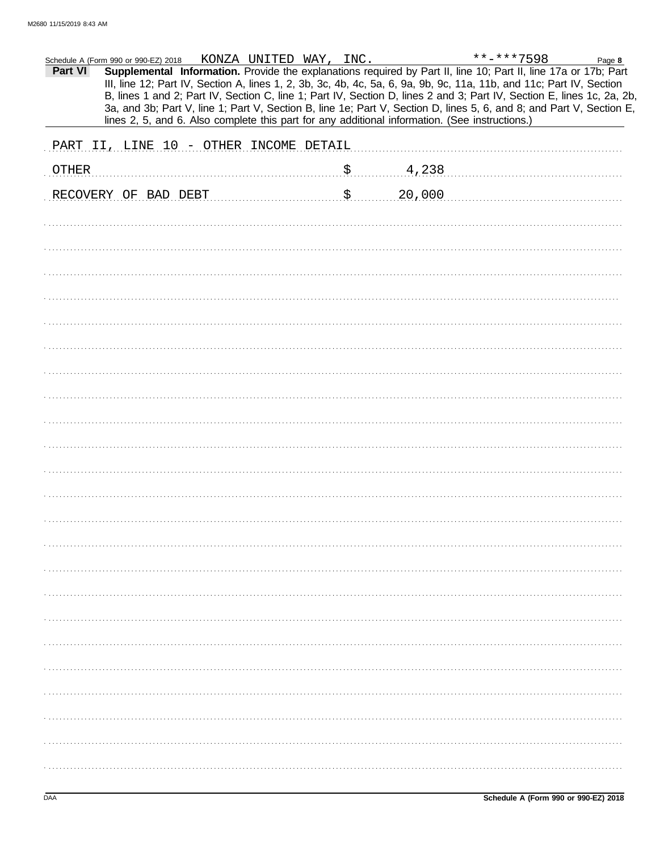|              | Schedule A (Form 990 or 990-EZ) 2018                                                           | KONZA UNITED WAY, INC. |                       |        | **-***7598                                                                                                                                                                                                                                                                                                                                                                                                                                                                                | Page 8 |
|--------------|------------------------------------------------------------------------------------------------|------------------------|-----------------------|--------|-------------------------------------------------------------------------------------------------------------------------------------------------------------------------------------------------------------------------------------------------------------------------------------------------------------------------------------------------------------------------------------------------------------------------------------------------------------------------------------------|--------|
| Part VI      |                                                                                                |                        |                       |        | Supplemental Information. Provide the explanations required by Part II, line 10; Part II, line 17a or 17b; Part<br>III, line 12; Part IV, Section A, lines 1, 2, 3b, 3c, 4b, 4c, 5a, 6, 9a, 9b, 9c, 11a, 11b, and 11c; Part IV, Section<br>B, lines 1 and 2; Part IV, Section C, line 1; Part IV, Section D, lines 2 and 3; Part IV, Section E, lines 1c, 2a, 2b,<br>3a, and 3b; Part V, line 1; Part V, Section B, line 1e; Part V, Section D, lines 5, 6, and 8; and Part V, Section E, |        |
|              | lines 2, 5, and 6. Also complete this part for any additional information. (See instructions.) |                        |                       |        |                                                                                                                                                                                                                                                                                                                                                                                                                                                                                           |        |
|              | PART II, LINE 10 - OTHER INCOME DETAIL                                                         |                        |                       |        |                                                                                                                                                                                                                                                                                                                                                                                                                                                                                           |        |
| <b>OTHER</b> |                                                                                                |                        | $$$                   | 4,238  |                                                                                                                                                                                                                                                                                                                                                                                                                                                                                           |        |
|              | RECOVERY OF BAD DEBT                                                                           |                        | $\mathfrak{S}_\infty$ | 20,000 |                                                                                                                                                                                                                                                                                                                                                                                                                                                                                           |        |
|              |                                                                                                |                        |                       |        |                                                                                                                                                                                                                                                                                                                                                                                                                                                                                           |        |
|              |                                                                                                |                        |                       |        |                                                                                                                                                                                                                                                                                                                                                                                                                                                                                           |        |
|              |                                                                                                |                        |                       |        |                                                                                                                                                                                                                                                                                                                                                                                                                                                                                           |        |
|              |                                                                                                |                        |                       |        |                                                                                                                                                                                                                                                                                                                                                                                                                                                                                           |        |
|              |                                                                                                |                        |                       |        |                                                                                                                                                                                                                                                                                                                                                                                                                                                                                           |        |
|              |                                                                                                |                        |                       |        |                                                                                                                                                                                                                                                                                                                                                                                                                                                                                           |        |
|              |                                                                                                |                        |                       |        |                                                                                                                                                                                                                                                                                                                                                                                                                                                                                           |        |
|              |                                                                                                |                        |                       |        |                                                                                                                                                                                                                                                                                                                                                                                                                                                                                           |        |
|              |                                                                                                |                        |                       |        |                                                                                                                                                                                                                                                                                                                                                                                                                                                                                           |        |
|              |                                                                                                |                        |                       |        |                                                                                                                                                                                                                                                                                                                                                                                                                                                                                           |        |
|              |                                                                                                |                        |                       |        |                                                                                                                                                                                                                                                                                                                                                                                                                                                                                           |        |
|              |                                                                                                |                        |                       |        |                                                                                                                                                                                                                                                                                                                                                                                                                                                                                           |        |
|              |                                                                                                |                        |                       |        |                                                                                                                                                                                                                                                                                                                                                                                                                                                                                           |        |
|              |                                                                                                |                        |                       |        |                                                                                                                                                                                                                                                                                                                                                                                                                                                                                           |        |
|              |                                                                                                |                        |                       |        |                                                                                                                                                                                                                                                                                                                                                                                                                                                                                           |        |
|              |                                                                                                |                        |                       |        |                                                                                                                                                                                                                                                                                                                                                                                                                                                                                           |        |
|              |                                                                                                |                        |                       |        |                                                                                                                                                                                                                                                                                                                                                                                                                                                                                           |        |
|              |                                                                                                |                        |                       |        |                                                                                                                                                                                                                                                                                                                                                                                                                                                                                           |        |
|              |                                                                                                |                        |                       |        |                                                                                                                                                                                                                                                                                                                                                                                                                                                                                           |        |
|              |                                                                                                |                        |                       |        |                                                                                                                                                                                                                                                                                                                                                                                                                                                                                           |        |
|              |                                                                                                |                        |                       |        |                                                                                                                                                                                                                                                                                                                                                                                                                                                                                           |        |
|              |                                                                                                |                        |                       |        |                                                                                                                                                                                                                                                                                                                                                                                                                                                                                           |        |
|              |                                                                                                |                        |                       |        |                                                                                                                                                                                                                                                                                                                                                                                                                                                                                           |        |
|              |                                                                                                |                        |                       |        |                                                                                                                                                                                                                                                                                                                                                                                                                                                                                           |        |
|              |                                                                                                |                        |                       |        |                                                                                                                                                                                                                                                                                                                                                                                                                                                                                           |        |
|              |                                                                                                |                        |                       |        |                                                                                                                                                                                                                                                                                                                                                                                                                                                                                           |        |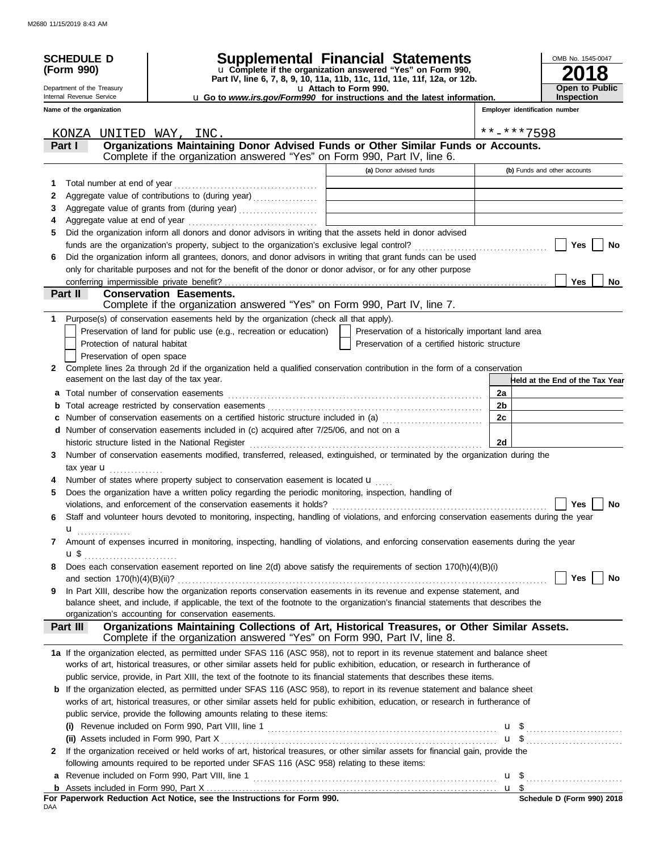| <b>SCHEDULE D</b><br>(Form 990)<br>Department of the Treasury |                                                                                                                                                                                                                  | Supplemental Financial Statements<br>u Complete if the organization answered "Yes" on Form 990,<br>Part IV, line 6, 7, 8, 9, 10, 11a, 11b, 11c, 11d, 11e, 11f, 12a, or 12b.<br>u Attach to Form 990. |                | OMB No. 1545-0047<br>8<br><b>Open to Public</b><br><b>Inspection</b> |  |  |
|---------------------------------------------------------------|------------------------------------------------------------------------------------------------------------------------------------------------------------------------------------------------------------------|------------------------------------------------------------------------------------------------------------------------------------------------------------------------------------------------------|----------------|----------------------------------------------------------------------|--|--|
| Internal Revenue Service                                      | u Go to www.irs.gov/Form990 for instructions and the latest information.                                                                                                                                         |                                                                                                                                                                                                      |                |                                                                      |  |  |
| Name of the organization                                      |                                                                                                                                                                                                                  |                                                                                                                                                                                                      |                | Employer identification number                                       |  |  |
| KONZA UNITED WAY, INC.                                        |                                                                                                                                                                                                                  |                                                                                                                                                                                                      | **-***7598     |                                                                      |  |  |
| Part I                                                        | Organizations Maintaining Donor Advised Funds or Other Similar Funds or Accounts.                                                                                                                                |                                                                                                                                                                                                      |                |                                                                      |  |  |
|                                                               | Complete if the organization answered "Yes" on Form 990, Part IV, line 6.                                                                                                                                        |                                                                                                                                                                                                      |                |                                                                      |  |  |
|                                                               |                                                                                                                                                                                                                  | (a) Donor advised funds                                                                                                                                                                              |                | (b) Funds and other accounts                                         |  |  |
| 1                                                             |                                                                                                                                                                                                                  |                                                                                                                                                                                                      |                |                                                                      |  |  |
| 2                                                             | Aggregate value of contributions to (during year)                                                                                                                                                                |                                                                                                                                                                                                      |                |                                                                      |  |  |
| 3                                                             |                                                                                                                                                                                                                  |                                                                                                                                                                                                      |                |                                                                      |  |  |
| 4                                                             |                                                                                                                                                                                                                  |                                                                                                                                                                                                      |                |                                                                      |  |  |
| 5                                                             | Did the organization inform all donors and donor advisors in writing that the assets held in donor advised                                                                                                       |                                                                                                                                                                                                      |                |                                                                      |  |  |
|                                                               |                                                                                                                                                                                                                  |                                                                                                                                                                                                      |                | Yes<br>No                                                            |  |  |
| 6                                                             | Did the organization inform all grantees, donors, and donor advisors in writing that grant funds can be used                                                                                                     |                                                                                                                                                                                                      |                |                                                                      |  |  |
|                                                               | only for charitable purposes and not for the benefit of the donor or donor advisor, or for any other purpose                                                                                                     |                                                                                                                                                                                                      |                |                                                                      |  |  |
| Part II                                                       | <b>Conservation Easements.</b>                                                                                                                                                                                   |                                                                                                                                                                                                      |                | <b>Yes</b><br>No                                                     |  |  |
|                                                               | Complete if the organization answered "Yes" on Form 990, Part IV, line 7.                                                                                                                                        |                                                                                                                                                                                                      |                |                                                                      |  |  |
| 1.                                                            | Purpose(s) of conservation easements held by the organization (check all that apply).                                                                                                                            |                                                                                                                                                                                                      |                |                                                                      |  |  |
|                                                               | Preservation of land for public use (e.g., recreation or education)                                                                                                                                              | Preservation of a historically important land area                                                                                                                                                   |                |                                                                      |  |  |
| Protection of natural habitat                                 |                                                                                                                                                                                                                  | Preservation of a certified historic structure                                                                                                                                                       |                |                                                                      |  |  |
| Preservation of open space                                    |                                                                                                                                                                                                                  |                                                                                                                                                                                                      |                |                                                                      |  |  |
| $\mathbf{2}$                                                  | Complete lines 2a through 2d if the organization held a qualified conservation contribution in the form of a conservation                                                                                        |                                                                                                                                                                                                      |                |                                                                      |  |  |
|                                                               | easement on the last day of the tax year.                                                                                                                                                                        |                                                                                                                                                                                                      |                | Held at the End of the Tax Year                                      |  |  |
|                                                               |                                                                                                                                                                                                                  |                                                                                                                                                                                                      | 2a             |                                                                      |  |  |
| b                                                             |                                                                                                                                                                                                                  |                                                                                                                                                                                                      | 2 <sub>b</sub> |                                                                      |  |  |
|                                                               | Number of conservation easements on a certified historic structure included in (a) [[[[[[[[[[[[[[[[[[[[[[[[[]]]]]]]                                                                                              |                                                                                                                                                                                                      | 2c             |                                                                      |  |  |
|                                                               | d Number of conservation easements included in (c) acquired after 7/25/06, and not on a                                                                                                                          |                                                                                                                                                                                                      |                |                                                                      |  |  |
|                                                               | historic structure listed in the National Register                                                                                                                                                               |                                                                                                                                                                                                      | 2d             |                                                                      |  |  |
| 3                                                             | Number of conservation easements modified, transferred, released, extinguished, or terminated by the organization during the                                                                                     |                                                                                                                                                                                                      |                |                                                                      |  |  |
| tax year <b>u</b><br>.                                        |                                                                                                                                                                                                                  |                                                                                                                                                                                                      |                |                                                                      |  |  |
|                                                               | Number of states where property subject to conservation easement is located u                                                                                                                                    |                                                                                                                                                                                                      |                |                                                                      |  |  |
| 5                                                             | Does the organization have a written policy regarding the periodic monitoring, inspection, handling of                                                                                                           |                                                                                                                                                                                                      |                | <b>Yes</b>                                                           |  |  |
|                                                               | violations, and enforcement of the conservation easements it holds?<br>Staff and volunteer hours devoted to monitoring, inspecting, handling of violations, and enforcing conservation easements during the year |                                                                                                                                                                                                      |                | No.                                                                  |  |  |
| 6                                                             |                                                                                                                                                                                                                  |                                                                                                                                                                                                      |                |                                                                      |  |  |
| u<br>.<br>7                                                   | Amount of expenses incurred in monitoring, inspecting, handling of violations, and enforcing conservation easements during the year                                                                              |                                                                                                                                                                                                      |                |                                                                      |  |  |
|                                                               |                                                                                                                                                                                                                  |                                                                                                                                                                                                      |                |                                                                      |  |  |
| 8                                                             | Does each conservation easement reported on line 2(d) above satisfy the requirements of section 170(h)(4)(B)(i)                                                                                                  |                                                                                                                                                                                                      |                |                                                                      |  |  |
|                                                               |                                                                                                                                                                                                                  |                                                                                                                                                                                                      |                | Yes $ $<br>No                                                        |  |  |
| 9                                                             | In Part XIII, describe how the organization reports conservation easements in its revenue and expense statement, and                                                                                             |                                                                                                                                                                                                      |                |                                                                      |  |  |
|                                                               | balance sheet, and include, if applicable, the text of the footnote to the organization's financial statements that describes the                                                                                |                                                                                                                                                                                                      |                |                                                                      |  |  |
|                                                               | organization's accounting for conservation easements.                                                                                                                                                            |                                                                                                                                                                                                      |                |                                                                      |  |  |
| Part III                                                      | Organizations Maintaining Collections of Art, Historical Treasures, or Other Similar Assets.                                                                                                                     |                                                                                                                                                                                                      |                |                                                                      |  |  |
|                                                               | Complete if the organization answered "Yes" on Form 990, Part IV, line 8.                                                                                                                                        |                                                                                                                                                                                                      |                |                                                                      |  |  |
|                                                               | 1a If the organization elected, as permitted under SFAS 116 (ASC 958), not to report in its revenue statement and balance sheet                                                                                  |                                                                                                                                                                                                      |                |                                                                      |  |  |
|                                                               | works of art, historical treasures, or other similar assets held for public exhibition, education, or research in furtherance of                                                                                 |                                                                                                                                                                                                      |                |                                                                      |  |  |
|                                                               | public service, provide, in Part XIII, the text of the footnote to its financial statements that describes these items.                                                                                          |                                                                                                                                                                                                      |                |                                                                      |  |  |
|                                                               | <b>b</b> If the organization elected, as permitted under SFAS 116 (ASC 958), to report in its revenue statement and balance sheet                                                                                |                                                                                                                                                                                                      |                |                                                                      |  |  |
|                                                               | works of art, historical treasures, or other similar assets held for public exhibition, education, or research in furtherance of                                                                                 |                                                                                                                                                                                                      |                |                                                                      |  |  |
|                                                               | public service, provide the following amounts relating to these items:                                                                                                                                           |                                                                                                                                                                                                      |                |                                                                      |  |  |
|                                                               | (ii) Assets included in Form 990, Part X                                                                                                                                                                         |                                                                                                                                                                                                      |                | $\mathbf{u}$ \$                                                      |  |  |
| 2                                                             | If the organization received or held works of art, historical treasures, or other similar assets for financial gain, provide the                                                                                 |                                                                                                                                                                                                      |                |                                                                      |  |  |
|                                                               | following amounts required to be reported under SFAS 116 (ASC 958) relating to these items:                                                                                                                      |                                                                                                                                                                                                      |                |                                                                      |  |  |
| a                                                             |                                                                                                                                                                                                                  |                                                                                                                                                                                                      |                |                                                                      |  |  |
|                                                               |                                                                                                                                                                                                                  |                                                                                                                                                                                                      |                |                                                                      |  |  |
|                                                               | For Paperwork Reduction Act Notice, see the Instructions for Form 990.                                                                                                                                           |                                                                                                                                                                                                      |                | Schedule D (Form 990) 2018                                           |  |  |
| DAA                                                           |                                                                                                                                                                                                                  |                                                                                                                                                                                                      |                |                                                                      |  |  |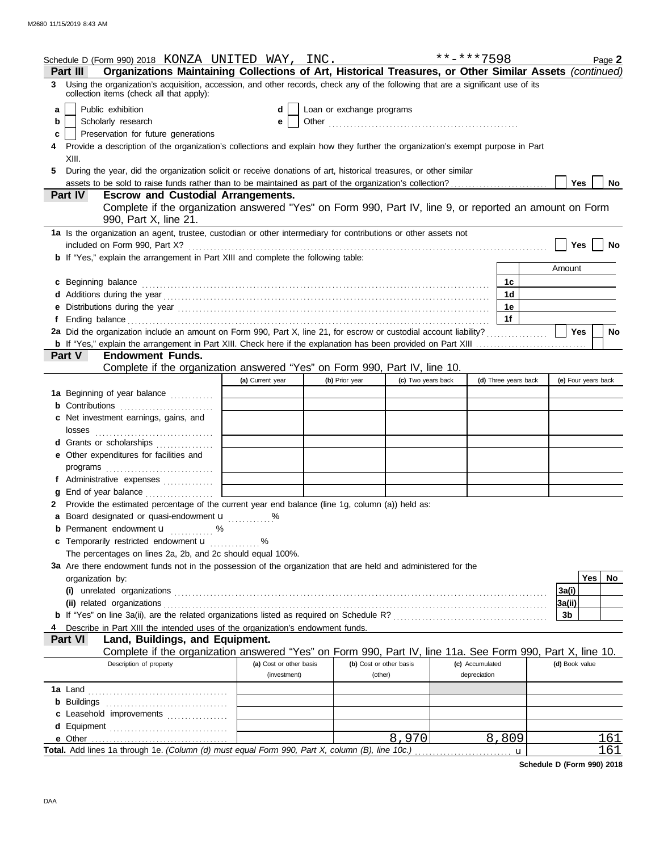|    | Schedule D (Form 990) 2018 KONZA UNITED WAY, INC.                                                                                                                            |                                         |                           |                                    | **-***7598                      |                      | Page 2              |
|----|------------------------------------------------------------------------------------------------------------------------------------------------------------------------------|-----------------------------------------|---------------------------|------------------------------------|---------------------------------|----------------------|---------------------|
|    | Organizations Maintaining Collections of Art, Historical Treasures, or Other Similar Assets (continued)<br>Part III                                                          |                                         |                           |                                    |                                 |                      |                     |
| 3. | Using the organization's acquisition, accession, and other records, check any of the following that are a significant use of its<br>collection items (check all that apply): |                                         |                           |                                    |                                 |                      |                     |
| a  | Public exhibition                                                                                                                                                            | d                                       | Loan or exchange programs |                                    |                                 |                      |                     |
| b  | Scholarly research                                                                                                                                                           | е                                       |                           |                                    |                                 |                      |                     |
| c  | Preservation for future generations                                                                                                                                          |                                         |                           |                                    |                                 |                      |                     |
|    | Provide a description of the organization's collections and explain how they further the organization's exempt purpose in Part                                               |                                         |                           |                                    |                                 |                      |                     |
|    | XIII.                                                                                                                                                                        |                                         |                           |                                    |                                 |                      |                     |
| 5. | During the year, did the organization solicit or receive donations of art, historical treasures, or other similar                                                            |                                         |                           |                                    |                                 |                      |                     |
|    |                                                                                                                                                                              |                                         |                           |                                    |                                 |                      | Yes<br>No           |
|    | <b>Escrow and Custodial Arrangements.</b><br><b>Part IV</b>                                                                                                                  |                                         |                           |                                    |                                 |                      |                     |
|    | Complete if the organization answered "Yes" on Form 990, Part IV, line 9, or reported an amount on Form                                                                      |                                         |                           |                                    |                                 |                      |                     |
|    | 990, Part X, line 21.                                                                                                                                                        |                                         |                           |                                    |                                 |                      |                     |
|    | 1a Is the organization an agent, trustee, custodian or other intermediary for contributions or other assets not                                                              |                                         |                           |                                    |                                 |                      |                     |
|    |                                                                                                                                                                              |                                         |                           |                                    |                                 |                      | Yes<br>No           |
|    | <b>b</b> If "Yes," explain the arrangement in Part XIII and complete the following table:                                                                                    |                                         |                           |                                    |                                 |                      |                     |
|    |                                                                                                                                                                              |                                         |                           |                                    |                                 |                      | Amount              |
|    | c Beginning balance                                                                                                                                                          |                                         |                           |                                    |                                 | 1c                   |                     |
|    |                                                                                                                                                                              |                                         |                           |                                    |                                 | 1d                   |                     |
|    |                                                                                                                                                                              |                                         |                           |                                    |                                 | 1е                   |                     |
| Ť. |                                                                                                                                                                              |                                         |                           |                                    |                                 | 1f                   |                     |
|    | 2a Did the organization include an amount on Form 990, Part X, line 21, for escrow or custodial account liability?                                                           |                                         |                           |                                    |                                 |                      | Yes<br>No           |
|    |                                                                                                                                                                              |                                         |                           |                                    |                                 |                      |                     |
|    | Part V<br><b>Endowment Funds.</b>                                                                                                                                            |                                         |                           |                                    |                                 |                      |                     |
|    | Complete if the organization answered "Yes" on Form 990, Part IV, line 10.                                                                                                   |                                         |                           |                                    |                                 |                      |                     |
|    |                                                                                                                                                                              | (a) Current year                        | (b) Prior year            | (c) Two years back                 |                                 | (d) Three years back | (e) Four years back |
|    | 1a Beginning of year balance                                                                                                                                                 |                                         |                           |                                    |                                 |                      |                     |
|    |                                                                                                                                                                              |                                         |                           |                                    |                                 |                      |                     |
|    | c Net investment earnings, gains, and                                                                                                                                        |                                         |                           |                                    |                                 |                      |                     |
|    | losses                                                                                                                                                                       |                                         |                           |                                    |                                 |                      |                     |
|    | d Grants or scholarships                                                                                                                                                     |                                         |                           |                                    |                                 |                      |                     |
|    | e Other expenditures for facilities and                                                                                                                                      |                                         |                           |                                    |                                 |                      |                     |
|    |                                                                                                                                                                              |                                         |                           |                                    |                                 |                      |                     |
|    | f Administrative expenses                                                                                                                                                    |                                         |                           |                                    |                                 |                      |                     |
|    | g End of year balance                                                                                                                                                        |                                         |                           |                                    |                                 |                      |                     |
|    | 2 Provide the estimated percentage of the current year end balance (line 1g, column (a)) held as:                                                                            |                                         |                           |                                    |                                 |                      |                     |
|    | a Board designated or quasi-endowment <b>u</b> %                                                                                                                             |                                         |                           |                                    |                                 |                      |                     |
|    | <b>b</b> Permanent endowment <b>u</b> %                                                                                                                                      |                                         |                           |                                    |                                 |                      |                     |
|    | c Temporarily restricted endowment <b>u</b> %                                                                                                                                |                                         |                           |                                    |                                 |                      |                     |
|    | The percentages on lines 2a, 2b, and 2c should equal 100%.                                                                                                                   |                                         |                           |                                    |                                 |                      |                     |
|    | 3a Are there endowment funds not in the possession of the organization that are held and administered for the                                                                |                                         |                           |                                    |                                 |                      |                     |
|    | organization by:                                                                                                                                                             |                                         |                           |                                    |                                 |                      | Yes<br>No           |
|    |                                                                                                                                                                              |                                         |                           |                                    |                                 |                      | 3a(i)               |
|    |                                                                                                                                                                              |                                         |                           |                                    |                                 |                      | 3a(ii)              |
|    |                                                                                                                                                                              |                                         |                           |                                    |                                 |                      | 3b                  |
|    | Describe in Part XIII the intended uses of the organization's endowment funds.                                                                                               |                                         |                           |                                    |                                 |                      |                     |
|    | Land, Buildings, and Equipment.<br><b>Part VI</b>                                                                                                                            |                                         |                           |                                    |                                 |                      |                     |
|    | Complete if the organization answered "Yes" on Form 990, Part IV, line 11a. See Form 990, Part X, line 10.                                                                   |                                         |                           |                                    |                                 |                      |                     |
|    | Description of property                                                                                                                                                      | (a) Cost or other basis<br>(investment) |                           | (b) Cost or other basis<br>(other) | (c) Accumulated<br>depreciation |                      | (d) Book value      |
|    |                                                                                                                                                                              |                                         |                           |                                    |                                 |                      |                     |
|    |                                                                                                                                                                              |                                         |                           |                                    |                                 |                      |                     |
|    |                                                                                                                                                                              |                                         |                           |                                    |                                 |                      |                     |
|    | c Leasehold improvements                                                                                                                                                     |                                         |                           |                                    |                                 |                      |                     |
|    |                                                                                                                                                                              |                                         |                           | 8,970                              |                                 | 8,809                | 161                 |
|    | e Other<br>Total. Add lines 1a through 1e. (Column (d) must equal Form 990, Part X, column (B), line 10c.)                                                                   |                                         |                           |                                    |                                 |                      | 161                 |
|    |                                                                                                                                                                              |                                         |                           |                                    |                                 | u                    |                     |

**Schedule D (Form 990) 2018**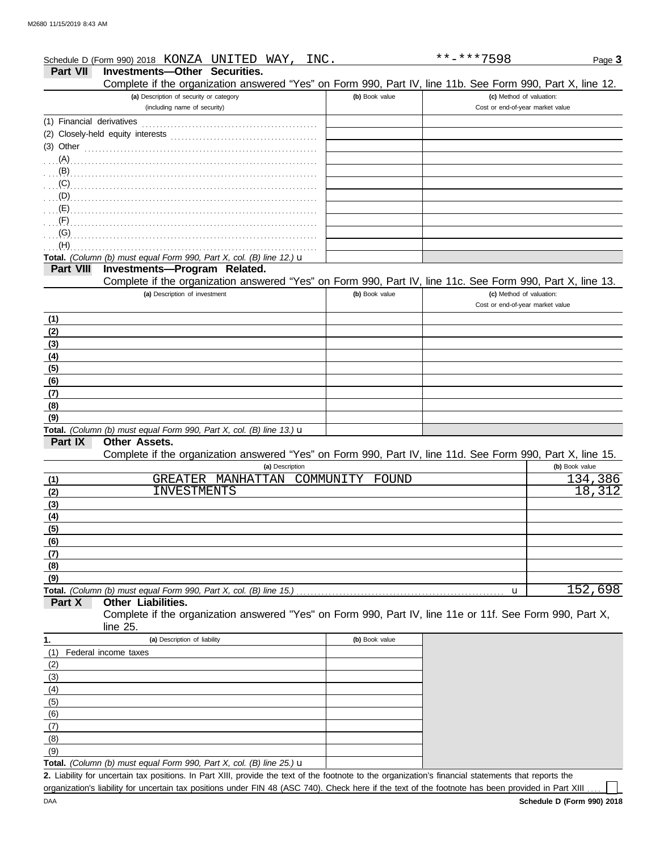| Complete if the organization answered "Yes" on Form 990, Part IV, line 11b. See Form 990, Part X, line 12. |
|------------------------------------------------------------------------------------------------------------|
| (c) Method of valuation:<br>Cost or end-of-year market value                                               |
|                                                                                                            |
|                                                                                                            |
|                                                                                                            |
|                                                                                                            |
|                                                                                                            |
|                                                                                                            |

## **Total.** *(Column (b) must equal Form 990, Part X, col. (B) line 12.)* u **Part VIII Investments—Program Related.**

. . . . . . . . . . . . . . . . . . . . . . . . . . . . . . . . . . . . . . . . . . . . . . . . . . . . . . . . . . . . . . . . . . . . . . . . . . . . (G)

(H) . . . . . . . . . . . . . . . . . . . . . . . . . . . . . . . . . . . . . . . . . . . . . . . . . . . . . . . . . . . . . . . . . . . . . . . . . . . .

## Complete if the organization answered "Yes" on Form 990, Part IV, line 11c. See Form 990, Part X, line 13.

| (a) Description of investment                                                         | (b) Book value | (c) Method of valuation:         |
|---------------------------------------------------------------------------------------|----------------|----------------------------------|
|                                                                                       |                | Cost or end-of-year market value |
| (1)                                                                                   |                |                                  |
| (2)                                                                                   |                |                                  |
| (3)                                                                                   |                |                                  |
| (4)                                                                                   |                |                                  |
| (5)                                                                                   |                |                                  |
| (6)                                                                                   |                |                                  |
| (7)                                                                                   |                |                                  |
| (8)                                                                                   |                |                                  |
| (9)                                                                                   |                |                                  |
| <b>Total</b> (Column (b) must equal Form 000, Dart Y, cal (B) line 12 \ $\rightarrow$ |                |                                  |

## **Total.** *(Column (b) must equal Form 990, Part X, col. (B) line 13.)* u

### **Other Assets. Part IX**

Complete if the organization answered "Yes" on Form 990, Part IV, line 11d. See Form 990, Part X, line 15.

|                  | (a) Description                      | (b) Book value |
|------------------|--------------------------------------|----------------|
| (1)              | MANHATTAN COMMUNITY FOUND<br>GREATER | 134,386        |
| (2)              | INVESTMENTS                          | 18,312         |
| (3)              |                                      |                |
| $\left(4\right)$ |                                      |                |
| (5)              |                                      |                |
| (6)              |                                      |                |
| (7)              |                                      |                |
| (8)              |                                      |                |
| (9)              |                                      |                |
|                  |                                      | 152,698        |

### **Part X Other Liabilities.**

Complete if the organization answered "Yes" on Form 990, Part IV, line 11e or 11f. See Form 990, Part X, line 25.

| 1.  | (a) Description of liability                                                           | (b) Book value |
|-----|----------------------------------------------------------------------------------------|----------------|
| (1) | Federal income taxes                                                                   |                |
| (2) |                                                                                        |                |
| (3) |                                                                                        |                |
| (4) |                                                                                        |                |
| (5) |                                                                                        |                |
| (6) |                                                                                        |                |
| (7) |                                                                                        |                |
| (8) |                                                                                        |                |
| (9) |                                                                                        |                |
|     | <b>Total.</b> (Column (b) must equal Form 990, Part X, col. (B) line 25.) $\mathbf{u}$ |                |

Liability for uncertain tax positions. In Part XIII, provide the text of the footnote to the organization's financial statements that reports the **2.** organization's liability for uncertain tax positions under FIN 48 (ASC 740). Check here if the text of the footnote has been provided in Part XIII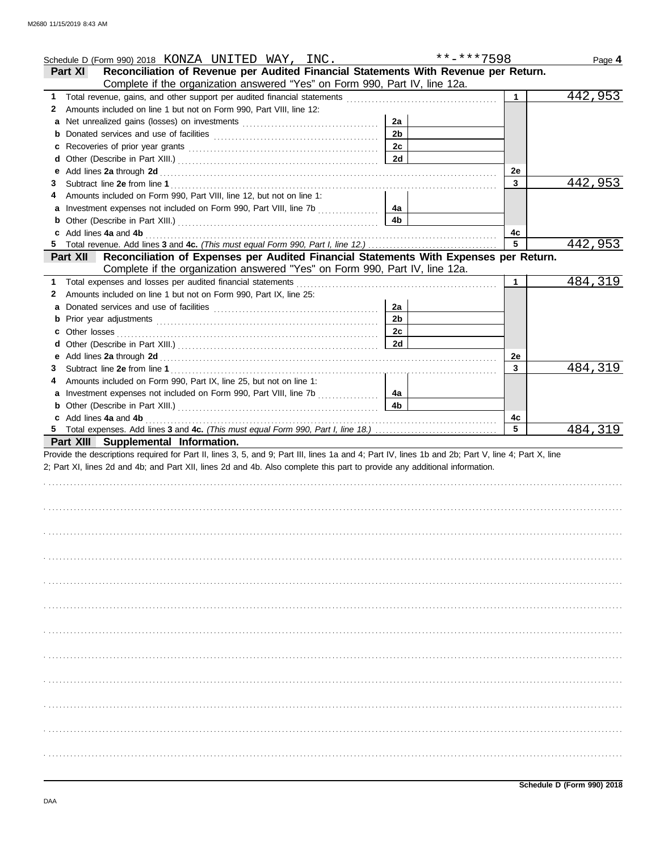|   | Schedule D (Form 990) 2018 KONZA UNITED WAY, INC.                                                                                                                                                                              |                      | **-***7598 |           | Page 4  |
|---|--------------------------------------------------------------------------------------------------------------------------------------------------------------------------------------------------------------------------------|----------------------|------------|-----------|---------|
|   | Reconciliation of Revenue per Audited Financial Statements With Revenue per Return.<br><b>Part XI</b>                                                                                                                          |                      |            |           |         |
|   | Complete if the organization answered "Yes" on Form 990, Part IV, line 12a.                                                                                                                                                    |                      |            |           |         |
| 1 |                                                                                                                                                                                                                                |                      |            | 1         | 442,953 |
| 2 | Amounts included on line 1 but not on Form 990, Part VIII, line 12:                                                                                                                                                            |                      |            |           |         |
|   |                                                                                                                                                                                                                                | 2a                   |            |           |         |
|   |                                                                                                                                                                                                                                | 2 <sub>b</sub>       |            |           |         |
|   | Recoveries of prior year grants [11] recovering the contract of prior year grants [11] recovering the contract of the contract of the contract of the contract of the contract of the contract of the contract of the contract | 2c                   |            |           |         |
|   |                                                                                                                                                                                                                                | <b>2d</b>            |            |           |         |
| е |                                                                                                                                                                                                                                |                      |            | <b>2e</b> |         |
| 3 |                                                                                                                                                                                                                                |                      |            | 3         | 442,953 |
|   | Amounts included on Form 990, Part VIII, line 12, but not on line 1:                                                                                                                                                           |                      |            |           |         |
| a | Investment expenses not included on Form 990, Part VIII, line 7b                                                                                                                                                               | 4a                   |            |           |         |
|   |                                                                                                                                                                                                                                | 4 <sub>b</sub>       |            |           |         |
|   | Add lines 4a and 4b                                                                                                                                                                                                            |                      |            | 4с<br>5   |         |
|   |                                                                                                                                                                                                                                |                      |            |           | 442,953 |
|   | Reconciliation of Expenses per Audited Financial Statements With Expenses per Return.<br><b>Part XII</b>                                                                                                                       |                      |            |           |         |
|   | Complete if the organization answered "Yes" on Form 990, Part IV, line 12a.                                                                                                                                                    |                      |            | 1         |         |
| 1 | Total expenses and losses per audited financial statements                                                                                                                                                                     |                      |            |           | 484,319 |
| 2 | Amounts included on line 1 but not on Form 990, Part IX, line 25:                                                                                                                                                              |                      |            |           |         |
| a |                                                                                                                                                                                                                                | 2a<br>2 <sub>b</sub> |            |           |         |
|   |                                                                                                                                                                                                                                | 2c                   |            |           |         |
|   |                                                                                                                                                                                                                                | 2d                   |            |           |         |
| е |                                                                                                                                                                                                                                |                      |            | 2e        |         |
| З |                                                                                                                                                                                                                                |                      |            | 3         | 484,319 |
|   | Amounts included on Form 990, Part IX, line 25, but not on line 1:                                                                                                                                                             |                      |            |           |         |
|   |                                                                                                                                                                                                                                | 4a                   |            |           |         |
|   |                                                                                                                                                                                                                                |                      |            |           |         |
| a | Investment expenses not included on Form 990, Part VIII, line 7b                                                                                                                                                               |                      |            |           |         |
| b |                                                                                                                                                                                                                                | 4 <sub>b</sub>       |            |           |         |
|   | c Add lines 4a and 4b                                                                                                                                                                                                          |                      |            | 4c<br>5   |         |
|   |                                                                                                                                                                                                                                |                      |            |           | 484,319 |
|   | Part XIII Supplemental Information.<br>Provide the descriptions required for Part II, lines 3, 5, and 9; Part III, lines 1a and 4; Part IV, lines 1b and 2b; Part V, line 4; Part X, line                                      |                      |            |           |         |
|   | 2; Part XI, lines 2d and 4b; and Part XII, lines 2d and 4b. Also complete this part to provide any additional information.                                                                                                     |                      |            |           |         |
|   |                                                                                                                                                                                                                                |                      |            |           |         |
|   |                                                                                                                                                                                                                                |                      |            |           |         |
|   |                                                                                                                                                                                                                                |                      |            |           |         |
|   |                                                                                                                                                                                                                                |                      |            |           |         |
|   |                                                                                                                                                                                                                                |                      |            |           |         |
|   |                                                                                                                                                                                                                                |                      |            |           |         |
|   |                                                                                                                                                                                                                                |                      |            |           |         |
|   |                                                                                                                                                                                                                                |                      |            |           |         |
|   |                                                                                                                                                                                                                                |                      |            |           |         |
|   |                                                                                                                                                                                                                                |                      |            |           |         |
|   |                                                                                                                                                                                                                                |                      |            |           |         |
|   |                                                                                                                                                                                                                                |                      |            |           |         |
|   |                                                                                                                                                                                                                                |                      |            |           |         |
|   |                                                                                                                                                                                                                                |                      |            |           |         |
|   |                                                                                                                                                                                                                                |                      |            |           |         |
|   |                                                                                                                                                                                                                                |                      |            |           |         |
|   |                                                                                                                                                                                                                                |                      |            |           |         |
|   |                                                                                                                                                                                                                                |                      |            |           |         |
|   |                                                                                                                                                                                                                                |                      |            |           |         |
|   |                                                                                                                                                                                                                                |                      |            |           |         |
|   |                                                                                                                                                                                                                                |                      |            |           |         |
|   |                                                                                                                                                                                                                                |                      |            |           |         |
|   |                                                                                                                                                                                                                                |                      |            |           |         |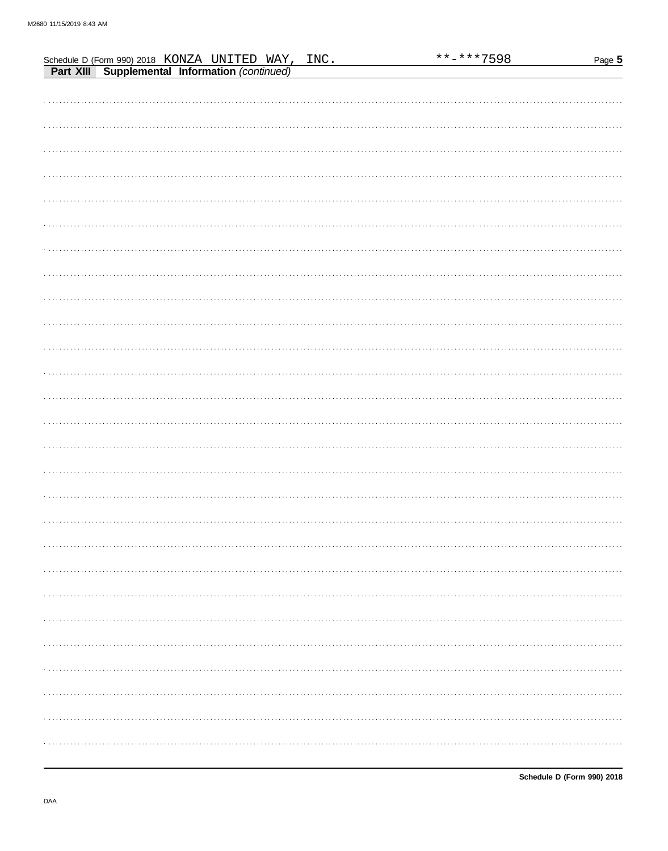|                                                                                                     |  |  |  | **-***7598 | Page 5 |
|-----------------------------------------------------------------------------------------------------|--|--|--|------------|--------|
| Schedule D (Form 990) 2018 KONZA UNITED WAY, INC.<br>Part XIII Supplemental Information (continued) |  |  |  |            |        |
|                                                                                                     |  |  |  |            |        |
|                                                                                                     |  |  |  |            |        |
|                                                                                                     |  |  |  |            |        |
|                                                                                                     |  |  |  |            |        |
|                                                                                                     |  |  |  |            |        |
|                                                                                                     |  |  |  |            |        |
|                                                                                                     |  |  |  |            |        |
|                                                                                                     |  |  |  |            |        |
|                                                                                                     |  |  |  |            |        |
|                                                                                                     |  |  |  |            |        |
|                                                                                                     |  |  |  |            |        |
|                                                                                                     |  |  |  |            |        |
|                                                                                                     |  |  |  |            |        |
|                                                                                                     |  |  |  |            |        |
|                                                                                                     |  |  |  |            |        |
|                                                                                                     |  |  |  |            |        |
|                                                                                                     |  |  |  |            |        |
|                                                                                                     |  |  |  |            |        |
|                                                                                                     |  |  |  |            |        |
|                                                                                                     |  |  |  |            |        |
|                                                                                                     |  |  |  |            |        |
|                                                                                                     |  |  |  |            |        |
|                                                                                                     |  |  |  |            |        |
|                                                                                                     |  |  |  |            |        |
|                                                                                                     |  |  |  |            |        |
|                                                                                                     |  |  |  |            |        |
|                                                                                                     |  |  |  |            |        |
|                                                                                                     |  |  |  |            |        |
|                                                                                                     |  |  |  |            |        |
|                                                                                                     |  |  |  |            |        |
|                                                                                                     |  |  |  |            |        |
|                                                                                                     |  |  |  |            |        |
|                                                                                                     |  |  |  |            |        |
|                                                                                                     |  |  |  |            |        |
|                                                                                                     |  |  |  |            |        |
|                                                                                                     |  |  |  |            |        |
|                                                                                                     |  |  |  |            |        |
|                                                                                                     |  |  |  |            |        |
|                                                                                                     |  |  |  |            |        |
|                                                                                                     |  |  |  |            |        |
|                                                                                                     |  |  |  |            |        |
|                                                                                                     |  |  |  |            |        |
|                                                                                                     |  |  |  |            |        |
|                                                                                                     |  |  |  |            |        |
|                                                                                                     |  |  |  |            |        |
|                                                                                                     |  |  |  |            |        |
|                                                                                                     |  |  |  |            |        |
|                                                                                                     |  |  |  |            |        |
|                                                                                                     |  |  |  |            |        |
|                                                                                                     |  |  |  |            |        |
|                                                                                                     |  |  |  |            |        |
|                                                                                                     |  |  |  |            |        |
|                                                                                                     |  |  |  |            |        |
|                                                                                                     |  |  |  |            |        |
|                                                                                                     |  |  |  |            |        |
|                                                                                                     |  |  |  |            |        |
|                                                                                                     |  |  |  |            |        |
|                                                                                                     |  |  |  |            |        |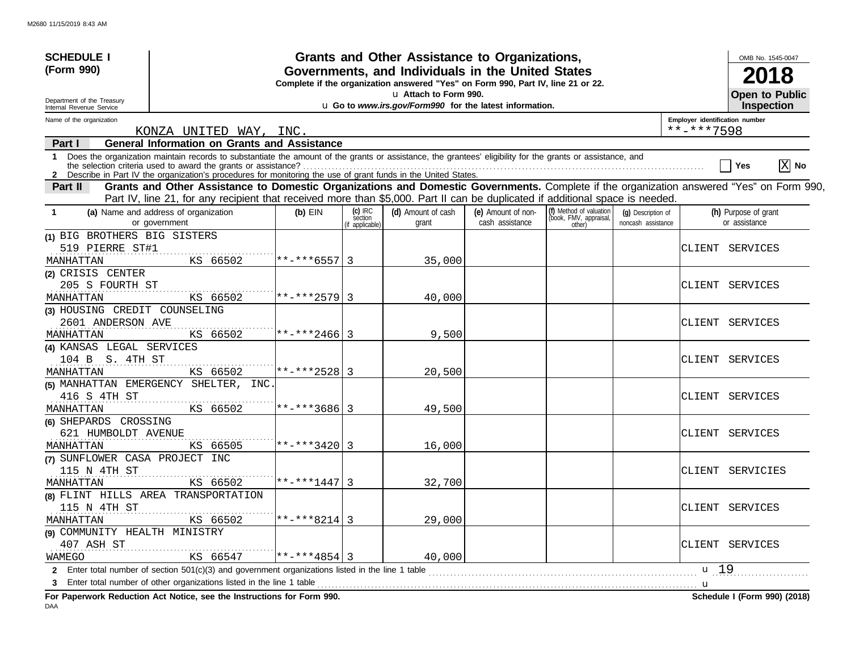| <b>SCHEDULE I</b>                                      |                                                                                                                                                                                                                                                                               |                   |                | Grants and Other Assistance to Organizations,                                    |                                       |                                                             |                                          |                                | OMB No. 1545-0047                     |
|--------------------------------------------------------|-------------------------------------------------------------------------------------------------------------------------------------------------------------------------------------------------------------------------------------------------------------------------------|-------------------|----------------|----------------------------------------------------------------------------------|---------------------------------------|-------------------------------------------------------------|------------------------------------------|--------------------------------|---------------------------------------|
| (Form 990)                                             | Governments, and Individuals in the United States<br>Complete if the organization answered "Yes" on Form 990, Part IV, line 21 or 22.                                                                                                                                         |                   |                |                                                                                  |                                       |                                                             |                                          |                                |                                       |
| Department of the Treasury<br>Internal Revenue Service |                                                                                                                                                                                                                                                                               |                   |                | u Attach to Form 990.<br>u Go to www.irs.gov/Form990 for the latest information. |                                       |                                                             |                                          |                                | <b>Open to Public</b><br>Inspection   |
| Name of the organization                               |                                                                                                                                                                                                                                                                               |                   |                |                                                                                  |                                       |                                                             |                                          | Employer identification number |                                       |
|                                                        | KONZA UNITED WAY, INC.                                                                                                                                                                                                                                                        |                   |                |                                                                                  |                                       |                                                             |                                          | **-***7598                     |                                       |
| Part I                                                 | <b>General Information on Grants and Assistance</b>                                                                                                                                                                                                                           |                   |                |                                                                                  |                                       |                                                             |                                          |                                |                                       |
| $\mathbf{1}$                                           | Does the organization maintain records to substantiate the amount of the grants or assistance, the grantees' eligibility for the grants or assistance, and<br>2 Describe in Part IV the organization's procedures for monitoring the use of grant funds in the United States. |                   |                |                                                                                  |                                       |                                                             |                                          |                                | $\boxed{\text{X}}$ No<br>Yes          |
| Part II                                                | Grants and Other Assistance to Domestic Organizations and Domestic Governments. Complete if the organization answered "Yes" on Form 990,                                                                                                                                      |                   |                |                                                                                  |                                       |                                                             |                                          |                                |                                       |
|                                                        | Part IV, line 21, for any recipient that received more than \$5,000. Part II can be duplicated if additional space is needed.                                                                                                                                                 |                   | $(c)$ IRC      |                                                                                  |                                       |                                                             |                                          |                                |                                       |
| -1                                                     | (a) Name and address of organization<br>or government                                                                                                                                                                                                                         | $(b)$ EIN         | section        | (d) Amount of cash<br>grant                                                      | (e) Amount of non-<br>cash assistance | (f) Method of valuation<br>(book, FMV, appraisal,<br>other) | (q) Description of<br>noncash assistance |                                | (h) Purpose of grant<br>or assistance |
| (1) BIG BROTHERS BIG SISTERS                           |                                                                                                                                                                                                                                                                               |                   | if applicable) |                                                                                  |                                       |                                                             |                                          |                                |                                       |
| 519 PIERRE ST#1                                        |                                                                                                                                                                                                                                                                               |                   |                |                                                                                  |                                       |                                                             |                                          |                                | CLIENT SERVICES                       |
| MANHATTAN                                              | KS 66502                                                                                                                                                                                                                                                                      | $**-***6557$   3  |                | 35,000                                                                           |                                       |                                                             |                                          |                                |                                       |
| (2) CRISIS CENTER                                      |                                                                                                                                                                                                                                                                               |                   |                |                                                                                  |                                       |                                                             |                                          |                                |                                       |
| 205 S FOURTH ST                                        |                                                                                                                                                                                                                                                                               |                   |                |                                                                                  |                                       |                                                             |                                          |                                | CLIENT SERVICES                       |
| MANHATTAN                                              | KS 66502                                                                                                                                                                                                                                                                      | $**-***2579$ 3    |                | 40,000                                                                           |                                       |                                                             |                                          |                                |                                       |
| (3) HOUSING CREDIT COUNSELING                          |                                                                                                                                                                                                                                                                               |                   |                |                                                                                  |                                       |                                                             |                                          |                                |                                       |
| 2601 ANDERSON AVE                                      |                                                                                                                                                                                                                                                                               |                   |                |                                                                                  |                                       |                                                             |                                          |                                | CLIENT SERVICES                       |
| MANHATTAN                                              | KS 66502                                                                                                                                                                                                                                                                      | $**-***2466$ 3    |                | 9,500                                                                            |                                       |                                                             |                                          |                                |                                       |
| (4) KANSAS LEGAL SERVICES                              |                                                                                                                                                                                                                                                                               |                   |                |                                                                                  |                                       |                                                             |                                          |                                |                                       |
| 104 B S. 4TH ST                                        |                                                                                                                                                                                                                                                                               |                   |                |                                                                                  |                                       |                                                             |                                          |                                | CLIENT SERVICES                       |
| MANHATTAN                                              | KS 66502                                                                                                                                                                                                                                                                      | $**-**2528$ 3     |                | 20,500                                                                           |                                       |                                                             |                                          |                                |                                       |
|                                                        | (5) MANHATTAN EMERGENCY SHELTER, INC.                                                                                                                                                                                                                                         |                   |                |                                                                                  |                                       |                                                             |                                          |                                |                                       |
| 416 S 4TH ST                                           |                                                                                                                                                                                                                                                                               |                   |                |                                                                                  |                                       |                                                             |                                          |                                | CLIENT SERVICES                       |
| MANHATTAN                                              | KS 66502                                                                                                                                                                                                                                                                      | $******3686$ 3    |                | 49,500                                                                           |                                       |                                                             |                                          |                                |                                       |
| (6) SHEPARDS CROSSING                                  |                                                                                                                                                                                                                                                                               |                   |                |                                                                                  |                                       |                                                             |                                          |                                |                                       |
| 621 HUMBOLDT AVENUE                                    |                                                                                                                                                                                                                                                                               | $**-***3420 3$    |                |                                                                                  |                                       |                                                             |                                          |                                | CLIENT SERVICES                       |
| MANHATTAN<br>(7) SUNFLOWER CASA PROJECT INC            | KS 66505                                                                                                                                                                                                                                                                      |                   |                | 16,000                                                                           |                                       |                                                             |                                          |                                |                                       |
| 115 N 4TH ST                                           |                                                                                                                                                                                                                                                                               |                   |                |                                                                                  |                                       |                                                             |                                          |                                | CLIENT SERVICIES                      |
| MANHATTAN                                              | KS 66502                                                                                                                                                                                                                                                                      | $***1447$         | 3              | 32,700                                                                           |                                       |                                                             |                                          |                                |                                       |
|                                                        | (8) FLINT HILLS AREA TRANSPORTATION                                                                                                                                                                                                                                           |                   |                |                                                                                  |                                       |                                                             |                                          |                                |                                       |
| 115 N 4TH ST                                           |                                                                                                                                                                                                                                                                               |                   |                |                                                                                  |                                       |                                                             |                                          |                                | CLIENT SERVICES                       |
| MANHATTAN                                              | KS 66502                                                                                                                                                                                                                                                                      | $***$ -*** 8214 3 |                | 29,000                                                                           |                                       |                                                             |                                          |                                |                                       |
| (9) COMMUNITY HEALTH MINISTRY                          |                                                                                                                                                                                                                                                                               |                   |                |                                                                                  |                                       |                                                             |                                          |                                |                                       |
| 407 ASH ST                                             |                                                                                                                                                                                                                                                                               |                   |                |                                                                                  |                                       |                                                             |                                          |                                | CLIENT SERVICES                       |
| WAMEGO                                                 | KS 66547                                                                                                                                                                                                                                                                      | **-***4854        | 3              | 40,000                                                                           |                                       |                                                             |                                          |                                |                                       |
|                                                        | 2 Enter total number of section 501(c)(3) and government organizations listed in the line 1 table                                                                                                                                                                             |                   |                |                                                                                  |                                       |                                                             |                                          | $\mathbf{u}$ 19                |                                       |
|                                                        | Enter total number of other organizations listed in the line 1 table                                                                                                                                                                                                          |                   |                |                                                                                  |                                       |                                                             |                                          | <b>u</b>                       |                                       |
|                                                        |                                                                                                                                                                                                                                                                               |                   |                |                                                                                  |                                       |                                                             |                                          |                                |                                       |

**For Paperwork Reduction Act Notice, see the Instructions for Form 990. Schedule I (Form 990) (2018)**

DAA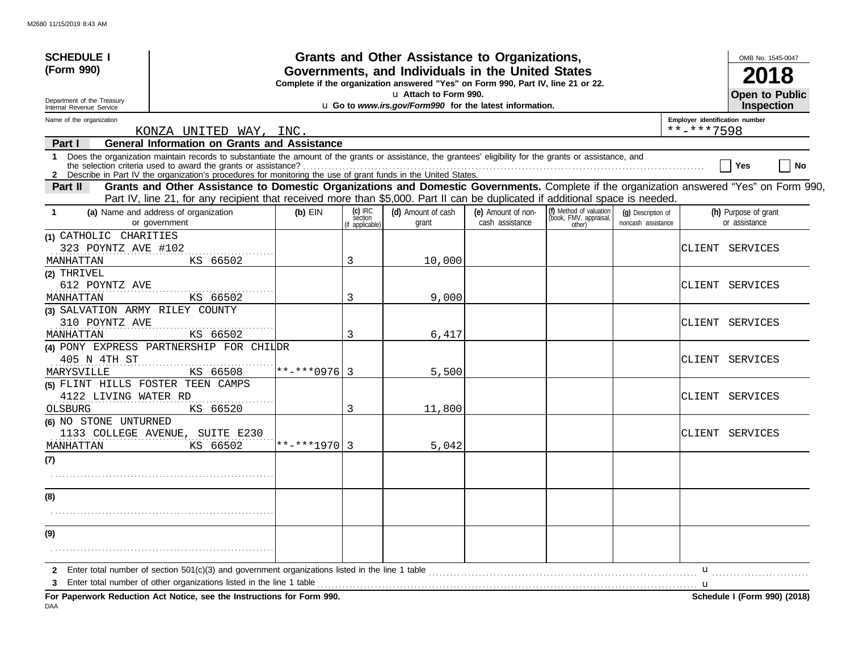| <b>SCHEDULE I</b>                                      |                                                                                                                                                                                                                                                                           |                   |                          | <b>Grants and Other Assistance to Organizations,</b>                                                                                  |                    |                                                   |                    |                                | OMB No. 1545-0047                          |
|--------------------------------------------------------|---------------------------------------------------------------------------------------------------------------------------------------------------------------------------------------------------------------------------------------------------------------------------|-------------------|--------------------------|---------------------------------------------------------------------------------------------------------------------------------------|--------------------|---------------------------------------------------|--------------------|--------------------------------|--------------------------------------------|
| (Form 990)                                             |                                                                                                                                                                                                                                                                           |                   |                          | Governments, and Individuals in the United States<br>Complete if the organization answered "Yes" on Form 990, Part IV, line 21 or 22. |                    |                                                   |                    |                                | 2018                                       |
| Department of the Treasury<br>Internal Revenue Service |                                                                                                                                                                                                                                                                           |                   |                          | u Attach to Form 990.<br>u Go to www.irs.gov/Form990 for the latest information.                                                      |                    |                                                   |                    |                                | <b>Open to Public</b><br><b>Inspection</b> |
| Name of the organization                               |                                                                                                                                                                                                                                                                           |                   |                          |                                                                                                                                       |                    |                                                   |                    | Employer identification number |                                            |
|                                                        | KONZA UNITED WAY, INC.                                                                                                                                                                                                                                                    |                   |                          |                                                                                                                                       |                    |                                                   |                    | **-***7598                     |                                            |
| Part I                                                 | <b>General Information on Grants and Assistance</b>                                                                                                                                                                                                                       |                   |                          |                                                                                                                                       |                    |                                                   |                    |                                |                                            |
|                                                        | 1 Does the organization maintain records to substantiate the amount of the grants or assistance, the grantees' eligibility for the grants or assistance, and                                                                                                              |                   |                          |                                                                                                                                       |                    |                                                   |                    |                                | No<br>Yes                                  |
|                                                        | 2 Describe in Part IV the organization's procedures for monitoring the use of grant funds in the United States.                                                                                                                                                           |                   |                          |                                                                                                                                       |                    |                                                   |                    |                                |                                            |
| Part II                                                | Grants and Other Assistance to Domestic Organizations and Domestic Governments. Complete if the organization answered "Yes" on Form 990,<br>Part IV, line 21, for any recipient that received more than \$5,000. Part II can be duplicated if additional space is needed. |                   |                          |                                                                                                                                       |                    |                                                   |                    |                                |                                            |
| -1                                                     | (a) Name and address of organization                                                                                                                                                                                                                                      | $(b)$ EIN         | $(c)$ IRC                | (d) Amount of cash                                                                                                                    | (e) Amount of non- | (f) Method of valuation<br>(book, FMV, appraisal, | (q) Description of |                                | (h) Purpose of grant                       |
|                                                        | or government                                                                                                                                                                                                                                                             |                   | section<br>f applicable) | grant                                                                                                                                 | cash assistance    | other)                                            | noncash assistance |                                | or assistance                              |
| (1) CATHOLIC CHARITIES                                 |                                                                                                                                                                                                                                                                           |                   |                          |                                                                                                                                       |                    |                                                   |                    |                                |                                            |
| 323 POYNTZ AVE #102                                    |                                                                                                                                                                                                                                                                           |                   |                          |                                                                                                                                       |                    |                                                   |                    |                                | CLIENT SERVICES                            |
| MANHATTAN                                              | KS 66502                                                                                                                                                                                                                                                                  |                   | 3                        | 10,000                                                                                                                                |                    |                                                   |                    |                                |                                            |
| (2) THRIVEL                                            |                                                                                                                                                                                                                                                                           |                   |                          |                                                                                                                                       |                    |                                                   |                    |                                |                                            |
| 612 POYNTZ AVE                                         |                                                                                                                                                                                                                                                                           |                   |                          |                                                                                                                                       |                    |                                                   |                    |                                | CLIENT SERVICES                            |
| MANHATTAN                                              | KS 66502                                                                                                                                                                                                                                                                  |                   | 3                        | 9,000                                                                                                                                 |                    |                                                   |                    |                                |                                            |
| (3) SALVATION ARMY RILEY COUNTY                        |                                                                                                                                                                                                                                                                           |                   |                          |                                                                                                                                       |                    |                                                   |                    |                                |                                            |
| 310 POYNTZ AVE<br>MANHATTAN                            | KS 66502                                                                                                                                                                                                                                                                  |                   | 3                        | 6,417                                                                                                                                 |                    |                                                   |                    |                                | CLIENT SERVICES                            |
|                                                        | (4) PONY EXPRESS PARTNERSHIP FOR CHILDR                                                                                                                                                                                                                                   |                   |                          |                                                                                                                                       |                    |                                                   |                    |                                |                                            |
| 405 N 4TH ST                                           |                                                                                                                                                                                                                                                                           |                   |                          |                                                                                                                                       |                    |                                                   |                    |                                | CLIENT SERVICES                            |
| MARYSVILLE                                             | KS 66508                                                                                                                                                                                                                                                                  | $***$ -*** 0976 3 |                          | 5,500                                                                                                                                 |                    |                                                   |                    |                                |                                            |
| (5) FLINT HILLS FOSTER TEEN CAMPS                      |                                                                                                                                                                                                                                                                           |                   |                          |                                                                                                                                       |                    |                                                   |                    |                                |                                            |
| 4122 LIVING WATER RD                                   |                                                                                                                                                                                                                                                                           |                   |                          |                                                                                                                                       |                    |                                                   |                    |                                | CLIENT SERVICES                            |
| OLSBURG                                                | KS 66520                                                                                                                                                                                                                                                                  |                   | 3                        | 11,800                                                                                                                                |                    |                                                   |                    |                                |                                            |
| (6) NO STONE UNTURNED                                  |                                                                                                                                                                                                                                                                           |                   |                          |                                                                                                                                       |                    |                                                   |                    |                                |                                            |
|                                                        | 1133 COLLEGE AVENUE, SUITE E230                                                                                                                                                                                                                                           |                   |                          |                                                                                                                                       |                    |                                                   |                    |                                | CLIENT SERVICES                            |
| MANHATTAN                                              | KS 66502                                                                                                                                                                                                                                                                  | $***+*1970$ 3     |                          | 5,042                                                                                                                                 |                    |                                                   |                    |                                |                                            |
| (7)                                                    |                                                                                                                                                                                                                                                                           |                   |                          |                                                                                                                                       |                    |                                                   |                    |                                |                                            |
|                                                        |                                                                                                                                                                                                                                                                           |                   |                          |                                                                                                                                       |                    |                                                   |                    |                                |                                            |
| (8)                                                    |                                                                                                                                                                                                                                                                           |                   |                          |                                                                                                                                       |                    |                                                   |                    |                                |                                            |
|                                                        |                                                                                                                                                                                                                                                                           |                   |                          |                                                                                                                                       |                    |                                                   |                    |                                |                                            |
|                                                        |                                                                                                                                                                                                                                                                           |                   |                          |                                                                                                                                       |                    |                                                   |                    |                                |                                            |
| (9)                                                    |                                                                                                                                                                                                                                                                           |                   |                          |                                                                                                                                       |                    |                                                   |                    |                                |                                            |
|                                                        |                                                                                                                                                                                                                                                                           |                   |                          |                                                                                                                                       |                    |                                                   |                    |                                |                                            |
| 2                                                      | Enter total number of section 501(c)(3) and government organizations listed in the line 1 table                                                                                                                                                                           |                   |                          |                                                                                                                                       |                    |                                                   |                    | u                              |                                            |
| з                                                      | Enter total number of other organizations listed in the line 1 table                                                                                                                                                                                                      |                   |                          |                                                                                                                                       |                    |                                                   |                    |                                |                                            |
|                                                        | For Paperwork Reduction Act Notice, see the Instructions for Form 990.                                                                                                                                                                                                    |                   |                          |                                                                                                                                       |                    |                                                   |                    |                                | Schedule I (Form 990) (2018)               |

DAA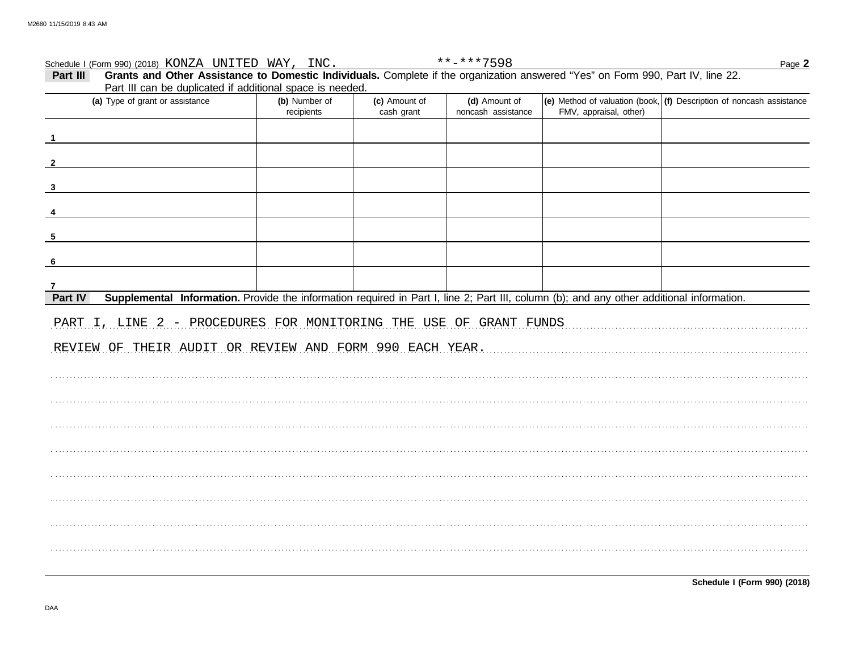|              | Schedule I (Form 990) (2018) KONZA UNITED WAY, INC.                                                                                       |                             |                             | **-***7598                          |                        | Page 2                                                               |
|--------------|-------------------------------------------------------------------------------------------------------------------------------------------|-----------------------------|-----------------------------|-------------------------------------|------------------------|----------------------------------------------------------------------|
| Part III     | Grants and Other Assistance to Domestic Individuals. Complete if the organization answered "Yes" on Form 990, Part IV, line 22.           |                             |                             |                                     |                        |                                                                      |
|              | Part III can be duplicated if additional space is needed.                                                                                 |                             |                             |                                     |                        |                                                                      |
|              | (a) Type of grant or assistance                                                                                                           | (b) Number of<br>recipients | (c) Amount of<br>cash grant | (d) Amount of<br>noncash assistance | FMV, appraisal, other) | (e) Method of valuation (book, (f) Description of noncash assistance |
|              |                                                                                                                                           |                             |                             |                                     |                        |                                                                      |
|              |                                                                                                                                           |                             |                             |                                     |                        |                                                                      |
| $\mathbf{3}$ |                                                                                                                                           |                             |                             |                                     |                        |                                                                      |
|              |                                                                                                                                           |                             |                             |                                     |                        |                                                                      |
| 5            |                                                                                                                                           |                             |                             |                                     |                        |                                                                      |
| 6            |                                                                                                                                           |                             |                             |                                     |                        |                                                                      |
|              |                                                                                                                                           |                             |                             |                                     |                        |                                                                      |
| Part IV      | Supplemental Information. Provide the information required in Part I, line 2; Part III, column (b); and any other additional information. |                             |                             |                                     |                        |                                                                      |
|              | PART I, LINE 2 - PROCEDURES FOR MONITORING THE USE OF GRANT FUNDS                                                                         |                             |                             |                                     |                        |                                                                      |
|              | REVIEW OF THEIR AUDIT OR REVIEW AND FORM 990 EACH YEAR.                                                                                   |                             |                             |                                     |                        |                                                                      |
|              |                                                                                                                                           |                             |                             |                                     |                        |                                                                      |
|              |                                                                                                                                           |                             |                             |                                     |                        |                                                                      |
|              |                                                                                                                                           |                             |                             |                                     |                        |                                                                      |
|              |                                                                                                                                           |                             |                             |                                     |                        |                                                                      |
|              |                                                                                                                                           |                             |                             |                                     |                        |                                                                      |
|              |                                                                                                                                           |                             |                             |                                     |                        |                                                                      |
|              |                                                                                                                                           |                             |                             |                                     |                        |                                                                      |
|              |                                                                                                                                           |                             |                             |                                     |                        |                                                                      |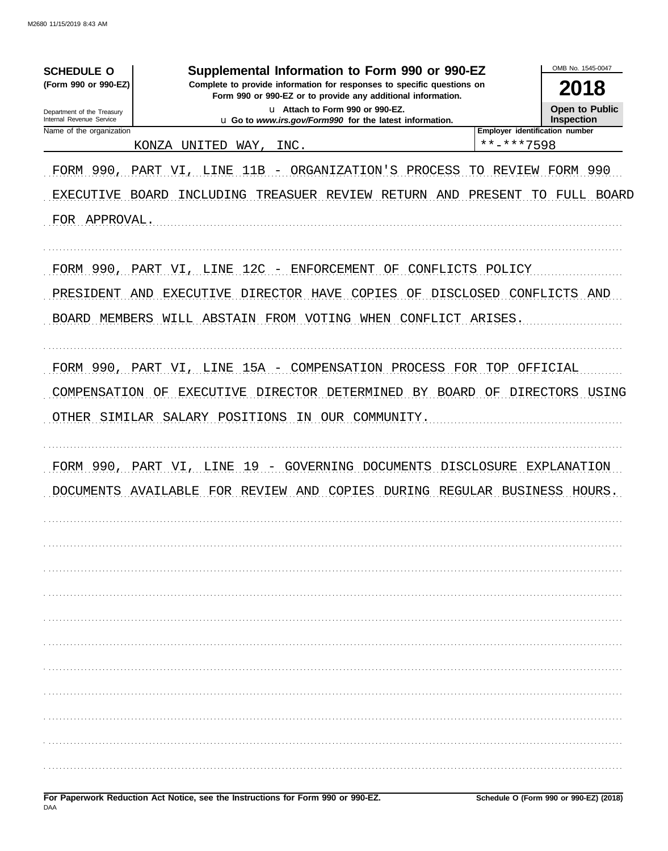| <b>SCHEDULE O</b>                                    | Supplemental Information to Form 990 or 990-EZ                                                                                         |                                | OMB No. 1545-0047     |  |  |
|------------------------------------------------------|----------------------------------------------------------------------------------------------------------------------------------------|--------------------------------|-----------------------|--|--|
| (Form 990 or 990-EZ)                                 | Complete to provide information for responses to specific questions on<br>Form 990 or 990-EZ or to provide any additional information. |                                | 2018                  |  |  |
| Department of the Treasury                           | u Attach to Form 990 or 990-EZ.                                                                                                        |                                | <b>Open to Public</b> |  |  |
| Internal Revenue Service<br>Name of the organization | u Go to www.irs.gov/Form990 for the latest information.                                                                                | Employer identification number | <b>Inspection</b>     |  |  |
|                                                      | KONZA<br>UNITED<br>WAY,<br>INC.                                                                                                        | **-***7598                     |                       |  |  |
| FORM 990, PART VI, LINE                              | 11B<br>- ORGANIZATION'S PROCESS                                                                                                        | TО<br>REVIEW                   | FORM 990              |  |  |
| EXECUTIVE BOARD                                      | INCLUDING TREASUER REVIEW RETURN AND                                                                                                   | PRESENT                        | TO FULL BOARD         |  |  |
| FOR APPROVAL.                                        |                                                                                                                                        |                                |                       |  |  |
|                                                      |                                                                                                                                        |                                |                       |  |  |
|                                                      | FORM 990, PART VI, LINE 12C - ENFORCEMENT OF CONFLICTS POLICY                                                                          |                                |                       |  |  |
| PRESIDENT AND                                        | EXECUTIVE DIRECTOR HAVE COPIES                                                                                                         | OF DISCLOSED CONFLICTS AND     |                       |  |  |
|                                                      | BOARD MEMBERS WILL ABSTAIN FROM VOTING WHEN CONFLICT ARISES.                                                                           |                                |                       |  |  |
|                                                      |                                                                                                                                        |                                |                       |  |  |
|                                                      | FORM 990, PART VI, LINE 15A - COMPENSATION PROCESS FOR TOP OFFICIAL                                                                    |                                |                       |  |  |
|                                                      |                                                                                                                                        |                                |                       |  |  |
|                                                      | COMPENSATION OF EXECUTIVE DIRECTOR DETERMINED BY BOARD OF DIRECTORS USING                                                              |                                |                       |  |  |
|                                                      | OTHER SIMILAR SALARY POSITIONS IN OUR COMMUNITY.                                                                                       |                                |                       |  |  |
|                                                      |                                                                                                                                        |                                |                       |  |  |
| FORM 990,                                            | LINE<br>19 - GOVERNING DOCUMENTS<br>PART VI,                                                                                           | DISCLOSURE EXPLANATION         |                       |  |  |
| <b>DOCUMENTS</b>                                     | COPIES<br>AVAILABLE FOR REVIEW AND<br>DURING                                                                                           | REGULAR BUSINESS HOURS.        |                       |  |  |
|                                                      |                                                                                                                                        |                                |                       |  |  |
|                                                      |                                                                                                                                        |                                |                       |  |  |
|                                                      |                                                                                                                                        |                                |                       |  |  |
|                                                      |                                                                                                                                        |                                |                       |  |  |
|                                                      |                                                                                                                                        |                                |                       |  |  |
|                                                      |                                                                                                                                        |                                |                       |  |  |
|                                                      |                                                                                                                                        |                                |                       |  |  |
|                                                      |                                                                                                                                        |                                |                       |  |  |
|                                                      |                                                                                                                                        |                                |                       |  |  |
|                                                      |                                                                                                                                        |                                |                       |  |  |
|                                                      |                                                                                                                                        |                                |                       |  |  |
|                                                      |                                                                                                                                        |                                |                       |  |  |
|                                                      |                                                                                                                                        |                                |                       |  |  |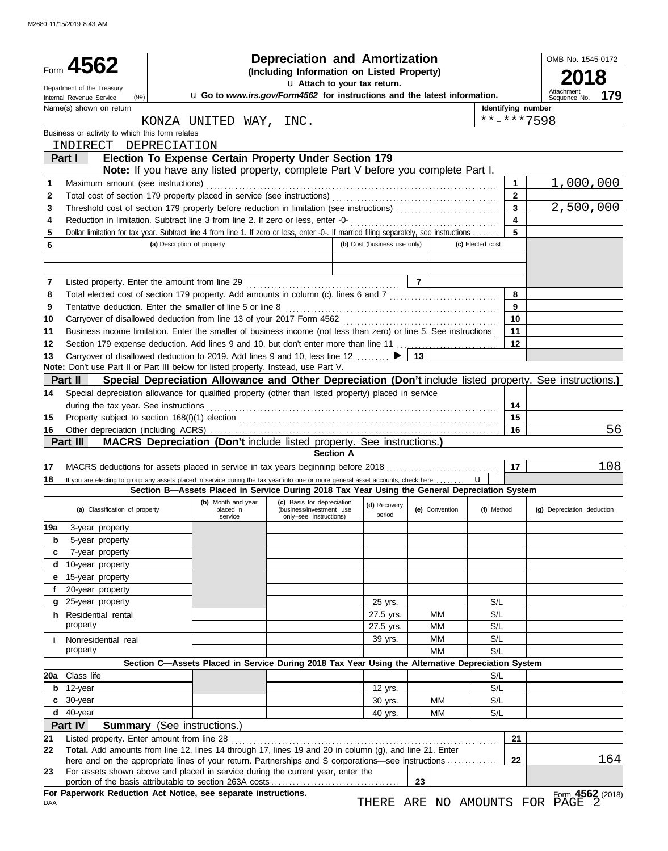|          | Form 4562<br>Department of the Treasury                                                                                                                                                                   |                             |                        | <b>Depreciation and Amortization</b><br>(Including Information on Listed Property)<br>u Attach to your tax return.                           |                              |                        |                  | OMB No. 1545-0172  |                                                                                                          |  |
|----------|-----------------------------------------------------------------------------------------------------------------------------------------------------------------------------------------------------------|-----------------------------|------------------------|----------------------------------------------------------------------------------------------------------------------------------------------|------------------------------|------------------------|------------------|--------------------|----------------------------------------------------------------------------------------------------------|--|
|          | (99)<br>Internal Revenue Service                                                                                                                                                                          |                             |                        | u Go to www.irs.gov/Form4562 for instructions and the latest information.                                                                    |                              |                        |                  |                    | Attachment<br>179<br>Sequence No.                                                                        |  |
|          | Name(s) shown on return                                                                                                                                                                                   |                             |                        |                                                                                                                                              |                              |                        |                  | Identifying number |                                                                                                          |  |
|          |                                                                                                                                                                                                           |                             | KONZA UNITED WAY, INC. |                                                                                                                                              |                              |                        |                  |                    | **-***7598                                                                                               |  |
|          | Business or activity to which this form relates                                                                                                                                                           |                             |                        |                                                                                                                                              |                              |                        |                  |                    |                                                                                                          |  |
|          | INDIRECT DEPRECIATION                                                                                                                                                                                     |                             |                        |                                                                                                                                              |                              |                        |                  |                    |                                                                                                          |  |
|          | Part I                                                                                                                                                                                                    |                             |                        | Election To Expense Certain Property Under Section 179<br>Note: If you have any listed property, complete Part V before you complete Part I. |                              |                        |                  |                    |                                                                                                          |  |
| 1        | Maximum amount (see instructions)                                                                                                                                                                         |                             |                        |                                                                                                                                              |                              |                        |                  | 1                  | 1,000,000                                                                                                |  |
| 2        |                                                                                                                                                                                                           |                             |                        |                                                                                                                                              |                              |                        |                  | $\mathbf{2}$       |                                                                                                          |  |
| 3        |                                                                                                                                                                                                           |                             |                        |                                                                                                                                              |                              |                        |                  | 3                  | 2,500,000                                                                                                |  |
| 4        | Reduction in limitation. Subtract line 3 from line 2. If zero or less, enter -0-                                                                                                                          |                             |                        |                                                                                                                                              |                              |                        |                  | 4                  |                                                                                                          |  |
| 5        | Dollar limitation for tax year. Subtract line 4 from line 1. If zero or less, enter -0-. If married filing separately, see instructions                                                                   |                             |                        |                                                                                                                                              |                              |                        |                  | 5                  |                                                                                                          |  |
| 6        |                                                                                                                                                                                                           | (a) Description of property |                        |                                                                                                                                              | (b) Cost (business use only) |                        | (c) Elected cost |                    |                                                                                                          |  |
|          |                                                                                                                                                                                                           |                             |                        |                                                                                                                                              |                              |                        |                  |                    |                                                                                                          |  |
|          |                                                                                                                                                                                                           |                             |                        |                                                                                                                                              |                              |                        |                  |                    |                                                                                                          |  |
| 7        | Listed property. Enter the amount from line 29                                                                                                                                                            |                             |                        |                                                                                                                                              |                              | $\overline{7}$         |                  |                    |                                                                                                          |  |
| 8        | Total elected cost of section 179 property. Add amounts in column (c), lines 6 and 7 [[[[[[[[[[[[[[[[[[[[[[[[                                                                                             |                             |                        |                                                                                                                                              |                              |                        |                  | 8                  |                                                                                                          |  |
| 9        | Tentative deduction. Enter the smaller of line 5 or line 8                                                                                                                                                |                             |                        |                                                                                                                                              |                              |                        |                  | 9                  |                                                                                                          |  |
| 10       | Carryover of disallowed deduction from line 13 of your 2017 Form 4562                                                                                                                                     |                             |                        |                                                                                                                                              |                              |                        |                  | 10<br>11           |                                                                                                          |  |
| 11<br>12 | Business income limitation. Enter the smaller of business income (not less than zero) or line 5. See instructions<br>Section 179 expense deduction. Add lines 9 and 10, but don't enter more than line 11 |                             |                        |                                                                                                                                              |                              |                        |                  | 12                 |                                                                                                          |  |
| 13       | Carryover of disallowed deduction to 2019. Add lines 9 and 10, less line 12                                                                                                                               |                             |                        |                                                                                                                                              |                              | 13                     |                  |                    |                                                                                                          |  |
|          | Note: Don't use Part II or Part III below for listed property. Instead, use Part V.                                                                                                                       |                             |                        |                                                                                                                                              |                              |                        |                  |                    |                                                                                                          |  |
|          | <b>Part II</b>                                                                                                                                                                                            |                             |                        |                                                                                                                                              |                              |                        |                  |                    | Special Depreciation Allowance and Other Depreciation (Don't include listed property. See instructions.) |  |
| 14       | Special depreciation allowance for qualified property (other than listed property) placed in service                                                                                                      |                             |                        |                                                                                                                                              |                              |                        |                  |                    |                                                                                                          |  |
|          | during the tax year. See instructions                                                                                                                                                                     |                             |                        |                                                                                                                                              |                              |                        |                  | 14                 |                                                                                                          |  |
| 15       |                                                                                                                                                                                                           |                             |                        |                                                                                                                                              |                              |                        |                  | 15                 |                                                                                                          |  |
| 16       |                                                                                                                                                                                                           |                             |                        |                                                                                                                                              |                              |                        |                  | 16                 | 56                                                                                                       |  |
|          | Part III                                                                                                                                                                                                  |                             |                        | MACRS Depreciation (Don't include listed property. See instructions.)                                                                        |                              |                        |                  |                    |                                                                                                          |  |
|          |                                                                                                                                                                                                           |                             |                        | <b>Section A</b>                                                                                                                             |                              |                        |                  |                    |                                                                                                          |  |
| 17       | MACRS deductions for assets placed in service in tax years beginning before 2018                                                                                                                          |                             |                        |                                                                                                                                              |                              |                        |                  | 17                 | 108                                                                                                      |  |
| 18       | If you are electing to group any assets placed in service during the tax year into one or more general asset accounts, check here                                                                         |                             |                        | Section B-Assets Placed in Service During 2018 Tax Year Using the General Depreciation System                                                |                              |                        | $\mathbf{u}$     |                    |                                                                                                          |  |
|          |                                                                                                                                                                                                           |                             | (b) Month and year     | (c) Basis for depreciation                                                                                                                   | (d) Recovery                 |                        |                  |                    |                                                                                                          |  |
|          | (a) Classification of property                                                                                                                                                                            |                             | placed in<br>service   | (business/investment use<br>only-see instructions)                                                                                           | period                       | (e) Convention         | (f) Method       |                    | (g) Depreciation deduction                                                                               |  |
| 19a      | 3-year property                                                                                                                                                                                           |                             |                        |                                                                                                                                              |                              |                        |                  |                    |                                                                                                          |  |
| b        | 5-year property                                                                                                                                                                                           |                             |                        |                                                                                                                                              |                              |                        |                  |                    |                                                                                                          |  |
| c        | 7-year property                                                                                                                                                                                           |                             |                        |                                                                                                                                              |                              |                        |                  |                    |                                                                                                          |  |
| d        | 10-year property                                                                                                                                                                                          |                             |                        |                                                                                                                                              |                              |                        |                  |                    |                                                                                                          |  |
| е        | 15-year property                                                                                                                                                                                          |                             |                        |                                                                                                                                              |                              |                        |                  |                    |                                                                                                          |  |
|          | 20-year property                                                                                                                                                                                          |                             |                        |                                                                                                                                              |                              |                        |                  |                    |                                                                                                          |  |
|          | g 25-year property                                                                                                                                                                                        |                             |                        |                                                                                                                                              | 25 yrs.                      |                        | S/L              |                    |                                                                                                          |  |
|          | <b>h</b> Residential rental                                                                                                                                                                               |                             |                        |                                                                                                                                              | 27.5 yrs.                    | <b>MM</b>              | S/L              |                    |                                                                                                          |  |
|          | property                                                                                                                                                                                                  |                             |                        |                                                                                                                                              | 27.5 yrs.                    | <b>MM</b>              | S/L              |                    |                                                                                                          |  |
| Ť.       | Nonresidential real<br>property                                                                                                                                                                           |                             |                        |                                                                                                                                              | 39 yrs.                      | <b>MM</b><br><b>MM</b> | S/L<br>S/L       |                    |                                                                                                          |  |
|          |                                                                                                                                                                                                           |                             |                        | Section C-Assets Placed in Service During 2018 Tax Year Using the Alternative Depreciation System                                            |                              |                        |                  |                    |                                                                                                          |  |
| 20a      | Class life                                                                                                                                                                                                |                             |                        |                                                                                                                                              |                              |                        | S/L              |                    |                                                                                                          |  |
| b        | 12-year                                                                                                                                                                                                   |                             |                        |                                                                                                                                              | 12 yrs.                      |                        | S/L              |                    |                                                                                                          |  |
|          | c 30-year                                                                                                                                                                                                 |                             |                        |                                                                                                                                              | 30 yrs.                      | <b>MM</b>              | S/L              |                    |                                                                                                          |  |
|          | d 40-year                                                                                                                                                                                                 |                             |                        |                                                                                                                                              | 40 yrs.                      | МM                     | S/L              |                    |                                                                                                          |  |
|          | Part IV<br><b>Summary</b> (See instructions.)                                                                                                                                                             |                             |                        |                                                                                                                                              |                              |                        |                  |                    |                                                                                                          |  |
| 21       | Listed property. Enter amount from line 28                                                                                                                                                                |                             |                        |                                                                                                                                              |                              |                        |                  | 21                 |                                                                                                          |  |
| 22       | Total. Add amounts from line 12, lines 14 through 17, lines 19 and 20 in column (g), and line 21. Enter                                                                                                   |                             |                        |                                                                                                                                              |                              |                        |                  |                    |                                                                                                          |  |
|          | here and on the appropriate lines of your return. Partnerships and S corporations—see instructions                                                                                                        |                             |                        |                                                                                                                                              |                              |                        |                  | 22                 | 164                                                                                                      |  |
| 23       | For assets shown above and placed in service during the current year, enter the                                                                                                                           |                             |                        |                                                                                                                                              |                              | 23                     |                  |                    |                                                                                                          |  |
|          | For Paperwork Reduction Act Notice, see separate instructions.                                                                                                                                            |                             |                        |                                                                                                                                              |                              |                        |                  |                    | Form 4562 (2018)                                                                                         |  |
| DAA      |                                                                                                                                                                                                           |                             |                        |                                                                                                                                              |                              |                        |                  |                    | THERE ARE NO AMOUNTS FOR PAGE                                                                            |  |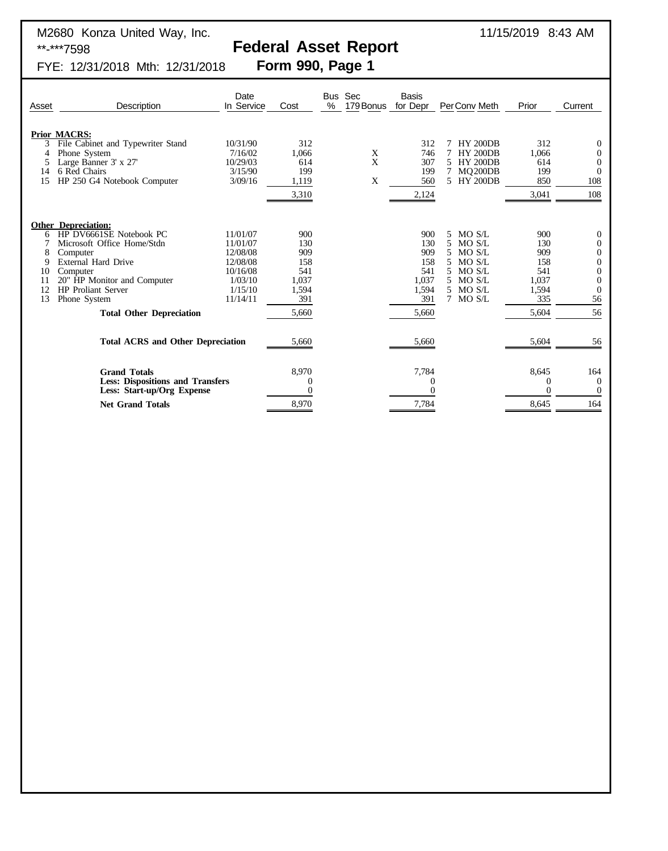# Federal Asset Report<br>Form 990, Page 1

FYE: 12/31/2018 Mth: 12/31/2018

| Asset                                                                                                                   | Description                                                                                                                                                                                                                                       | Date<br>In Service                                                                         | Cost                                                              | $\%$ | Bus Sec<br>179 Bonus | <b>Basis</b><br>for Depr                                          | Per Conv Meth                                                                                      | Prior                                                             | Current                                                                                                                                  |
|-------------------------------------------------------------------------------------------------------------------------|---------------------------------------------------------------------------------------------------------------------------------------------------------------------------------------------------------------------------------------------------|--------------------------------------------------------------------------------------------|-------------------------------------------------------------------|------|----------------------|-------------------------------------------------------------------|----------------------------------------------------------------------------------------------------|-------------------------------------------------------------------|------------------------------------------------------------------------------------------------------------------------------------------|
| 3<br>4<br>5<br>14<br>15                                                                                                 | <b>Prior MACRS:</b><br>File Cabinet and Typewriter Stand<br>Phone System<br>Large Banner 3' x 27'<br>6 Red Chairs<br>HP 250 G4 Notebook Computer                                                                                                  | 10/31/90<br>7/16/02<br>10/29/03<br>3/15/90<br>3/09/16                                      | 312<br>1,066<br>614<br>199<br>1,119<br>3,310                      |      | X<br>X<br>X          | 312<br>746<br>307<br>199<br>560<br>2,124                          | <b>HY 200DB</b><br>7 HY 200DB<br>5 HY 200DB<br>7 MQ200DB<br>5 HY 200DB                             | 312<br>1,066<br>614<br>199<br>850<br>3,041                        | $\mathbf{0}$<br>$\overline{0}$<br>$\overline{0}$<br>$\theta$<br>108<br>108                                                               |
| 6<br>8<br>9<br>10<br>11<br>12<br>13                                                                                     | <b>Other Depreciation:</b><br>HP DV6661SE Notebook PC<br>Microsoft Office Home/Stdn<br>Computer<br>External Hard Drive<br>Computer<br>20" HP Monitor and Computer<br><b>HP</b> Proliant Server<br>Phone System<br><b>Total Other Depreciation</b> | 11/01/07<br>11/01/07<br>12/08/08<br>12/08/08<br>10/16/08<br>1/03/10<br>1/15/10<br>11/14/11 | 900<br>130<br>909<br>158<br>541<br>1,037<br>1,594<br>391<br>5,660 |      |                      | 900<br>130<br>909<br>158<br>541<br>1,037<br>1,594<br>391<br>5,660 | 5 MO S/L<br>MO S/L<br>5.<br>MO S/L<br>MO S/L<br>5.<br>5 MO S/L<br>5 MO S/L<br>5 MO S/L<br>7 MO S/L | 900<br>130<br>909<br>158<br>541<br>1,037<br>1,594<br>335<br>5,604 | $\mathbf{0}$<br>$\overline{0}$<br>$\overline{0}$<br>$\boldsymbol{0}$<br>$\boldsymbol{0}$<br>$\overline{0}$<br>$\overline{0}$<br>56<br>56 |
|                                                                                                                         | <b>Total ACRS and Other Depreciation</b>                                                                                                                                                                                                          |                                                                                            |                                                                   |      |                      | 5,660                                                             |                                                                                                    | 5,604                                                             | 56                                                                                                                                       |
| <b>Grand Totals</b><br><b>Less: Dispositions and Transfers</b><br>Less: Start-up/Org Expense<br><b>Net Grand Totals</b> |                                                                                                                                                                                                                                                   |                                                                                            | 8,970<br>$\theta$<br>0<br>8,970                                   |      |                      | 7,784<br>$\theta$<br>7,784                                        |                                                                                                    | 8,645<br>0<br>$\Omega$<br>8,645                                   | 164<br>$\Omega$<br>$\overline{0}$<br>164                                                                                                 |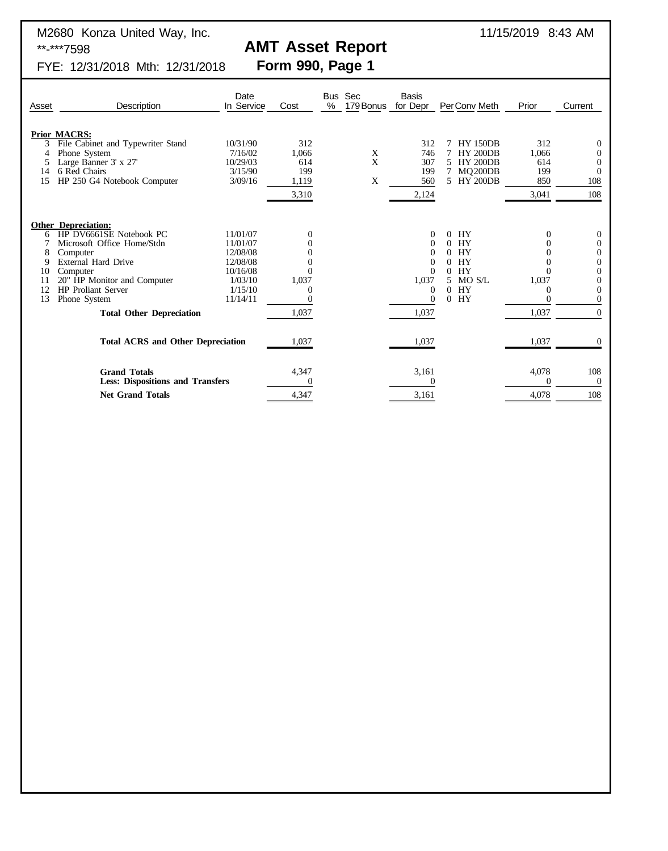M2680 Konza United Way, Inc. 6. 2012 12:30:30 11/15/2019 8:43 AM \*\*-\*\*\*7598 **AMT Asset Report**<br>FYE: 12/31/2018 Mth: 12/31/2018 **Form 990, Page 1** 

**Prior MACRS:**

FYE: 12/31/2018 Mth: 12/31/2018 Date Bus Sec Basis Asset Description In Service Cost % 179Bonus for Depr PerConv Meth Prior Current 3 File Cabinet and Typewriter Stand<br>
3 File Cabinet and Typewriter Stand<br>
4 Phone System<br>
5 Large Banner 3' x 27' 10/29/03 614<br>
3 September 3' x 27' 10/29/03 614<br>
3 September 3' x 27' 10/29/03 614<br>
3 September 3' x 200DB 6 4 Phone System  $7/16/02$  1,066 X 746 7 HY 200DB 1,066 0 5 Large Banner 3' x 27' 10/29/03 614 X 307 5 HY 200DB 614 0

| 14<br>15 | Large Danner $J \Lambda ZI$<br>6 Red Chairs<br>HP 250 G4 Notebook Computer | 10/27/03<br>3/15/90<br>3/09/16 | ∪⊥+<br>199<br>1,119 | $\Lambda$<br>X | JU 1<br>199<br>560 | <b>ILL ZUUDD</b><br>$MQ$ <sub>200</sub> DB<br>5 HY 200DB | V14<br>199<br>850 | v<br>$\theta$<br>108 |
|----------|----------------------------------------------------------------------------|--------------------------------|---------------------|----------------|--------------------|----------------------------------------------------------|-------------------|----------------------|
|          |                                                                            |                                | 3,310               |                | 2,124              |                                                          | 3,041             | 108                  |
|          | <b>Other Depreciation:</b>                                                 |                                |                     |                |                    |                                                          |                   |                      |
| 6        | HP DV6661SE Notebook PC                                                    | 11/01/07                       | 0                   |                | 0                  | HY<br>0                                                  |                   | $\theta$             |
|          | Microsoft Office Home/Stdn                                                 | 11/01/07                       |                     |                |                    | HY                                                       |                   | 0                    |
|          | Computer<br>External Hard Drive                                            | 12/08/08<br>12/08/08           |                     |                |                    | <b>HY</b><br><b>HY</b>                                   |                   | 0                    |
| 10       | Computer                                                                   | 10/16/08                       |                     |                | $\Omega$           | HY                                                       |                   |                      |
|          | 20" HP Monitor and Computer                                                | 1/03/10                        | 1,037               |                | 1,037              | 5 MO S/L                                                 | 1,037             |                      |
|          | <b>HP</b> Proliant Server                                                  | 1/15/10                        |                     |                | 0                  | HY<br>0                                                  |                   |                      |
| 13       | Phone System                                                               | 11/14/11                       |                     |                | $\theta$           | HY<br>$\Omega$                                           |                   |                      |
|          | <b>Total Other Depreciation</b>                                            |                                | 1,037               |                | 1,037              |                                                          | 1,037             | $\overline{0}$       |
|          | <b>Total ACRS and Other Depreciation</b>                                   |                                |                     |                | 1,037              |                                                          | 1,037             |                      |
|          |                                                                            |                                | 1,037               |                |                    |                                                          |                   |                      |
|          | <b>Grand Totals</b>                                                        |                                | 4,347               |                | 3,161              |                                                          | 4,078             | 108                  |
|          | <b>Less: Dispositions and Transfers</b>                                    |                                |                     |                |                    |                                                          |                   | $\Omega$             |
|          | <b>Net Grand Totals</b>                                                    |                                | 4,347               |                | 3,161              |                                                          | 4,078             | 108                  |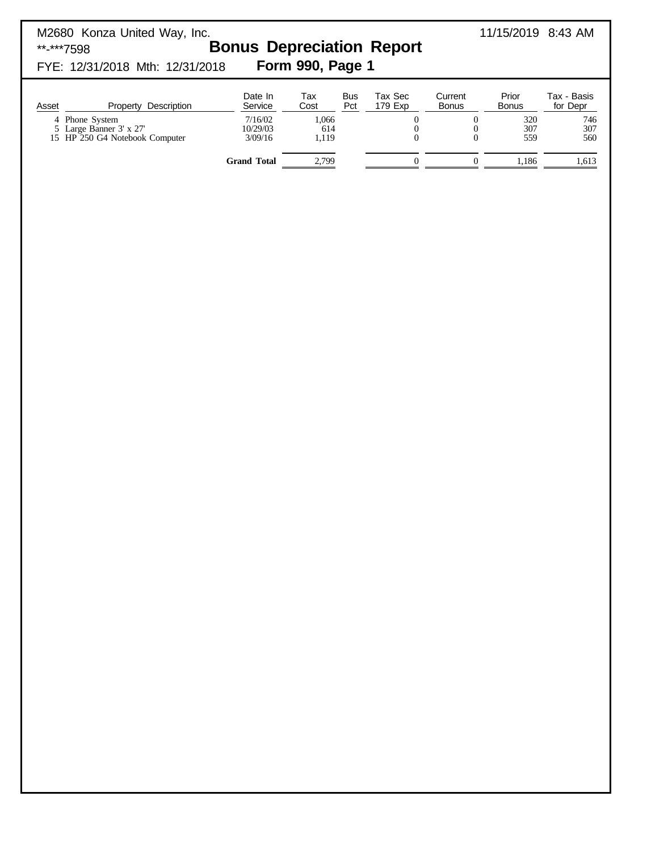| M2680 Konza United Way, Inc.<br>**-***7598<br>FYE: 12/31/2018 Mth: 12/31/2018 | <b>Bonus Depreciation Report</b> | Form 990, Page 1      |                   |                                                          |                                                          | 11/15/2019 8:43 AM    |                         |
|-------------------------------------------------------------------------------|----------------------------------|-----------------------|-------------------|----------------------------------------------------------|----------------------------------------------------------|-----------------------|-------------------------|
| Property Description<br>Asset                                                 | Date In<br>Service               | Tax<br>Cost           | <b>Bus</b><br>Pct | Tax Sec<br>179 Exp                                       | Current<br><b>Bonus</b>                                  | Prior<br><b>Bonus</b> | Tax - Basis<br>for Depr |
| 4 Phone System<br>5 Large Banner 3' x 27'<br>15 HP 250 G4 Notebook Computer   | 7/16/02<br>10/29/03<br>3/09/16   | 1,066<br>614<br>1,119 |                   | $\boldsymbol{0}$<br>$\boldsymbol{0}$<br>$\boldsymbol{0}$ | $\boldsymbol{0}$<br>$\boldsymbol{0}$<br>$\boldsymbol{0}$ | 320<br>307<br>559     | 746<br>307<br>560       |
|                                                                               | <b>Grand Total</b>               | 2,799                 |                   | $\boldsymbol{0}$                                         | $\boldsymbol{0}$                                         | 1,186                 | 1,613                   |
|                                                                               |                                  |                       |                   |                                                          |                                                          |                       |                         |
|                                                                               |                                  |                       |                   |                                                          |                                                          |                       |                         |
|                                                                               |                                  |                       |                   |                                                          |                                                          |                       |                         |
|                                                                               |                                  |                       |                   |                                                          |                                                          |                       |                         |
|                                                                               |                                  |                       |                   |                                                          |                                                          |                       |                         |
|                                                                               |                                  |                       |                   |                                                          |                                                          |                       |                         |
|                                                                               |                                  |                       |                   |                                                          |                                                          |                       |                         |
|                                                                               |                                  |                       |                   |                                                          |                                                          |                       |                         |
|                                                                               |                                  |                       |                   |                                                          |                                                          |                       |                         |
|                                                                               |                                  |                       |                   |                                                          |                                                          |                       |                         |
|                                                                               |                                  |                       |                   |                                                          |                                                          |                       |                         |
|                                                                               |                                  |                       |                   |                                                          |                                                          |                       |                         |
|                                                                               |                                  |                       |                   |                                                          |                                                          |                       |                         |
|                                                                               |                                  |                       |                   |                                                          |                                                          |                       |                         |
|                                                                               |                                  |                       |                   |                                                          |                                                          |                       |                         |
|                                                                               |                                  |                       |                   |                                                          |                                                          |                       |                         |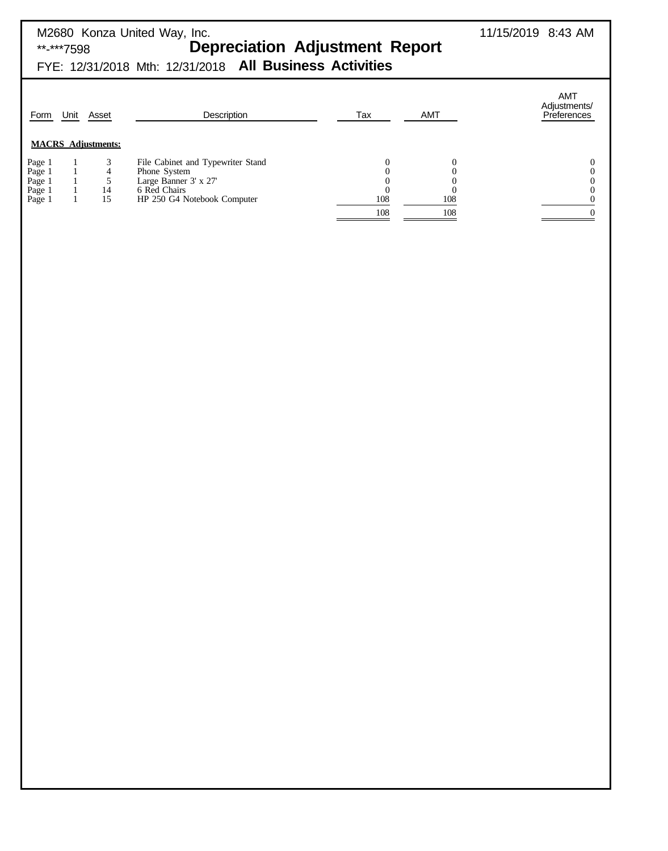| **-***7598                                                                                   | M2680 Konza United Way, Inc.<br><b>Depreciation Adjustment Report</b><br>FYE: 12/31/2018 Mth: 12/31/2018 All Business Activities |            |                      | 11/15/2019 8:43 AM                                                         |
|----------------------------------------------------------------------------------------------|----------------------------------------------------------------------------------------------------------------------------------|------------|----------------------|----------------------------------------------------------------------------|
| Unit<br>Form<br>Asset                                                                        | Description                                                                                                                      | Tax        | <b>AMT</b>           | AMT<br>Adjustments/<br><b>Preferences</b>                                  |
| <b>MACRS</b> Adjustments:<br>Page 1<br>Page 1<br>4<br>Page 1<br>14<br>Page 1<br>15<br>Page 1 | File Cabinet and Typewriter Stand<br>Phone System<br>Large Banner 3' x 27'<br>6 Red Chairs<br>HP 250 G4 Notebook Computer        | 108<br>108 | 0<br>C<br>108<br>108 | $\boldsymbol{0}$<br>$\boldsymbol{0}$<br>$\boldsymbol{0}$<br>$\overline{0}$ |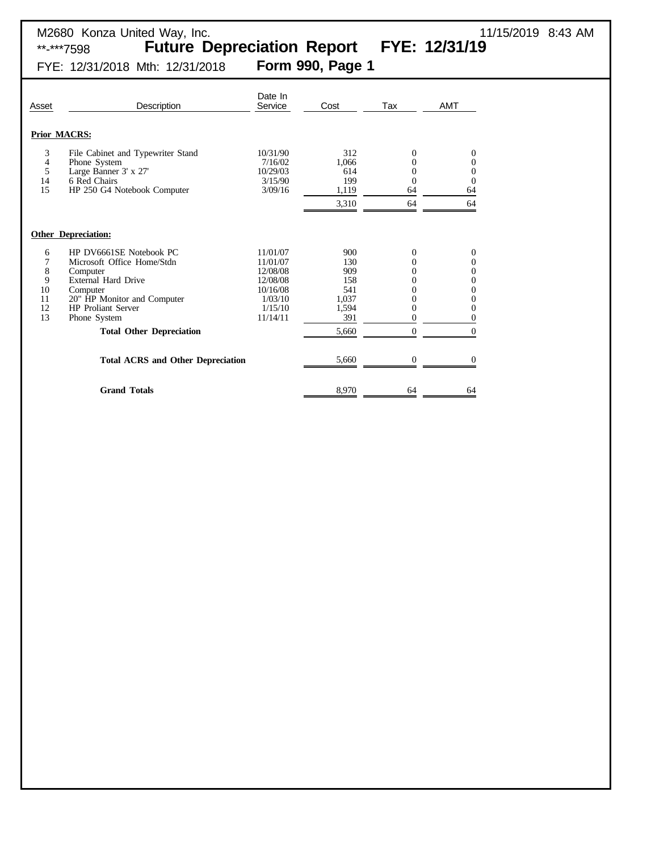\*\*-\*\*\*7598 **Future Depreciation Report FYE: 12/31/19**

FYE: 12/31/2018 Mth: 12/31/2018 **Form 990, Page 1**

| Asset                                    | Description                                                                                                                                                                                                         | Date In<br>Service                                                                         | Cost                                                              | Tax                                                                                                   | <b>AMT</b>                                                                                                          |
|------------------------------------------|---------------------------------------------------------------------------------------------------------------------------------------------------------------------------------------------------------------------|--------------------------------------------------------------------------------------------|-------------------------------------------------------------------|-------------------------------------------------------------------------------------------------------|---------------------------------------------------------------------------------------------------------------------|
|                                          | <b>Prior MACRS:</b>                                                                                                                                                                                                 |                                                                                            |                                                                   |                                                                                                       |                                                                                                                     |
| 3<br>4<br>5<br>14<br>15                  | File Cabinet and Typewriter Stand<br>Phone System<br>Large Banner 3' x 27'<br>6 Red Chairs<br>HP 250 G4 Notebook Computer                                                                                           | 10/31/90<br>7/16/02<br>10/29/03<br>3/15/90<br>3/09/16                                      | 312<br>1,066<br>614<br>199<br>1,119<br>3,310                      | $\overline{0}$<br>$\overline{0}$<br>0<br>0<br>64<br>64                                                | 0<br>0<br>$\boldsymbol{0}$<br>$\overline{0}$<br>64<br>64                                                            |
|                                          | <b>Other Depreciation:</b>                                                                                                                                                                                          |                                                                                            |                                                                   |                                                                                                       |                                                                                                                     |
| 6<br>7<br>8<br>9<br>10<br>11<br>12<br>13 | HP DV6661SE Notebook PC<br>Microsoft Office Home/Stdn<br>Computer<br>External Hard Drive<br>Computer<br>20" HP Monitor and Computer<br><b>HP</b> Proliant Server<br>Phone System<br><b>Total Other Depreciation</b> | 11/01/07<br>11/01/07<br>12/08/08<br>12/08/08<br>10/16/08<br>1/03/10<br>1/15/10<br>11/14/11 | 900<br>130<br>909<br>158<br>541<br>1,037<br>1,594<br>391<br>5,660 | $\overline{0}$<br>$\theta$<br>0<br>0<br>$\theta$<br>0<br>$\overline{0}$<br>$\theta$<br>$\overline{0}$ | $\overline{0}$<br>0<br>0<br>0<br>$\overline{0}$<br>$\overline{0}$<br>$\boldsymbol{0}$<br>$\overline{0}$<br>$\theta$ |
|                                          | <b>Total ACRS and Other Depreciation</b>                                                                                                                                                                            |                                                                                            | 5,660                                                             | $\overline{0}$                                                                                        | 0                                                                                                                   |
|                                          | <b>Grand Totals</b>                                                                                                                                                                                                 |                                                                                            | 8,970                                                             | 64                                                                                                    | 64                                                                                                                  |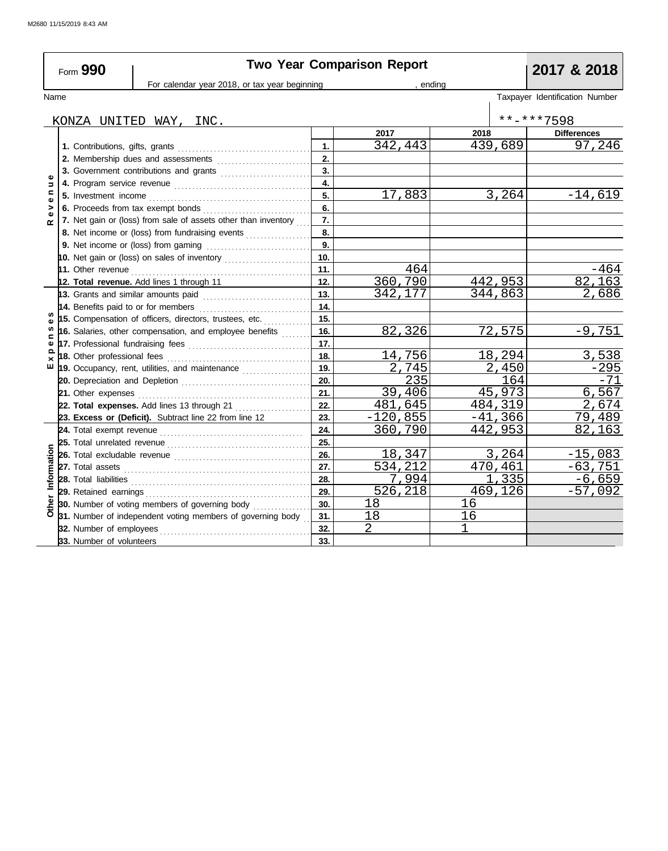|                   | Form 990                            |                                                                                                                                                                                                                                      |                | <b>Two Year Comparison Report</b> |           | 2017 & 2018                    |
|-------------------|-------------------------------------|--------------------------------------------------------------------------------------------------------------------------------------------------------------------------------------------------------------------------------------|----------------|-----------------------------------|-----------|--------------------------------|
|                   |                                     | For calendar year 2018, or tax year beginning                                                                                                                                                                                        |                |                                   | , endina  |                                |
| Name              |                                     |                                                                                                                                                                                                                                      |                |                                   |           | Taxpayer Identification Number |
|                   |                                     | KONZA UNITED WAY, INC.                                                                                                                                                                                                               |                |                                   |           | **-***7598                     |
|                   |                                     |                                                                                                                                                                                                                                      |                | 2017                              | 2018      | <b>Differences</b>             |
|                   |                                     |                                                                                                                                                                                                                                      | $\mathbf{1}$ . | 342,443                           | 439,689   | 97,246                         |
|                   |                                     |                                                                                                                                                                                                                                      | 2.             |                                   |           |                                |
|                   |                                     | 3. Government contributions and grants                                                                                                                                                                                               | 3.             |                                   |           |                                |
| Φ<br>$\mathbf{z}$ |                                     |                                                                                                                                                                                                                                      | 4.             |                                   |           |                                |
| $\mathbf{C}$      |                                     |                                                                                                                                                                                                                                      | 5 <sub>1</sub> | 17,883                            | 3, 264    | $-14,619$                      |
| >                 |                                     |                                                                                                                                                                                                                                      | 6.             |                                   |           |                                |
|                   |                                     | 7. Net gain or (loss) from sale of assets other than inventory                                                                                                                                                                       | 7.             |                                   |           |                                |
|                   |                                     | 8. Net income or (loss) from fundraising events                                                                                                                                                                                      | 8.             |                                   |           |                                |
|                   |                                     |                                                                                                                                                                                                                                      | 9.             |                                   |           |                                |
|                   |                                     | 10. Net gain or (loss) on sales of inventory                                                                                                                                                                                         | 10.            |                                   |           |                                |
|                   |                                     |                                                                                                                                                                                                                                      | 11.            | 464                               |           | -464                           |
|                   |                                     | 12. Total revenue. Add lines 1 through 11                                                                                                                                                                                            | 12.            | 360,790                           | 442,953   | 82,163                         |
|                   |                                     | 13. Grants and similar amounts paid                                                                                                                                                                                                  | 13.            | 342,177                           | 344,863   | 2,686                          |
|                   | 14. Benefits paid to or for members |                                                                                                                                                                                                                                      | 14.            |                                   |           |                                |
| ω                 |                                     | 15. Compensation of officers, directors, trustees, etc.                                                                                                                                                                              | 15.            |                                   |           |                                |
| S                 |                                     | 16. Salaries, other compensation, and employee benefits                                                                                                                                                                              | 16.            | 82,326                            | 72,575    | $-9,751$                       |
| ⊂<br>Φ            |                                     |                                                                                                                                                                                                                                      | 17.            |                                   |           |                                |
| ×                 |                                     |                                                                                                                                                                                                                                      | 18.            | 14,756                            | 18,294    | 3,538                          |
| ш                 |                                     | 19. Occupancy, rent, utilities, and maintenance <i>[[[[[[[[[[[[[[[[[[[[[[[]]]]</i> ]]                                                                                                                                                | 19.            | 2,745                             | 2,450     | $-295$                         |
|                   |                                     |                                                                                                                                                                                                                                      | 20.            | 235                               | 164       | $-71$                          |
|                   |                                     |                                                                                                                                                                                                                                      | 21.            | 39,406                            | 45,973    | 6,567                          |
|                   |                                     |                                                                                                                                                                                                                                      | 22.            | 481,645                           | 484,319   | 2,674                          |
|                   |                                     | 23. Excess or (Deficit). Subtract line 22 from line 12                                                                                                                                                                               | 23.            | $-120,855$                        | $-41,366$ | 79,489                         |
|                   |                                     |                                                                                                                                                                                                                                      | 24.            | 360,790                           | 442,953   | 82.163                         |
|                   |                                     |                                                                                                                                                                                                                                      | 25.            |                                   |           |                                |
|                   |                                     |                                                                                                                                                                                                                                      | 26.            | 18,347                            | 3,264     | $-15,083$                      |
|                   |                                     |                                                                                                                                                                                                                                      | 27.            | 534,212                           | 470,461   | $-63,751$                      |
| Information       |                                     | 28. Total liabilities <b>constant in the constant of the constant in the constant in the constant in the constant in the constant in the constant in the constant in the constant in the constant in the constant in the constan</b> | 28.            | 7,994                             | 1,335     | $-6,659$                       |
|                   |                                     |                                                                                                                                                                                                                                      | 29.            | 526, 218                          | 469, 126  | $-57,092$                      |
|                   |                                     | 30. Number of voting members of governing body                                                                                                                                                                                       | 30.            | 18                                | 16        |                                |
|                   |                                     | 31. Number of independent voting members of governing body                                                                                                                                                                           | 31.            | 18                                | 16        |                                |
|                   | 32. Number of employees             |                                                                                                                                                                                                                                      | 32.            | $\overline{2}$                    | 1         |                                |
|                   | 33. Number of volunteers            |                                                                                                                                                                                                                                      | 33.            |                                   |           |                                |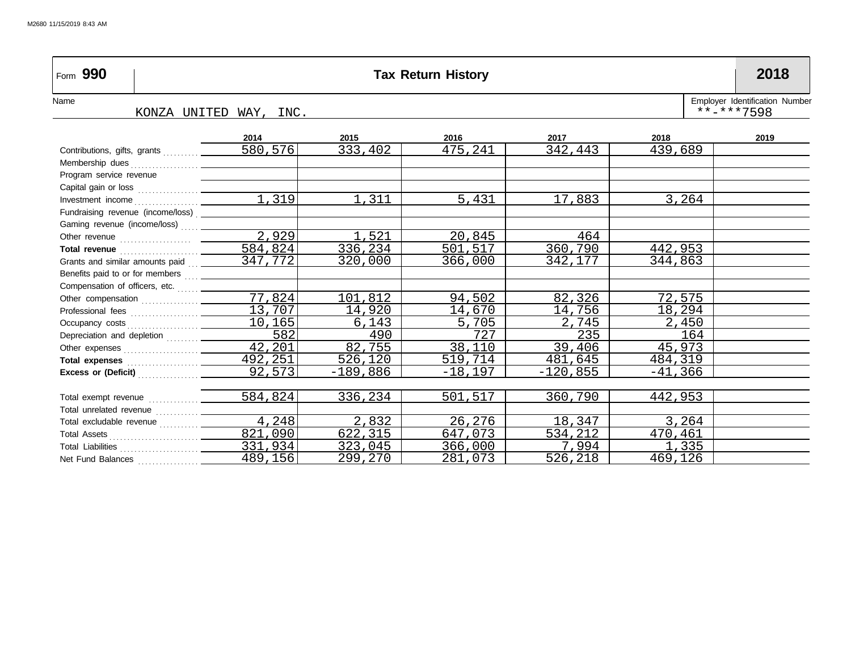| Form 990                                                                                                                                                                                                                             | <b>Tax Return History</b> |                        |            |           |            |           |                                                  |  |  |  |  |
|--------------------------------------------------------------------------------------------------------------------------------------------------------------------------------------------------------------------------------------|---------------------------|------------------------|------------|-----------|------------|-----------|--------------------------------------------------|--|--|--|--|
| Name                                                                                                                                                                                                                                 |                           | KONZA UNITED WAY, INC. |            |           |            |           | Employer Identification Number<br>$***$ -***7598 |  |  |  |  |
|                                                                                                                                                                                                                                      |                           | 2014                   | 2015       | 2016      | 2017       | 2018      | 2019                                             |  |  |  |  |
|                                                                                                                                                                                                                                      |                           | 580,576                | 333,402    | 475,241   | 342,443    | 439,689   |                                                  |  |  |  |  |
|                                                                                                                                                                                                                                      |                           |                        |            |           |            |           |                                                  |  |  |  |  |
| Program service revenue                                                                                                                                                                                                              |                           |                        |            |           |            |           |                                                  |  |  |  |  |
|                                                                                                                                                                                                                                      |                           |                        |            |           |            |           |                                                  |  |  |  |  |
|                                                                                                                                                                                                                                      |                           |                        | 1,311      | 5,431     | 17,883     | 3,264     |                                                  |  |  |  |  |
| Fundraising revenue (income/loss)                                                                                                                                                                                                    |                           |                        |            |           |            |           |                                                  |  |  |  |  |
| Gaming revenue (income/loss)  _________                                                                                                                                                                                              |                           |                        |            |           |            |           |                                                  |  |  |  |  |
|                                                                                                                                                                                                                                      |                           | 2,929                  | 1,521      | 20,845    | 464        |           |                                                  |  |  |  |  |
| Total revenue <b>contact and the contact of the contact of the contact of the contact of the contact of the contact of the contact of the contact of the contact of the contact of the contact of the contact of the contact of </b> |                           | 584,824                | 336,234    | 501,517   | 360,790    | 442,953   |                                                  |  |  |  |  |
|                                                                                                                                                                                                                                      |                           | 347,772                | 320,000    | 366,000   | 342,177    | 344,863   |                                                  |  |  |  |  |
| Benefits paid to or for members  _______                                                                                                                                                                                             |                           |                        |            |           |            |           |                                                  |  |  |  |  |
|                                                                                                                                                                                                                                      |                           |                        |            |           |            |           |                                                  |  |  |  |  |
|                                                                                                                                                                                                                                      |                           | 77,824                 | 101,812    | 94,502    | 82,326     | 72,575    |                                                  |  |  |  |  |
|                                                                                                                                                                                                                                      |                           | 13,707                 | 14,920     | 14,670    | 14,756     | 18,294    |                                                  |  |  |  |  |
|                                                                                                                                                                                                                                      |                           | 10,165                 | 6,143      | 5,705     | 2,745      | 2,450     |                                                  |  |  |  |  |
| Depreciation and depletion                                                                                                                                                                                                           |                           | 582                    | 490        | 727       | 235        | 164       |                                                  |  |  |  |  |
|                                                                                                                                                                                                                                      |                           | 42,201                 | 82,755     | 38,110    | 39,406     | 45,973    |                                                  |  |  |  |  |
|                                                                                                                                                                                                                                      |                           | 492,251                | 526,120    | 519,714   | 481,645    | 484,319   |                                                  |  |  |  |  |
| Excess or (Deficit) <b>Excess</b>                                                                                                                                                                                                    |                           | 92,573                 | $-189,886$ | $-18,197$ | $-120,855$ | $-41,366$ |                                                  |  |  |  |  |
|                                                                                                                                                                                                                                      |                           |                        |            |           |            |           |                                                  |  |  |  |  |
| Total exempt revenue  _______                                                                                                                                                                                                        |                           | 584,824                | 336,234    | 501,517   | 360,790    | 442,953   |                                                  |  |  |  |  |
|                                                                                                                                                                                                                                      |                           |                        |            |           |            |           |                                                  |  |  |  |  |
|                                                                                                                                                                                                                                      |                           | 4,248                  | 2,832      | 26,276    | 18,347     | 3,264     |                                                  |  |  |  |  |
|                                                                                                                                                                                                                                      |                           | 821,090                | 622, 315   | 647,073   | 534,212    | 470,461   |                                                  |  |  |  |  |
|                                                                                                                                                                                                                                      |                           | 331,934                | 323,045    | 366,000   | 7,994      | 1,335     |                                                  |  |  |  |  |
| Net Fund Balances                                                                                                                                                                                                                    |                           | 489,156                | 299,270    | 281,073   | 526,218    | 469,126   |                                                  |  |  |  |  |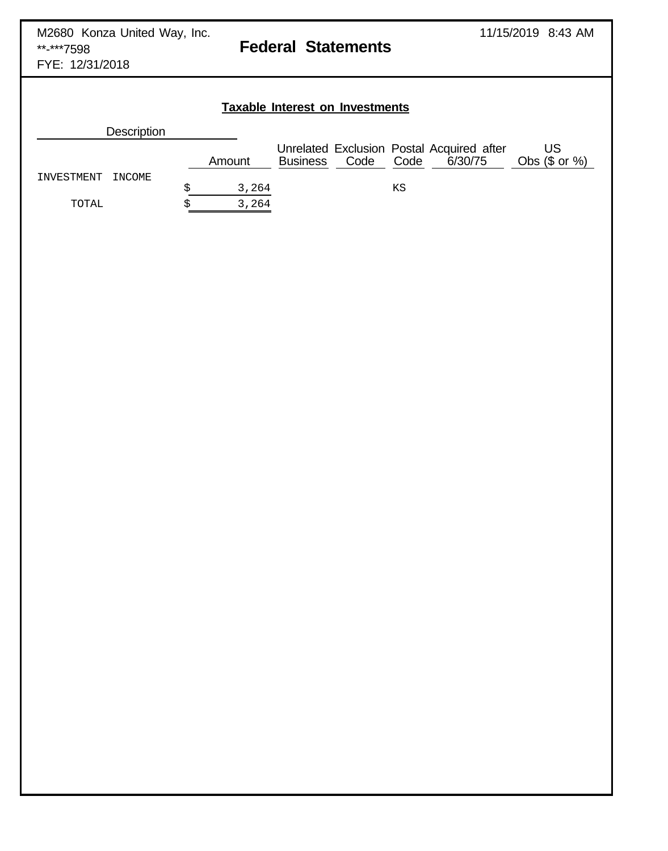## **Taxable Interest on Investments Description** Unrelated Exclusion Postal Acquired after US<br>Business Code Code 6/30/75 Obs (\$ or %) Amount Business Code Code INVESTMENT INCOME \$ 3,264 KS TOTAL  $$3,264$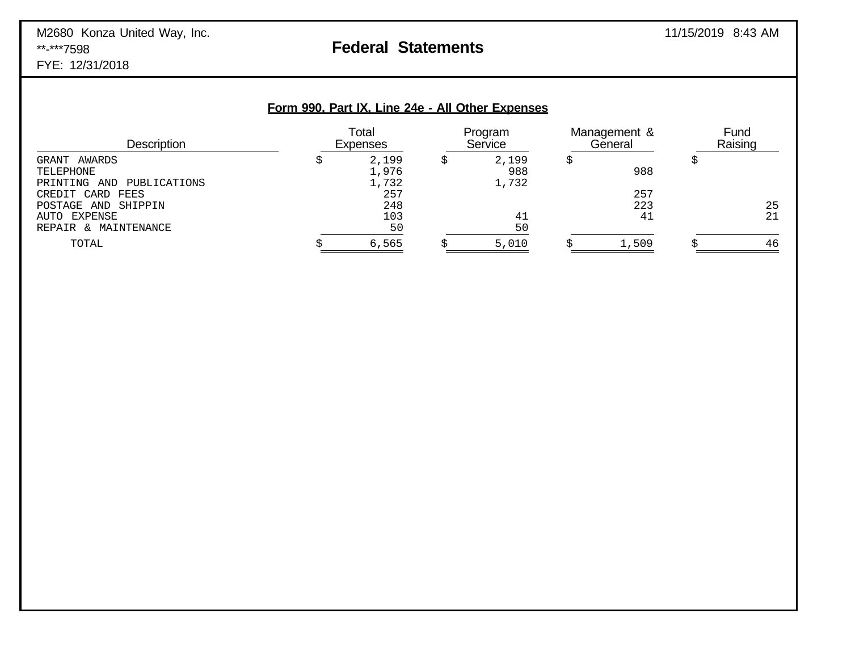# M2680 Konza United Way, Inc.<br> **Federal Statements** 11/15/2019 8:43 AM

# **Federal Statements**

FYE: 12/31/2018

|  | Form 990, Part IX, Line 24e - All Other Expenses |  |
|--|--------------------------------------------------|--|
|  |                                                  |  |

| <b>Description</b>                                     | Total<br><b>Expenses</b> | Program<br>Service    | Management &<br>General | Fund<br>Raising |
|--------------------------------------------------------|--------------------------|-----------------------|-------------------------|-----------------|
| GRANT AWARDS<br>TELEPHONE<br>PRINTING AND PUBLICATIONS | 2,199<br>1,976<br>1,732  | 2,199<br>988<br>1,732 | 988                     |                 |
| CREDIT CARD FEES<br>POSTAGE AND SHIPPIN                | 257<br>248               |                       | 257<br>223              | 25              |
| AUTO EXPENSE<br>REPAIR & MAINTENANCE                   | 103<br>50                | 41<br>50              | 41                      | 21              |
| TOTAL                                                  | 6,565                    | 5,010                 | 1,509                   | 46              |